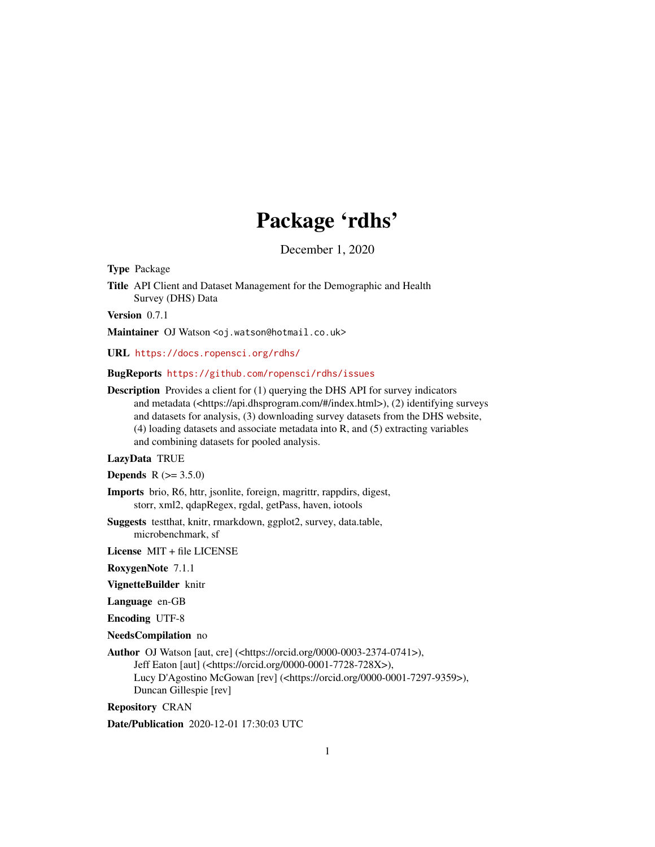# Package 'rdhs'

December 1, 2020

<span id="page-0-0"></span>Type Package

Title API Client and Dataset Management for the Demographic and Health Survey (DHS) Data

Version 0.7.1

Maintainer OJ Watson <oj.watson@hotmail.co.uk>

URL <https://docs.ropensci.org/rdhs/>

BugReports <https://github.com/ropensci/rdhs/issues>

Description Provides a client for (1) querying the DHS API for survey indicators and metadata (<https://api.dhsprogram.com/#/index.html>), (2) identifying surveys and datasets for analysis, (3) downloading survey datasets from the DHS website, (4) loading datasets and associate metadata into R, and (5) extracting variables and combining datasets for pooled analysis.

LazyData TRUE

**Depends** R  $(>= 3.5.0)$ 

- Imports brio, R6, httr, jsonlite, foreign, magrittr, rappdirs, digest, storr, xml2, qdapRegex, rgdal, getPass, haven, iotools
- Suggests testthat, knitr, rmarkdown, ggplot2, survey, data.table, microbenchmark, sf

License MIT + file LICENSE

RoxygenNote 7.1.1

VignetteBuilder knitr

Language en-GB

Encoding UTF-8

NeedsCompilation no

Author OJ Watson [aut, cre] (<https://orcid.org/0000-0003-2374-0741>), Jeff Eaton [aut] (<https://orcid.org/0000-0001-7728-728X>), Lucy D'Agostino McGowan [rev] (<https://orcid.org/0000-0001-7297-9359>), Duncan Gillespie [rev]

Repository CRAN

Date/Publication 2020-12-01 17:30:03 UTC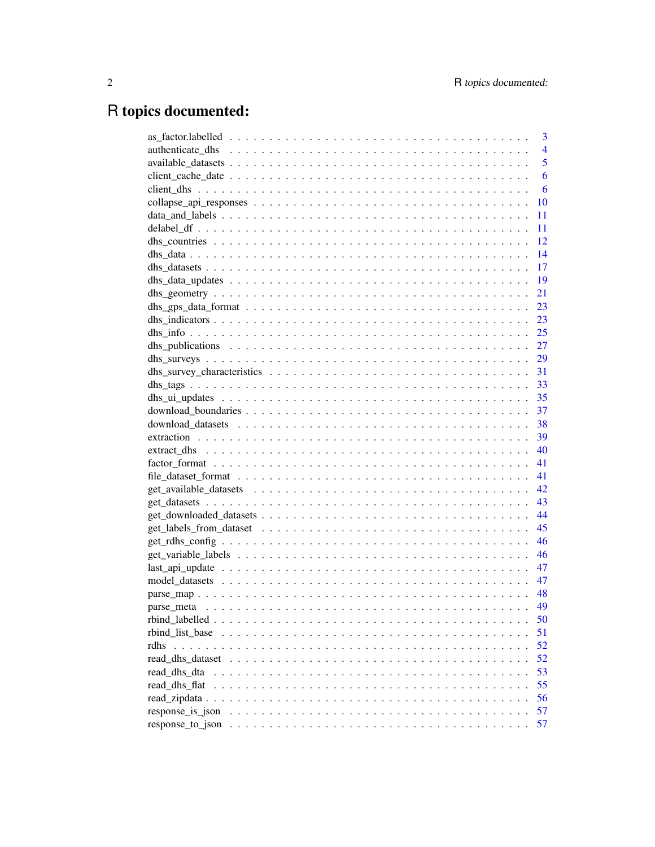# R topics documented:

|                  | 3              |
|------------------|----------------|
|                  | $\overline{4}$ |
|                  | 5              |
|                  | 6              |
|                  | 6              |
|                  | 10             |
|                  | 11             |
|                  | 11             |
|                  | 12             |
|                  | 14             |
|                  | 17             |
|                  | 19             |
|                  | 21             |
|                  | 23             |
|                  |                |
|                  |                |
|                  |                |
|                  |                |
|                  |                |
|                  |                |
|                  |                |
|                  |                |
|                  |                |
|                  |                |
|                  |                |
|                  | 41             |
|                  | 41             |
|                  | 42             |
|                  | 43             |
|                  |                |
|                  |                |
|                  | 46             |
|                  | 46             |
|                  | 47             |
|                  | 47             |
|                  | -48            |
|                  | 49             |
|                  | 50             |
|                  | 51             |
|                  |                |
| rdhs             | 52             |
|                  | 52             |
| read_dhs_dta     | 53             |
| read dhs flat    | 55             |
|                  | 56             |
| response_is_json | 57             |
|                  | 57             |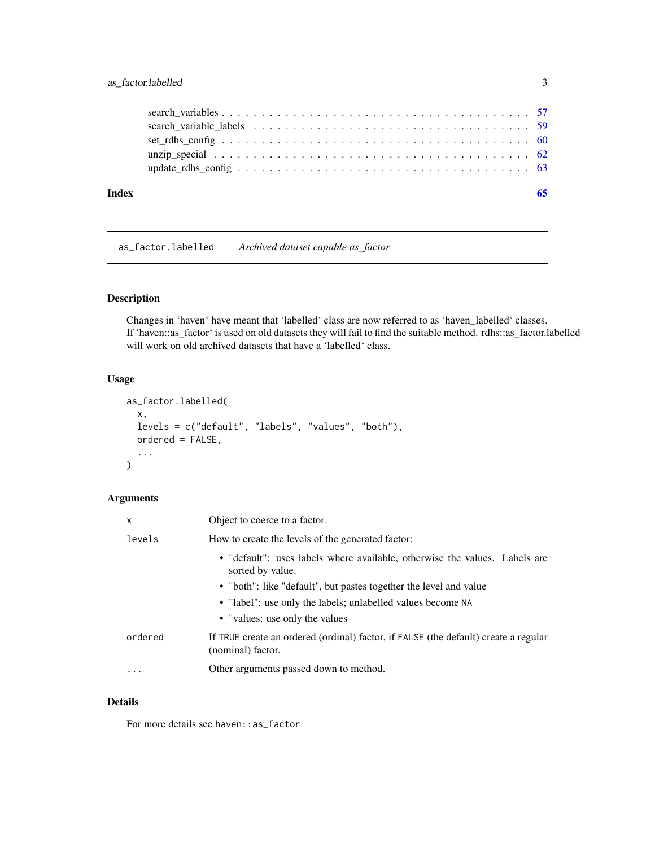<span id="page-2-0"></span>

| Index |  |
|-------|--|
|       |  |
|       |  |
|       |  |
|       |  |
|       |  |

as\_factor.labelled *Archived dataset capable as\_factor*

# **Description**

Changes in 'haven' have meant that 'labelled' class are now referred to as 'haven\_labelled' classes. If 'haven::as\_factor' is used on old datasets they will fail to find the suitable method. rdhs::as\_factor.labelled will work on old archived datasets that have a 'labelled' class.

# Usage

```
as_factor.labelled(
  x,
 levels = c("default", "labels", "values", "both"),
 ordered = FALSE,
  ...
)
```
# Arguments

| X        | Object to coerce to a factor.                                                                            |
|----------|----------------------------------------------------------------------------------------------------------|
| levels   | How to create the levels of the generated factor:                                                        |
|          | • "default": uses labels where available, otherwise the values. Labels are<br>sorted by value.           |
|          | • "both": like "default", but pastes together the level and value                                        |
|          | • "label": use only the labels; unlabelled values become NA                                              |
|          | • "values: use only the values"                                                                          |
| ordered  | If TRUE create an ordered (ordinal) factor, if FALSE (the default) create a regular<br>(nominal) factor. |
| $\cdots$ | Other arguments passed down to method.                                                                   |

# Details

For more details see haven: : as\_factor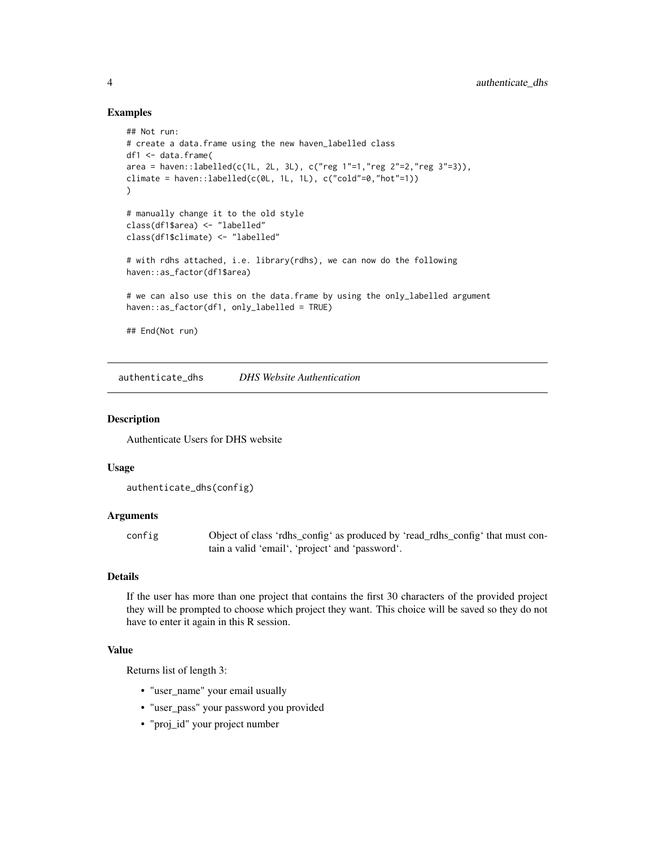#### Examples

```
## Not run:
# create a data.frame using the new haven_labelled class
df1 <- data.frame(
area = haven::labelled(c(1L, 2L, 3L), c("reg 1"=1,"reg 2"=2,"reg 3"=3)),climate = haven::labelled(c(0L, 1L, 1L), c("cold"=0,"hot"=1))
)
# manually change it to the old style
class(df1$area) <- "labelled"
class(df1$climate) <- "labelled"
# with rdhs attached, i.e. library(rdhs), we can now do the following
haven::as_factor(df1$area)
# we can also use this on the data.frame by using the only_labelled argument
haven::as_factor(df1, only_labelled = TRUE)
## End(Not run)
```
authenticate\_dhs *DHS Website Authentication*

# Description

Authenticate Users for DHS website

#### Usage

```
authenticate_dhs(config)
```
# Arguments

config Object of class 'rdhs\_config' as produced by 'read\_rdhs\_config' that must contain a valid 'email', 'project' and 'password'.

# Details

If the user has more than one project that contains the first 30 characters of the provided project they will be prompted to choose which project they want. This choice will be saved so they do not have to enter it again in this R session.

#### Value

Returns list of length 3:

- "user\_name" your email usually
- "user\_pass" your password you provided
- "proj\_id" your project number

<span id="page-3-0"></span>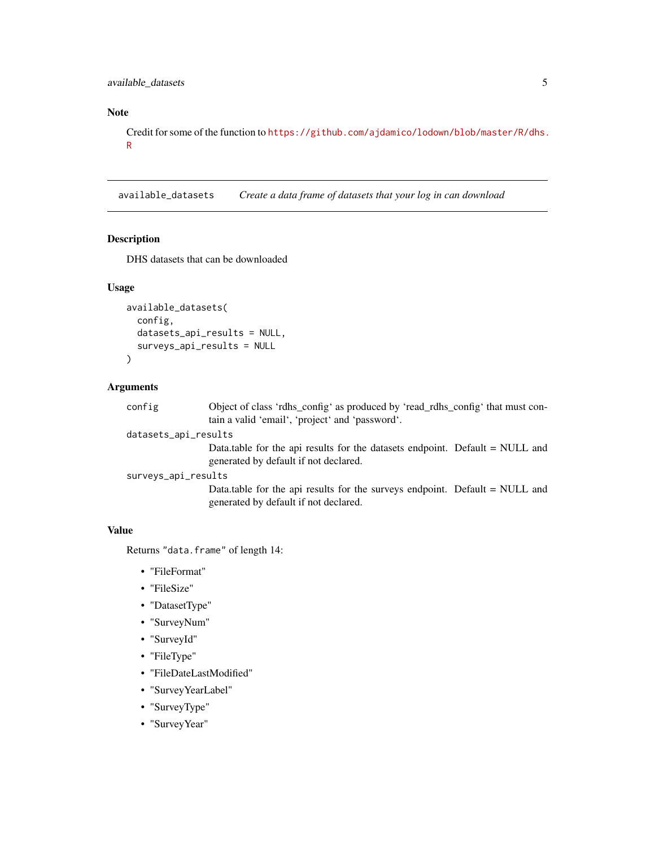# <span id="page-4-0"></span>Note

Credit for some of the function to [https://github.com/ajdamico/lodown/blob/master/R/dhs.](https://github.com/ajdamico/lodown/blob/master/R/dhs.R) [R](https://github.com/ajdamico/lodown/blob/master/R/dhs.R)

available\_datasets *Create a data frame of datasets that your log in can download*

#### Description

DHS datasets that can be downloaded

#### Usage

```
available_datasets(
  config,
  datasets_api_results = NULL,
  surveys_api_results = NULL
\lambda
```
# Arguments

config Object of class 'rdhs\_config' as produced by 'read\_rdhs\_config' that must contain a valid 'email', 'project' and 'password'.

```
datasets_api_results
```
Data.table for the api results for the datasets endpoint. Default = NULL and generated by default if not declared.

```
surveys_api_results
```
Data.table for the api results for the surveys endpoint. Default = NULL and generated by default if not declared.

#### Value

Returns "data.frame" of length 14:

- "FileFormat"
- "FileSize"
- "DatasetType"
- "SurveyNum"
- "SurveyId"
- "FileType"
- "FileDateLastModified"
- "SurveyYearLabel"
- "SurveyType"
- "SurveyYear"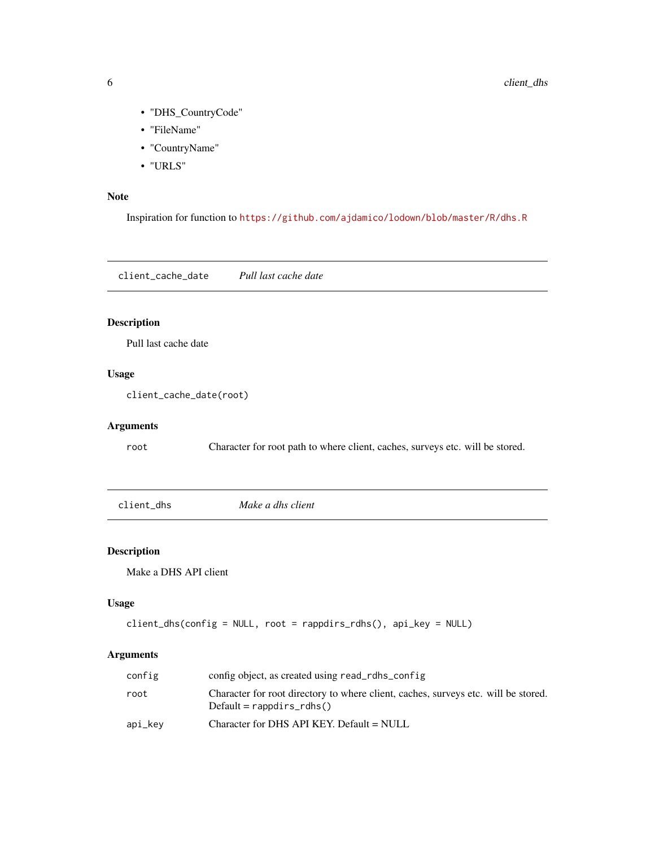- "DHS\_CountryCode"
- "FileName"
- "CountryName"
- "URLS"

#### Note

Inspiration for function to <https://github.com/ajdamico/lodown/blob/master/R/dhs.R>

client\_cache\_date *Pull last cache date*

# Description

Pull last cache date

# Usage

client\_cache\_date(root)

#### Arguments

root Character for root path to where client, caches, surveys etc. will be stored.

<span id="page-5-1"></span>client\_dhs *Make a dhs client*

#### Description

Make a DHS API client

# Usage

```
client_dhs(config = NULL, root = rappdirs_rdhs(), api_key = NULL)
```
# Arguments

| config  | config object, as created using read_rdhs_config                                                                  |
|---------|-------------------------------------------------------------------------------------------------------------------|
| root    | Character for root directory to where client, caches, surveys etc. will be stored.<br>$Default = rappdirs_rdhs()$ |
| api_kev | Character for DHS API KEY. Default = NULL                                                                         |

<span id="page-5-0"></span>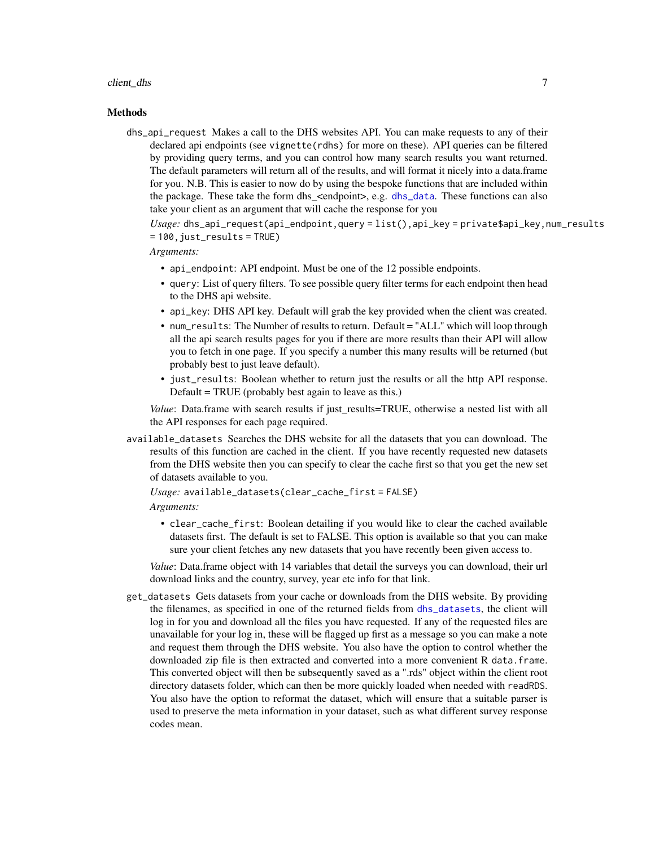#### <span id="page-6-0"></span>client\_dhs 7

#### **Methods**

dhs\_api\_request Makes a call to the DHS websites API. You can make requests to any of their declared api endpoints (see vignette(rdhs) for more on these). API queries can be filtered by providing query terms, and you can control how many search results you want returned. The default parameters will return all of the results, and will format it nicely into a data.frame for you. N.B. This is easier to now do by using the bespoke functions that are included within the package. These take the form dhs <endpoint>, e.g. [dhs\\_data](#page-13-1). These functions can also take your client as an argument that will cache the response for you

*Usage:* dhs\_api\_request(api\_endpoint,query = list(),api\_key = private\$api\_key,num\_results  $= 100$ , just\_results = TRUE)

#### *Arguments:*

- api\_endpoint: API endpoint. Must be one of the 12 possible endpoints.
- query: List of query filters. To see possible query filter terms for each endpoint then head to the DHS api website.
- api\_key: DHS API key. Default will grab the key provided when the client was created.
- num\_results: The Number of results to return. Default = "ALL" which will loop through all the api search results pages for you if there are more results than their API will allow you to fetch in one page. If you specify a number this many results will be returned (but probably best to just leave default).
- just\_results: Boolean whether to return just the results or all the http API response. Default = TRUE (probably best again to leave as this.)

*Value*: Data.frame with search results if just results=TRUE, otherwise a nested list with all the API responses for each page required.

available\_datasets Searches the DHS website for all the datasets that you can download. The results of this function are cached in the client. If you have recently requested new datasets from the DHS website then you can specify to clear the cache first so that you get the new set of datasets available to you.

```
Usage: available_datasets(clear_cache_first = FALSE)
Arguments:
```
• clear\_cache\_first: Boolean detailing if you would like to clear the cached available datasets first. The default is set to FALSE. This option is available so that you can make sure your client fetches any new datasets that you have recently been given access to.

*Value*: Data.frame object with 14 variables that detail the surveys you can download, their url download links and the country, survey, year etc info for that link.

get\_datasets Gets datasets from your cache or downloads from the DHS website. By providing the filenames, as specified in one of the returned fields from [dhs\\_datasets](#page-16-1), the client will log in for you and download all the files you have requested. If any of the requested files are unavailable for your log in, these will be flagged up first as a message so you can make a note and request them through the DHS website. You also have the option to control whether the downloaded zip file is then extracted and converted into a more convenient R data.frame. This converted object will then be subsequently saved as a ".rds" object within the client root directory datasets folder, which can then be more quickly loaded when needed with readRDS. You also have the option to reformat the dataset, which will ensure that a suitable parser is used to preserve the meta information in your dataset, such as what different survey response codes mean.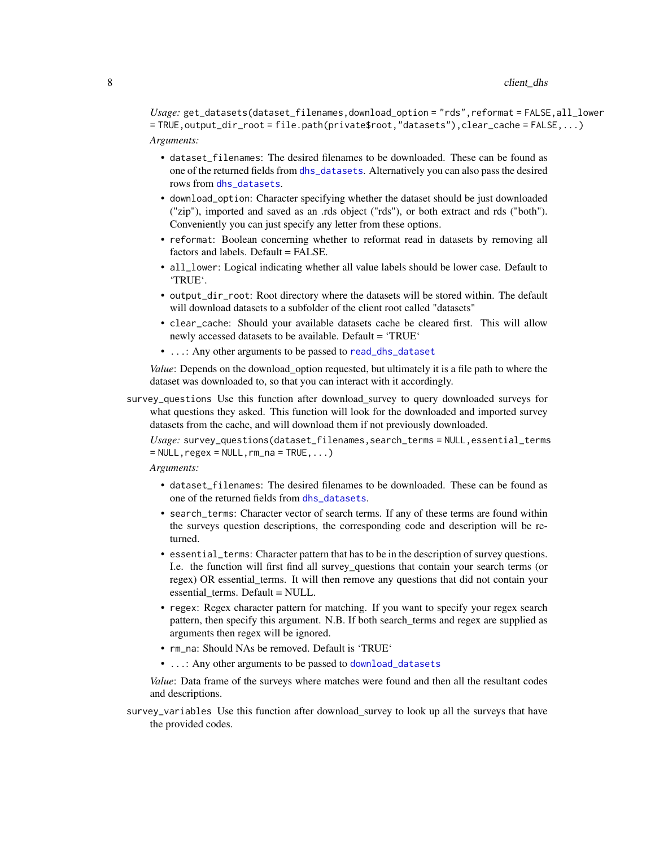<span id="page-7-0"></span>*Usage:* get\_datasets(dataset\_filenames,download\_option = "rds",reformat = FALSE,all\_lower = TRUE,output\_dir\_root = file.path(private\$root,"datasets"),clear\_cache = FALSE,...) *Arguments:*

- dataset\_filenames: The desired filenames to be downloaded. These can be found as one of the returned fields from [dhs\\_datasets](#page-16-1). Alternatively you can also pass the desired rows from [dhs\\_datasets](#page-16-1).
- download\_option: Character specifying whether the dataset should be just downloaded ("zip"), imported and saved as an .rds object ("rds"), or both extract and rds ("both"). Conveniently you can just specify any letter from these options.
- reformat: Boolean concerning whether to reformat read in datasets by removing all factors and labels. Default = FALSE.
- all\_lower: Logical indicating whether all value labels should be lower case. Default to 'TRUE'.
- output\_dir\_root: Root directory where the datasets will be stored within. The default will download datasets to a subfolder of the client root called "datasets"
- clear\_cache: Should your available datasets cache be cleared first. This will allow newly accessed datasets to be available. Default = 'TRUE'
- ...: Any other arguments to be passed to [read\\_dhs\\_dataset](#page-51-1)

*Value*: Depends on the download\_option requested, but ultimately it is a file path to where the dataset was downloaded to, so that you can interact with it accordingly.

survey\_questions Use this function after download\_survey to query downloaded surveys for what questions they asked. This function will look for the downloaded and imported survey datasets from the cache, and will download them if not previously downloaded.

*Usage:* survey\_questions(dataset\_filenames,search\_terms = NULL,essential\_terms  $=$  NULL, regex  $=$  NULL, rm\_na = TRUE, ...)

# *Arguments:*

- dataset\_filenames: The desired filenames to be downloaded. These can be found as one of the returned fields from [dhs\\_datasets](#page-16-1).
- search\_terms: Character vector of search terms. If any of these terms are found within the surveys question descriptions, the corresponding code and description will be returned.
- essential\_terms: Character pattern that has to be in the description of survey questions. I.e. the function will first find all survey\_questions that contain your search terms (or regex) OR essential\_terms. It will then remove any questions that did not contain your essential\_terms. Default = NULL.
- regex: Regex character pattern for matching. If you want to specify your regex search pattern, then specify this argument. N.B. If both search\_terms and regex are supplied as arguments then regex will be ignored.
- rm\_na: Should NAs be removed. Default is 'TRUE'
- ...: Any other arguments to be passed to [download\\_datasets](#page-37-1)

*Value*: Data frame of the surveys where matches were found and then all the resultant codes and descriptions.

survey\_variables Use this function after download\_survey to look up all the surveys that have the provided codes.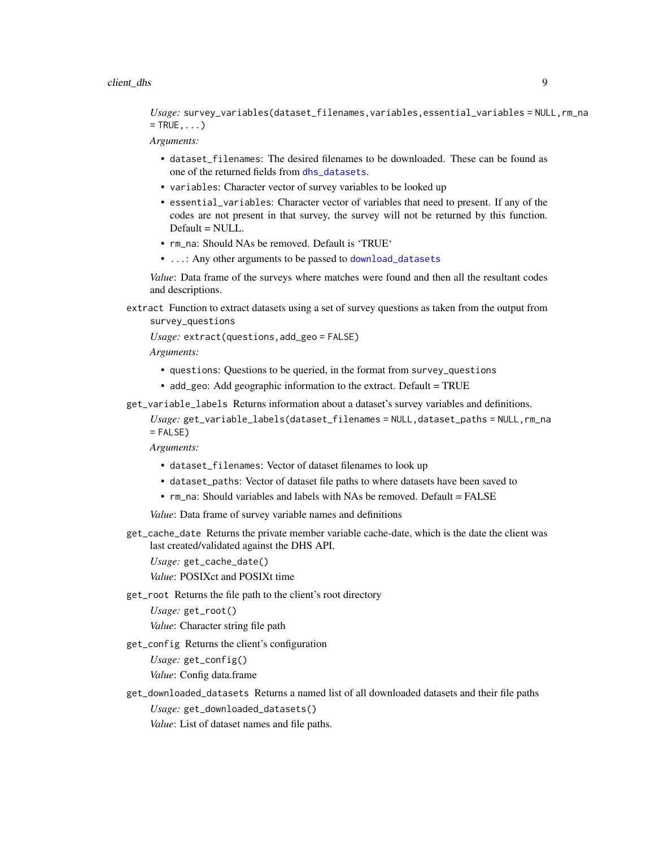#### <span id="page-8-0"></span>client\_dhs 9

*Usage:* survey\_variables(dataset\_filenames,variables,essential\_variables = NULL,rm\_na  $=$  TRUE,  $\ldots$ )

*Arguments:*

- dataset\_filenames: The desired filenames to be downloaded. These can be found as one of the returned fields from [dhs\\_datasets](#page-16-1).
- variables: Character vector of survey variables to be looked up
- essential\_variables: Character vector of variables that need to present. If any of the codes are not present in that survey, the survey will not be returned by this function. Default = NULL.
- rm\_na: Should NAs be removed. Default is 'TRUE'
- ...: Any other arguments to be passed to [download\\_datasets](#page-37-1)

*Value*: Data frame of the surveys where matches were found and then all the resultant codes and descriptions.

extract Function to extract datasets using a set of survey questions as taken from the output from survey\_questions

*Usage:* extract(questions,add\_geo = FALSE)

*Arguments:*

- questions: Questions to be queried, in the format from survey\_questions
- add\_geo: Add geographic information to the extract. Default = TRUE
- get\_variable\_labels Returns information about a dataset's survey variables and definitions.

*Usage:* get\_variable\_labels(dataset\_filenames = NULL,dataset\_paths = NULL,rm\_na  $=$  FALSE)

*Arguments:*

- dataset\_filenames: Vector of dataset filenames to look up
- dataset\_paths: Vector of dataset file paths to where datasets have been saved to
- rm\_na: Should variables and labels with NAs be removed. Default = FALSE

*Value*: Data frame of survey variable names and definitions

get\_cache\_date Returns the private member variable cache-date, which is the date the client was last created/validated against the DHS API.

*Usage:* get\_cache\_date()

*Value*: POSIXct and POSIXt time

get\_root Returns the file path to the client's root directory

*Usage:* get\_root()

*Value*: Character string file path

get\_config Returns the client's configuration

*Usage:* get\_config()

*Value*: Config data.frame

get\_downloaded\_datasets Returns a named list of all downloaded datasets and their file paths *Usage:* get\_downloaded\_datasets() *Value*: List of dataset names and file paths.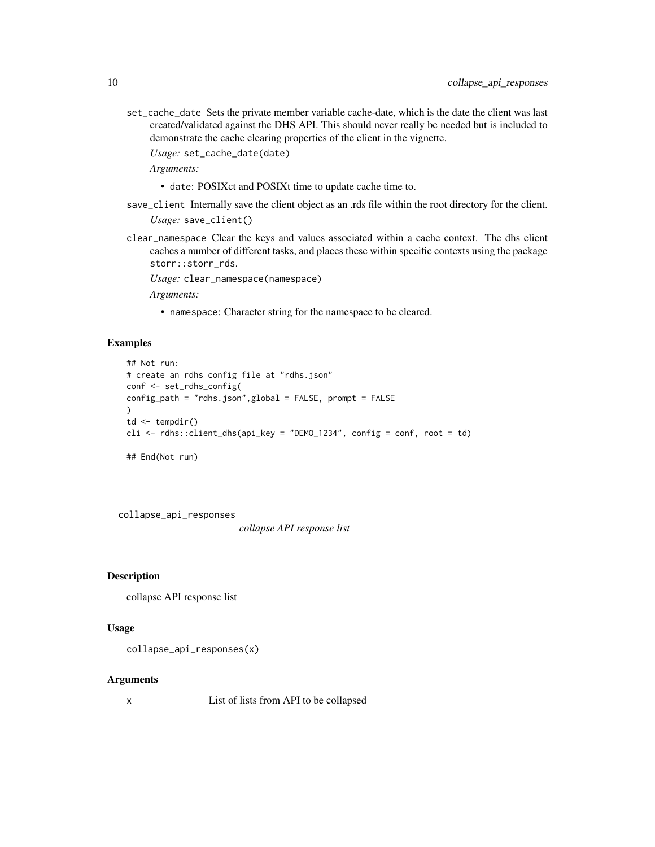<span id="page-9-0"></span>set\_cache\_date Sets the private member variable cache-date, which is the date the client was last created/validated against the DHS API. This should never really be needed but is included to demonstrate the cache clearing properties of the client in the vignette.

*Usage:* set\_cache\_date(date)

*Arguments:*

- date: POSIXct and POSIXt time to update cache time to.
- save\_client Internally save the client object as an .rds file within the root directory for the client.

*Usage:* save\_client()

clear\_namespace Clear the keys and values associated within a cache context. The dhs client caches a number of different tasks, and places these within specific contexts using the package storr::storr\_rds.

*Usage:* clear\_namespace(namespace)

*Arguments:*

• namespace: Character string for the namespace to be cleared.

#### Examples

```
## Not run:
# create an rdhs config file at "rdhs.json"
conf <- set_rdhs_config(
config_path = "rdhs.json",global = FALSE, prompt = FALSE
\lambdatd \leftarrow tempdir()cli <- rdhs::client_dhs(api_key = "DEMO_1234", config = conf, root = td)
## End(Not run)
```
collapse\_api\_responses

*collapse API response list*

# Description

collapse API response list

#### Usage

collapse\_api\_responses(x)

#### Arguments

x List of lists from API to be collapsed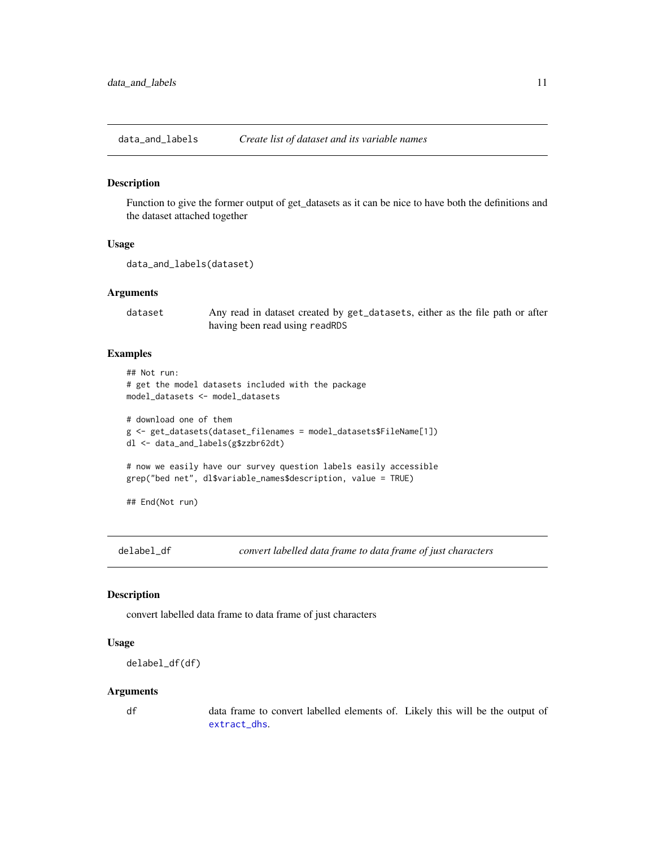<span id="page-10-0"></span>data\_and\_labels *Create list of dataset and its variable names*

#### Description

Function to give the former output of get\_datasets as it can be nice to have both the definitions and the dataset attached together

#### Usage

```
data_and_labels(dataset)
```
#### Arguments

dataset Any read in dataset created by get\_datasets, either as the file path or after having been read using readRDS

# Examples

```
## Not run:
# get the model datasets included with the package
model_datasets <- model_datasets
# download one of them
g <- get_datasets(dataset_filenames = model_datasets$FileName[1])
dl <- data_and_labels(g$zzbr62dt)
# now we easily have our survey question labels easily accessible
grep("bed net", dl$variable_names$description, value = TRUE)
```
## End(Not run)

delabel\_df *convert labelled data frame to data frame of just characters*

# Description

convert labelled data frame to data frame of just characters

#### Usage

```
delabel_df(df)
```
#### Arguments

df data frame to convert labelled elements of. Likely this will be the output of [extract\\_dhs](#page-39-1).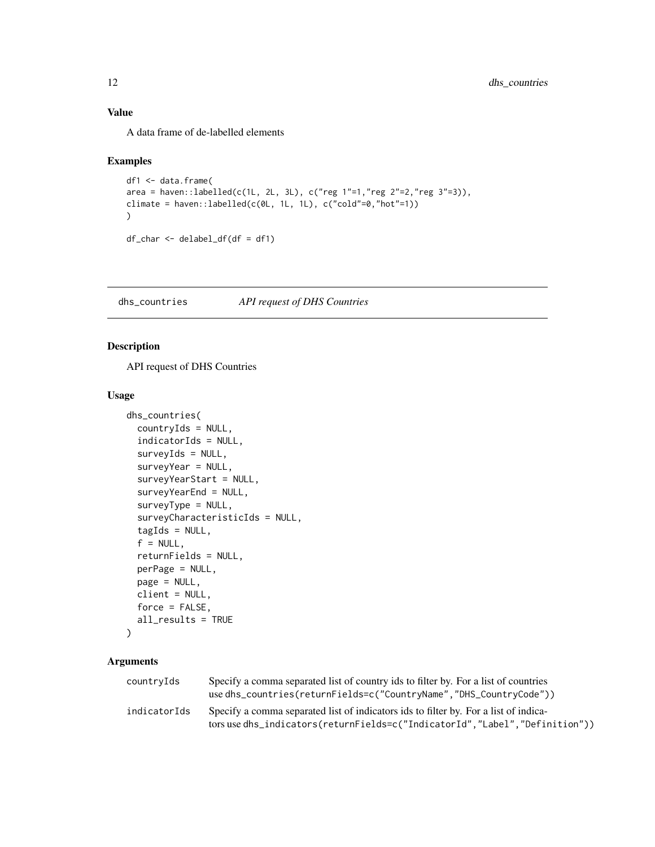# <span id="page-11-0"></span>Value

A data frame of de-labelled elements

#### Examples

```
df1 <- data.frame(
area = haven::labelled(c(1L, 2L, 3L), c("reg 1"=1,"reg 2"=2,"reg 3"=3)),climate = haven::labelled(c(0L, 1L, 1L), c("cold"=0,"hot"=1))
\mathcal{L}df_char <- delabel_df(df = df1)
```
dhs\_countries *API request of DHS Countries*

# Description

API request of DHS Countries

# Usage

```
dhs_countries(
  countryIds = NULL,
  indicatorIds = NULL,
  surveyIds = NULL,
  surveyYear = NULL,
  surveyYearStart = NULL,
  surveyYearEnd = NULL,
  surveyType = NULL,
  surveyCharacteristicIds = NULL,
  tagIds = NULL,f = NULL,returnFields = NULL,
  perPage = NULL,
  page = NULL,
  client = NULL,
  force = FALSE,
  all_results = TRUE
```

```
)
```
# Arguments

| countryIds   | Specify a comma separated list of country ids to filter by. For a list of countries<br>use dhs_countries(returnFields=c("CountryName","DHS_CountryCode"))           |
|--------------|---------------------------------------------------------------------------------------------------------------------------------------------------------------------|
| indicatorIds | Specify a comma separated list of indicators ids to filter by. For a list of indica-<br>tors use dhs_indicators(returnFields=c("IndicatorId","Label","Definition")) |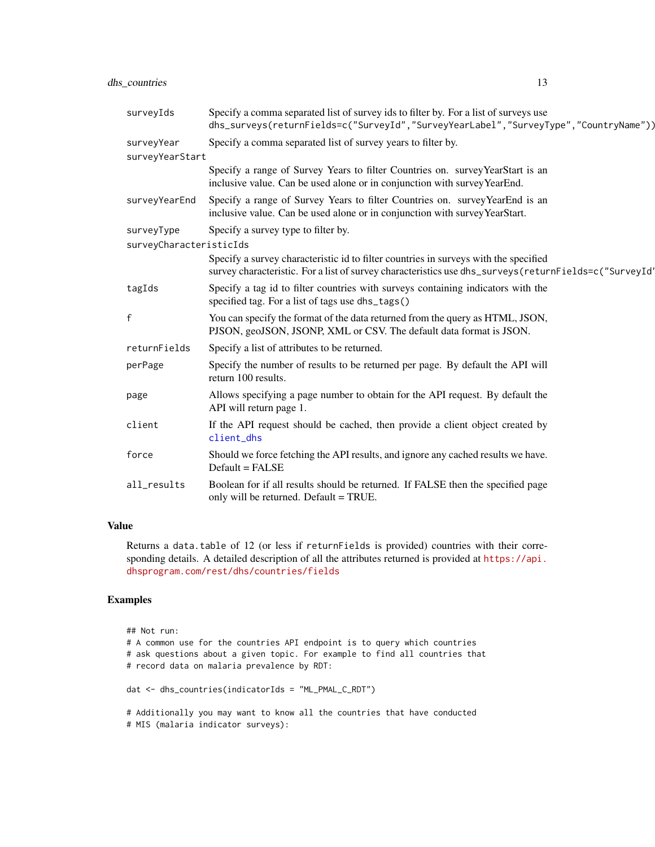# <span id="page-12-0"></span>dhs\_countries 13

| surveyIds               | Specify a comma separated list of survey ids to filter by. For a list of surveys use<br>dhs_surveys(returnFields=c("SurveyId","SurveyYearLabel","SurveyType","CountryName"))                   |
|-------------------------|------------------------------------------------------------------------------------------------------------------------------------------------------------------------------------------------|
| surveyYear              | Specify a comma separated list of survey years to filter by.                                                                                                                                   |
| surveyYearStart         |                                                                                                                                                                                                |
|                         | Specify a range of Survey Years to filter Countries on. survey YearStart is an<br>inclusive value. Can be used alone or in conjunction with survey YearEnd.                                    |
| surveyYearEnd           | Specify a range of Survey Years to filter Countries on. survey YearEnd is an<br>inclusive value. Can be used alone or in conjunction with survey YearStart.                                    |
| surveyType              | Specify a survey type to filter by.                                                                                                                                                            |
| surveyCharacteristicIds |                                                                                                                                                                                                |
|                         | Specify a survey characteristic id to filter countries in surveys with the specified<br>survey characteristic. For a list of survey characteristics use dhs_surveys (returnFields=c("SurveyId' |
| tagIds                  | Specify a tag id to filter countries with surveys containing indicators with the<br>specified tag. For a list of tags use dhs_tags()                                                           |
| f                       | You can specify the format of the data returned from the query as HTML, JSON,<br>PJSON, geoJSON, JSONP, XML or CSV. The default data format is JSON.                                           |
| returnFields            | Specify a list of attributes to be returned.                                                                                                                                                   |
| perPage                 | Specify the number of results to be returned per page. By default the API will<br>return 100 results.                                                                                          |
| page                    | Allows specifying a page number to obtain for the API request. By default the<br>API will return page 1.                                                                                       |
| client                  | If the API request should be cached, then provide a client object created by<br>client dhs                                                                                                     |
| force                   | Should we force fetching the API results, and ignore any cached results we have.<br>Default = FALSE                                                                                            |
| all_results             | Boolean for if all results should be returned. If FALSE then the specified page<br>only will be returned. Default = TRUE.                                                                      |

#### Value

Returns a data.table of 12 (or less if returnFields is provided) countries with their corresponding details. A detailed description of all the attributes returned is provided at [https://api.](https://api.dhsprogram.com/rest/dhs/countries/fields) [dhsprogram.com/rest/dhs/countries/fields](https://api.dhsprogram.com/rest/dhs/countries/fields)

```
## Not run:
# A common use for the countries API endpoint is to query which countries
# ask questions about a given topic. For example to find all countries that
# record data on malaria prevalence by RDT:
dat <- dhs_countries(indicatorIds = "ML_PMAL_C_RDT")
# Additionally you may want to know all the countries that have conducted
# MIS (malaria indicator surveys):
```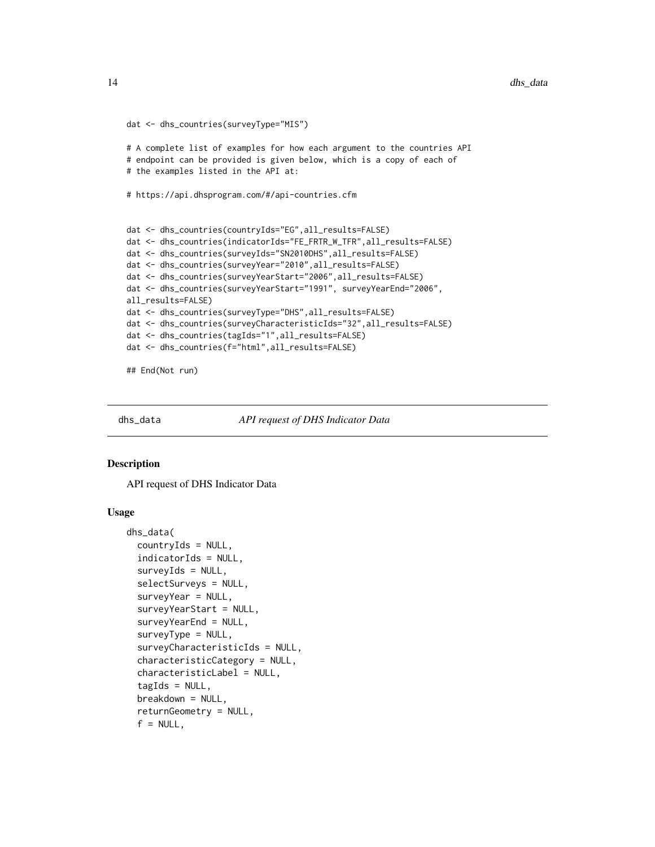```
dat <- dhs_countries(surveyType="MIS")
# A complete list of examples for how each argument to the countries API
# endpoint can be provided is given below, which is a copy of each of
# the examples listed in the API at:
# https://api.dhsprogram.com/#/api-countries.cfm
dat <- dhs_countries(countryIds="EG",all_results=FALSE)
dat <- dhs_countries(indicatorIds="FE_FRTR_W_TFR",all_results=FALSE)
dat <- dhs_countries(surveyIds="SN2010DHS",all_results=FALSE)
dat <- dhs_countries(surveyYear="2010",all_results=FALSE)
dat <- dhs_countries(surveyYearStart="2006",all_results=FALSE)
dat <- dhs_countries(surveyYearStart="1991", surveyYearEnd="2006",
all_results=FALSE)
dat <- dhs_countries(surveyType="DHS",all_results=FALSE)
dat <- dhs_countries(surveyCharacteristicIds="32",all_results=FALSE)
dat <- dhs_countries(tagIds="1",all_results=FALSE)
dat <- dhs_countries(f="html",all_results=FALSE)
## End(Not run)
```
<span id="page-13-1"></span>

dhs\_data *API request of DHS Indicator Data*

#### **Description**

API request of DHS Indicator Data

#### Usage

```
dhs_data(
  countryIds = NULL,
  indicatorIds = NULL,
  surveyIds = NULL,
  selectSurveys = NULL,
  surveyYear = NULL,
  surveyYearStart = NULL,
  surveyYearEnd = NULL,
  surveyType = NULL,
  surveyCharacteristicIds = NULL,
  characteristicCategory = NULL,
  characteristicLabel = NULL,
  tagIds = NULL,
  breakdown = NULL,
  returnGeometry = NULL,
  f = NULL,
```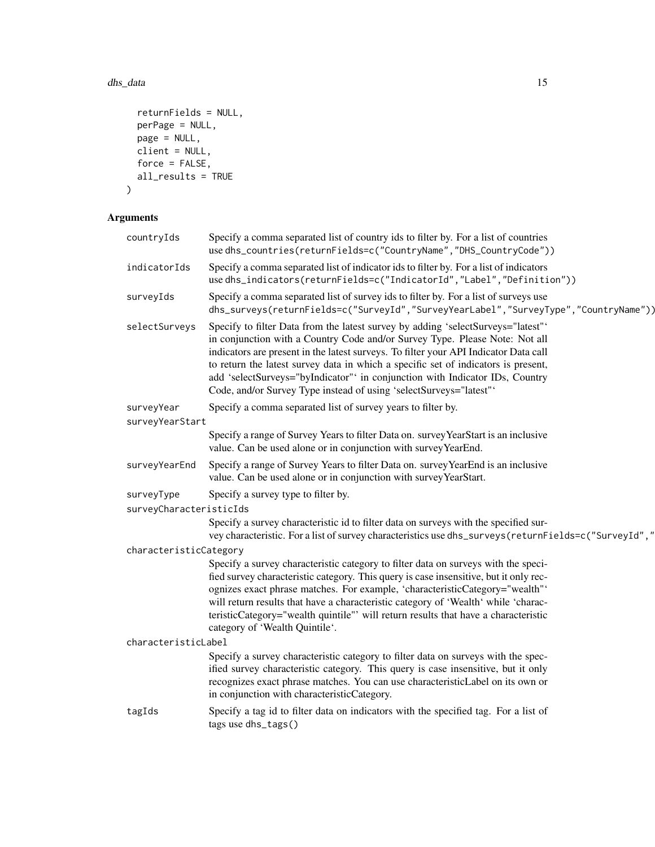#### dhs\_data 15

```
returnFields = NULL,
 perPage = NULL,
 page = NULL,client = NULL,
 force = FALSE,all_results = TRUE
\mathcal{L}
```
# Arguments

| countryIds              | Specify a comma separated list of country ids to filter by. For a list of countries<br>use dhs_countries(returnFields=c("CountryName","DHS_CountryCode"))                                                                                                                                                                                                                                                                                                                                         |
|-------------------------|---------------------------------------------------------------------------------------------------------------------------------------------------------------------------------------------------------------------------------------------------------------------------------------------------------------------------------------------------------------------------------------------------------------------------------------------------------------------------------------------------|
| indicatorIds            | Specify a comma separated list of indicator ids to filter by. For a list of indicators<br>use dhs_indicators(returnFields=c("IndicatorId","Label","Definition"))                                                                                                                                                                                                                                                                                                                                  |
| surveyIds               | Specify a comma separated list of survey ids to filter by. For a list of surveys use<br>dhs_surveys(returnFields=c("SurveyId","SurveyYearLabel","SurveyType","CountryName"))                                                                                                                                                                                                                                                                                                                      |
| selectSurveys           | Specify to filter Data from the latest survey by adding 'selectSurveys="latest"'<br>in conjunction with a Country Code and/or Survey Type. Please Note: Not all<br>indicators are present in the latest surveys. To filter your API Indicator Data call<br>to return the latest survey data in which a specific set of indicators is present,<br>add 'selectSurveys="byIndicator" in conjunction with Indicator IDs, Country<br>Code, and/or Survey Type instead of using 'selectSurveys="latest" |
| surveyYear              | Specify a comma separated list of survey years to filter by.                                                                                                                                                                                                                                                                                                                                                                                                                                      |
| surveyYearStart         |                                                                                                                                                                                                                                                                                                                                                                                                                                                                                                   |
|                         | Specify a range of Survey Years to filter Data on. survey YearStart is an inclusive<br>value. Can be used alone or in conjunction with survey YearEnd.                                                                                                                                                                                                                                                                                                                                            |
| surveyYearEnd           | Specify a range of Survey Years to filter Data on. survey YearEnd is an inclusive<br>value. Can be used alone or in conjunction with survey YearStart.                                                                                                                                                                                                                                                                                                                                            |
| surveyType              | Specify a survey type to filter by.                                                                                                                                                                                                                                                                                                                                                                                                                                                               |
| surveyCharacteristicIds |                                                                                                                                                                                                                                                                                                                                                                                                                                                                                                   |
|                         | Specify a survey characteristic id to filter data on surveys with the specified sur-<br>vey characteristic. For a list of survey characteristics use dhs_surveys(returnFields=c("SurveyId","                                                                                                                                                                                                                                                                                                      |
| characteristicCategory  |                                                                                                                                                                                                                                                                                                                                                                                                                                                                                                   |
|                         | Specify a survey characteristic category to filter data on surveys with the speci-<br>fied survey characteristic category. This query is case insensitive, but it only rec-<br>ognizes exact phrase matches. For example, 'characteristicCategory="wealth"'<br>will return results that have a characteristic category of 'Wealth' while 'charac-<br>teristicCategory="wealth quintile"' will return results that have a characteristic<br>category of 'Wealth Quintile'.                         |
| characteristicLabel     |                                                                                                                                                                                                                                                                                                                                                                                                                                                                                                   |
|                         | Specify a survey characteristic category to filter data on surveys with the spec-<br>ified survey characteristic category. This query is case insensitive, but it only<br>recognizes exact phrase matches. You can use characteristicLabel on its own or<br>in conjunction with characteristicCategory.                                                                                                                                                                                           |
| tagIds                  | Specify a tag id to filter data on indicators with the specified tag. For a list of<br>tags use dhs_tags()                                                                                                                                                                                                                                                                                                                                                                                        |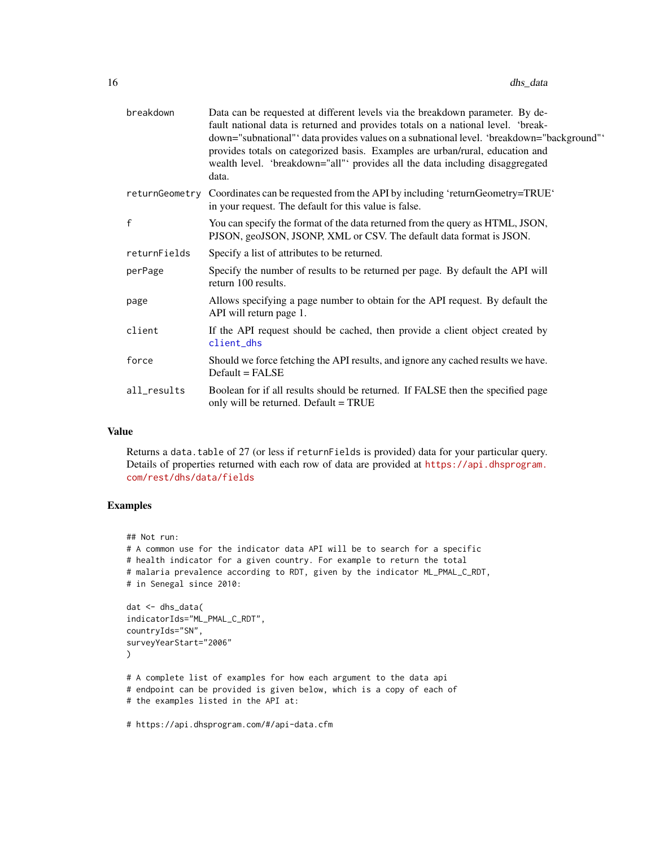<span id="page-15-0"></span>

| breakdown      | Data can be requested at different levels via the breakdown parameter. By de-<br>fault national data is returned and provides totals on a national level. 'break-<br>down="subnational" 'data provides values on a subnational level. 'breakdown="background"<br>provides totals on categorized basis. Examples are urban/rural, education and<br>wealth level. 'breakdown="all"' provides all the data including disaggregated<br>data. |
|----------------|------------------------------------------------------------------------------------------------------------------------------------------------------------------------------------------------------------------------------------------------------------------------------------------------------------------------------------------------------------------------------------------------------------------------------------------|
| returnGeometry | Coordinates can be requested from the API by including 'returnGeometry=TRUE'<br>in your request. The default for this value is false.                                                                                                                                                                                                                                                                                                    |
| f              | You can specify the format of the data returned from the query as HTML, JSON,<br>PJSON, geoJSON, JSONP, XML or CSV. The default data format is JSON.                                                                                                                                                                                                                                                                                     |
| returnFields   | Specify a list of attributes to be returned.                                                                                                                                                                                                                                                                                                                                                                                             |
| perPage        | Specify the number of results to be returned per page. By default the API will<br>return 100 results.                                                                                                                                                                                                                                                                                                                                    |
| page           | Allows specifying a page number to obtain for the API request. By default the<br>API will return page 1.                                                                                                                                                                                                                                                                                                                                 |
| client         | If the API request should be cached, then provide a client object created by<br>client_dhs                                                                                                                                                                                                                                                                                                                                               |
| force          | Should we force fetching the API results, and ignore any cached results we have.<br>$Default = FALSE$                                                                                                                                                                                                                                                                                                                                    |
| all_results    | Boolean for if all results should be returned. If FALSE then the specified page<br>only will be returned. Default = TRUE                                                                                                                                                                                                                                                                                                                 |
|                |                                                                                                                                                                                                                                                                                                                                                                                                                                          |

#### Value

Returns a data.table of 27 (or less if returnFields is provided) data for your particular query. Details of properties returned with each row of data are provided at [https://api.dhsprogram.](https://api.dhsprogram.com/rest/dhs/data/fields) [com/rest/dhs/data/fields](https://api.dhsprogram.com/rest/dhs/data/fields)

# Examples

```
## Not run:
# A common use for the indicator data API will be to search for a specific
# health indicator for a given country. For example to return the total
# malaria prevalence according to RDT, given by the indicator ML_PMAL_C_RDT,
# in Senegal since 2010:
dat <- dhs_data(
indicatorIds="ML_PMAL_C_RDT",
countryIds="SN",
surveyYearStart="2006"
)
# A complete list of examples for how each argument to the data api
# endpoint can be provided is given below, which is a copy of each of
# the examples listed in the API at:
```
# https://api.dhsprogram.com/#/api-data.cfm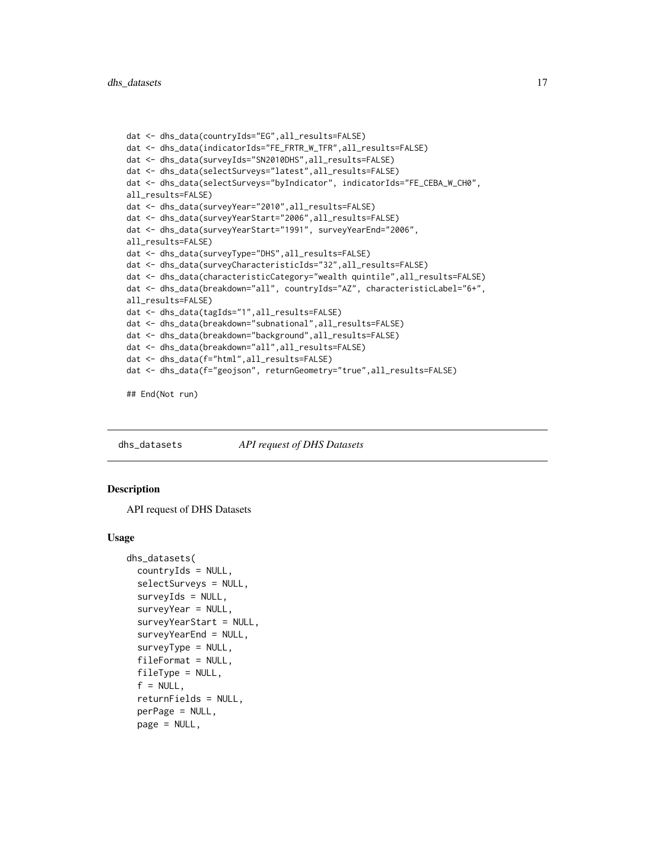```
dat <- dhs_data(countryIds="EG",all_results=FALSE)
dat <- dhs_data(indicatorIds="FE_FRTR_W_TFR",all_results=FALSE)
dat <- dhs_data(surveyIds="SN2010DHS",all_results=FALSE)
dat <- dhs_data(selectSurveys="latest",all_results=FALSE)
dat <- dhs_data(selectSurveys="byIndicator", indicatorIds="FE_CEBA_W_CH0",
all_results=FALSE)
dat <- dhs_data(surveyYear="2010",all_results=FALSE)
dat <- dhs_data(surveyYearStart="2006",all_results=FALSE)
dat <- dhs_data(surveyYearStart="1991", surveyYearEnd="2006",
all_results=FALSE)
dat <- dhs_data(surveyType="DHS",all_results=FALSE)
dat <- dhs_data(surveyCharacteristicIds="32",all_results=FALSE)
dat <- dhs_data(characteristicCategory="wealth quintile",all_results=FALSE)
dat <- dhs_data(breakdown="all", countryIds="AZ", characteristicLabel="6+",
all_results=FALSE)
dat <- dhs_data(tagIds="1",all_results=FALSE)
dat <- dhs_data(breakdown="subnational",all_results=FALSE)
dat <- dhs_data(breakdown="background",all_results=FALSE)
dat <- dhs_data(breakdown="all",all_results=FALSE)
dat <- dhs_data(f="html",all_results=FALSE)
dat <- dhs_data(f="geojson", returnGeometry="true",all_results=FALSE)
```
## End(Not run)

<span id="page-16-1"></span>dhs\_datasets *API request of DHS Datasets*

#### **Description**

API request of DHS Datasets

#### Usage

```
dhs_datasets(
  countryIds = NULL,
  selectSurveys = NULL,
  surveyIds = NULL,
  surveyYear = NULL,
  surveyYearStart = NULL,
  surveyYearEnd = NULL,
  surveyType = NULL,
  fileFormat = NULL,
  fileType = NULL,
  f = NULL,
  returnFields = NULL,
  perPage = NULL,
  page = NULL,
```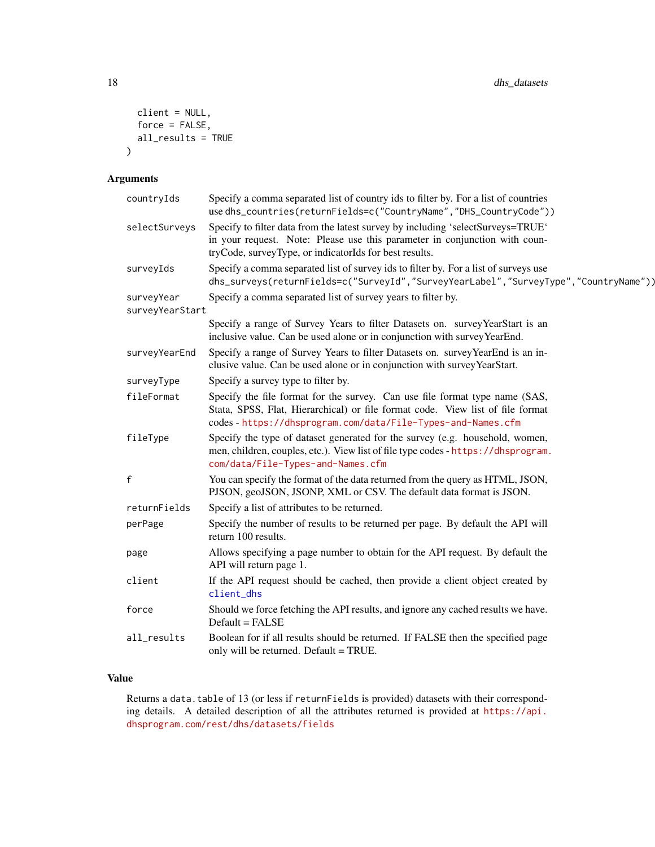```
client = NULL,
  force = FALSE,
  all_results = TRUE
\mathcal{L}
```
# Arguments

| countryIds                    | Specify a comma separated list of country ids to filter by. For a list of countries<br>use dhs_countries(returnFields=c("CountryName","DHS_CountryCode"))                                                                     |
|-------------------------------|-------------------------------------------------------------------------------------------------------------------------------------------------------------------------------------------------------------------------------|
| selectSurveys                 | Specify to filter data from the latest survey by including 'selectSurveys=TRUE'<br>in your request. Note: Please use this parameter in conjunction with coun-<br>tryCode, surveyType, or indicatorIds for best results.       |
| surveyIds                     | Specify a comma separated list of survey ids to filter by. For a list of surveys use<br>dhs_surveys(returnFields=c("SurveyId","SurveyYearLabel","SurveyType","CountryName"))                                                  |
| surveyYear<br>surveyYearStart | Specify a comma separated list of survey years to filter by.                                                                                                                                                                  |
|                               | Specify a range of Survey Years to filter Datasets on. survey YearStart is an<br>inclusive value. Can be used alone or in conjunction with survey YearEnd.                                                                    |
| surveyYearEnd                 | Specify a range of Survey Years to filter Datasets on. survey YearEnd is an in-<br>clusive value. Can be used alone or in conjunction with survey YearStart.                                                                  |
| surveyType                    | Specify a survey type to filter by.                                                                                                                                                                                           |
| fileFormat                    | Specify the file format for the survey. Can use file format type name (SAS,<br>Stata, SPSS, Flat, Hierarchical) or file format code. View list of file format<br>codes - https://dhsprogram.com/data/File-Types-and-Names.cfm |
| fileType                      | Specify the type of dataset generated for the survey (e.g. household, women,<br>men, children, couples, etc.). View list of file type codes - https://dhsprogram.<br>com/data/File-Types-and-Names.cfm                        |
| $\mathsf{f}$                  | You can specify the format of the data returned from the query as HTML, JSON,<br>PJSON, geoJSON, JSONP, XML or CSV. The default data format is JSON.                                                                          |
| returnFields                  | Specify a list of attributes to be returned.                                                                                                                                                                                  |
| perPage                       | Specify the number of results to be returned per page. By default the API will<br>return 100 results.                                                                                                                         |
| page                          | Allows specifying a page number to obtain for the API request. By default the<br>API will return page 1.                                                                                                                      |
| client                        | If the API request should be cached, then provide a client object created by<br>client_dhs                                                                                                                                    |
| force                         | Should we force fetching the API results, and ignore any cached results we have.<br>Default = FALSE                                                                                                                           |
| all_results                   | Boolean for if all results should be returned. If FALSE then the specified page<br>only will be returned. Default = TRUE.                                                                                                     |

# Value

Returns a data.table of 13 (or less if returnFields is provided) datasets with their corresponding details. A detailed description of all the attributes returned is provided at [https://api.](https://api.dhsprogram.com/rest/dhs/datasets/fields) [dhsprogram.com/rest/dhs/datasets/fields](https://api.dhsprogram.com/rest/dhs/datasets/fields)

<span id="page-17-0"></span>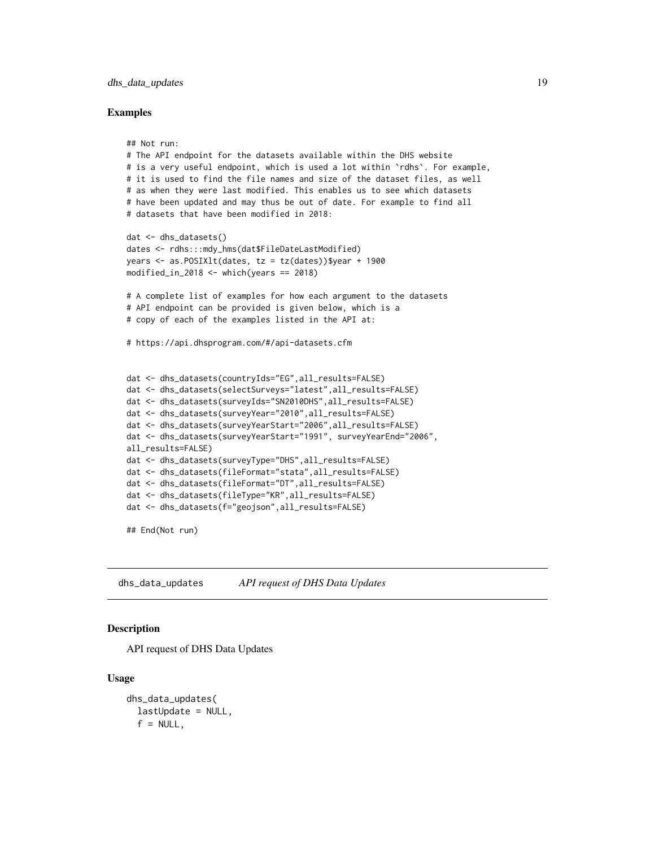# <span id="page-18-0"></span>dhs\_data\_updates 19

#### Examples

```
## Not run:
# The API endpoint for the datasets available within the DHS website
# is a very useful endpoint, which is used a lot within `rdhs`. For example,
# it is used to find the file names and size of the dataset files, as well
# as when they were last modified. This enables us to see which datasets
# have been updated and may thus be out of date. For example to find all
# datasets that have been modified in 2018:
dat <- dhs_datasets()
dates <- rdhs:::mdy_hms(dat$FileDateLastModified)
years <- as.POSIXlt(dates, tz = tz(dates))$year + 1900
modified_in_2018 \le which(years == 2018)
# A complete list of examples for how each argument to the datasets
# API endpoint can be provided is given below, which is a
# copy of each of the examples listed in the API at:
# https://api.dhsprogram.com/#/api-datasets.cfm
dat <- dhs_datasets(countryIds="EG",all_results=FALSE)
dat <- dhs_datasets(selectSurveys="latest",all_results=FALSE)
dat <- dhs_datasets(surveyIds="SN2010DHS",all_results=FALSE)
dat <- dhs_datasets(surveyYear="2010",all_results=FALSE)
dat <- dhs_datasets(surveyYearStart="2006",all_results=FALSE)
dat <- dhs_datasets(surveyYearStart="1991", surveyYearEnd="2006",
all_results=FALSE)
dat <- dhs_datasets(surveyType="DHS",all_results=FALSE)
dat <- dhs_datasets(fileFormat="stata",all_results=FALSE)
dat <- dhs_datasets(fileFormat="DT",all_results=FALSE)
dat <- dhs_datasets(fileType="KR",all_results=FALSE)
dat <- dhs_datasets(f="geojson",all_results=FALSE)
```
## End(Not run)

dhs\_data\_updates *API request of DHS Data Updates*

#### Description

API request of DHS Data Updates

#### Usage

```
dhs_data_updates(
  lastUpdate = NULL,
  f = NULL,
```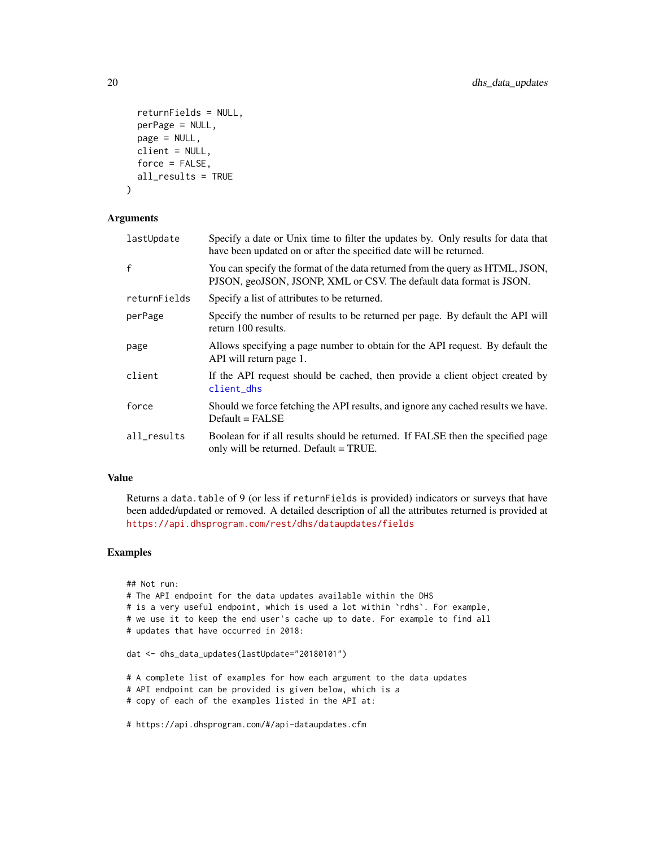```
returnFields = NULL,
 perPage = NULL,
 page = NULL,
 client = NULL,
  force = FALSE,
 all_results = TRUE
\lambda
```
# Arguments

| lastUpdate   | Specify a date or Unix time to filter the updates by. Only results for data that<br>have been updated on or after the specified date will be returned. |
|--------------|--------------------------------------------------------------------------------------------------------------------------------------------------------|
| $\mathsf{f}$ | You can specify the format of the data returned from the query as HTML, JSON,<br>PJSON, geoJSON, JSONP, XML or CSV. The default data format is JSON.   |
| returnFields | Specify a list of attributes to be returned.                                                                                                           |
| perPage      | Specify the number of results to be returned per page. By default the API will<br>return 100 results.                                                  |
| page         | Allows specifying a page number to obtain for the API request. By default the<br>API will return page 1.                                               |
| client       | If the API request should be cached, then provide a client object created by<br>client_dhs                                                             |
| force        | Should we force fetching the API results, and ignore any cached results we have.<br>$Default = FALSE$                                                  |
| all_results  | Boolean for if all results should be returned. If FALSE then the specified page<br>only will be returned. Default = TRUE.                              |

# Value

Returns a data.table of 9 (or less if returnFields is provided) indicators or surveys that have been added/updated or removed. A detailed description of all the attributes returned is provided at <https://api.dhsprogram.com/rest/dhs/dataupdates/fields>

```
## Not run:
# The API endpoint for the data updates available within the DHS
# is a very useful endpoint, which is used a lot within `rdhs`. For example,
# we use it to keep the end user's cache up to date. For example to find all
# updates that have occurred in 2018:
dat <- dhs_data_updates(lastUpdate="20180101")
# A complete list of examples for how each argument to the data updates
# API endpoint can be provided is given below, which is a
# copy of each of the examples listed in the API at:
# https://api.dhsprogram.com/#/api-dataupdates.cfm
```
<span id="page-19-0"></span>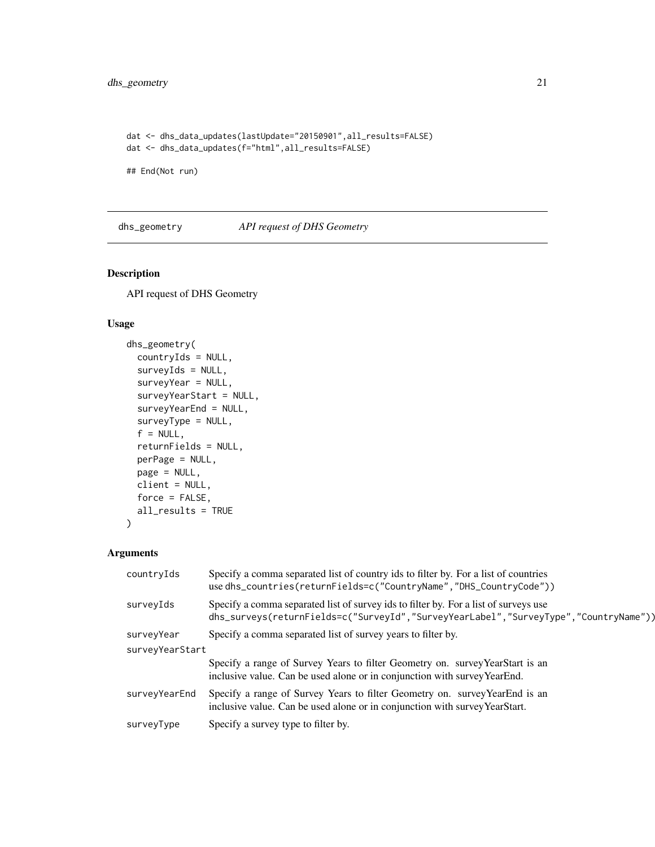```
dat <- dhs_data_updates(lastUpdate="20150901",all_results=FALSE)
dat <- dhs_data_updates(f="html",all_results=FALSE)
```
## End(Not run)

dhs\_geometry *API request of DHS Geometry*

# Description

API request of DHS Geometry

# Usage

```
dhs_geometry(
  countryIds = NULL,
  surveyIds = NULL,
  surveyYear = NULL,
  surveyYearStart = NULL,
  surveyYearEnd = NULL,
  surveyType = NULL,
  f = NULL,returnFields = NULL,
  perPage = NULL,
 page = NULL,
 client = NULL,
 force = FALSE,
  all_results = TRUE
)
```
# Arguments

| countryIds      | Specify a comma separated list of country ids to filter by. For a list of countries<br>use dhs_countries(returnFields=c("CountryName","DHS_CountryCode"))                    |  |
|-----------------|------------------------------------------------------------------------------------------------------------------------------------------------------------------------------|--|
| surveyIds       | Specify a comma separated list of survey ids to filter by. For a list of surveys use<br>dhs_surveys(returnFields=c("SurveyId","SurveyYearLabel","SurveyType","CountryName")) |  |
| surveyYear      | Specify a comma separated list of survey years to filter by.                                                                                                                 |  |
| surveyYearStart |                                                                                                                                                                              |  |
|                 | Specify a range of Survey Years to filter Geometry on. survey YearStart is an<br>inclusive value. Can be used alone or in conjunction with survey YearEnd.                   |  |
| surveyYearEnd   | Specify a range of Survey Years to filter Geometry on. survey YearEnd is an<br>inclusive value. Can be used alone or in conjunction with survey YearStart.                   |  |
| surveyType      | Specify a survey type to filter by.                                                                                                                                          |  |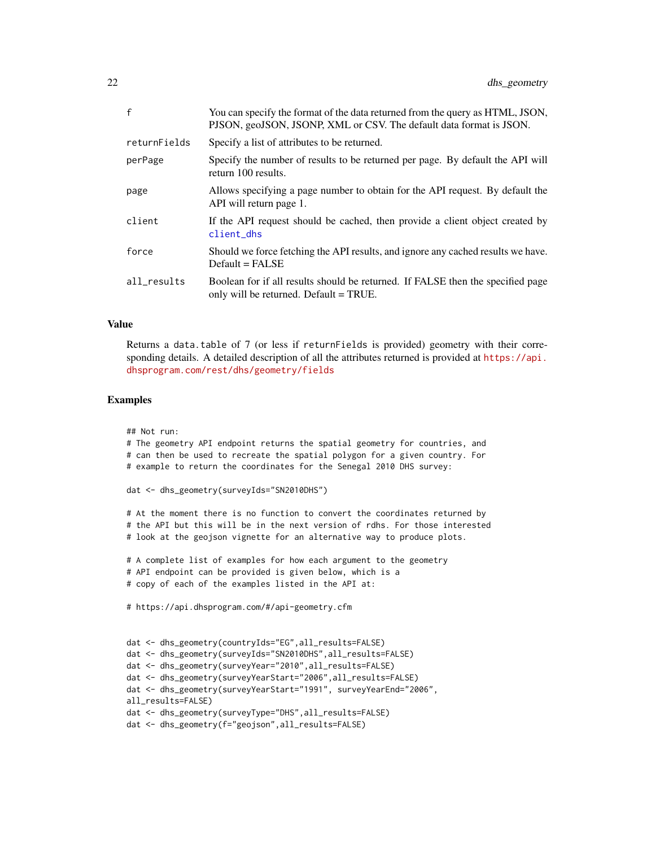<span id="page-21-0"></span>

| £            | You can specify the format of the data returned from the query as HTML, JSON,<br>PJSON, geoJSON, JSONP, XML or CSV. The default data format is JSON. |
|--------------|------------------------------------------------------------------------------------------------------------------------------------------------------|
| returnFields | Specify a list of attributes to be returned.                                                                                                         |
| perPage      | Specify the number of results to be returned per page. By default the API will<br>return 100 results.                                                |
| page         | Allows specifying a page number to obtain for the API request. By default the<br>API will return page 1.                                             |
| client       | If the API request should be cached, then provide a client object created by<br>client_dhs                                                           |
| force        | Should we force fetching the API results, and ignore any cached results we have.<br>$Default = FALSE$                                                |
| all_results  | Boolean for if all results should be returned. If FALSE then the specified page<br>only will be returned. Default = TRUE.                            |
|              |                                                                                                                                                      |

#### Value

Returns a data.table of 7 (or less if returnFields is provided) geometry with their corresponding details. A detailed description of all the attributes returned is provided at [https://api.](https://api.dhsprogram.com/rest/dhs/geometry/fields) [dhsprogram.com/rest/dhs/geometry/fields](https://api.dhsprogram.com/rest/dhs/geometry/fields)

#### Examples

## Not run:

```
# The geometry API endpoint returns the spatial geometry for countries, and
# can then be used to recreate the spatial polygon for a given country. For
# example to return the coordinates for the Senegal 2010 DHS survey:
dat <- dhs_geometry(surveyIds="SN2010DHS")
# At the moment there is no function to convert the coordinates returned by
# the API but this will be in the next version of rdhs. For those interested
# look at the geojson vignette for an alternative way to produce plots.
# A complete list of examples for how each argument to the geometry
# API endpoint can be provided is given below, which is a
# copy of each of the examples listed in the API at:
# https://api.dhsprogram.com/#/api-geometry.cfm
dat <- dhs_geometry(countryIds="EG",all_results=FALSE)
dat <- dhs_geometry(surveyIds="SN2010DHS",all_results=FALSE)
dat <- dhs_geometry(surveyYear="2010",all_results=FALSE)
dat <- dhs_geometry(surveyYearStart="2006",all_results=FALSE)
dat <- dhs_geometry(surveyYearStart="1991", surveyYearEnd="2006",
all_results=FALSE)
dat <- dhs_geometry(surveyType="DHS",all_results=FALSE)
dat <- dhs_geometry(f="geojson",all_results=FALSE)
```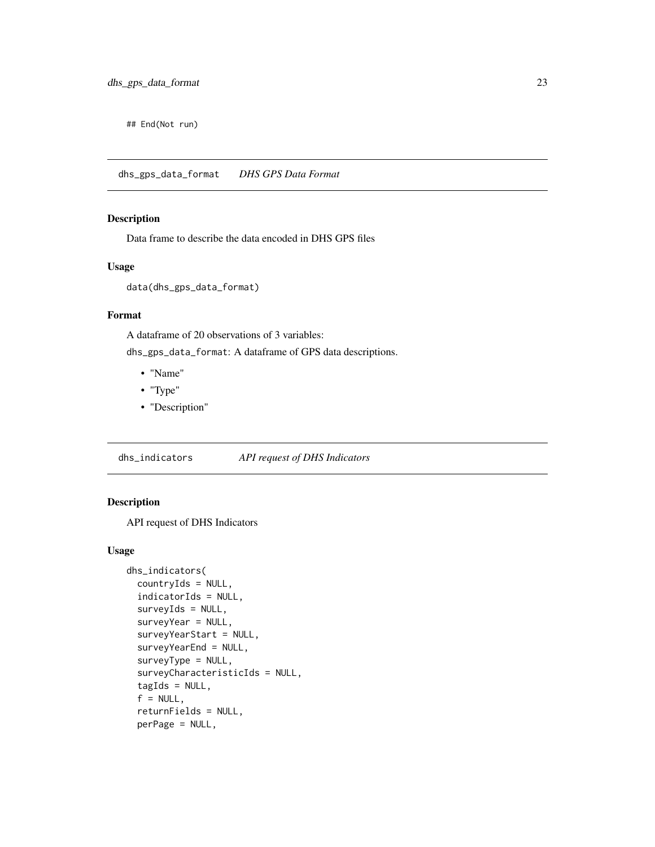<span id="page-22-0"></span>## End(Not run)

dhs\_gps\_data\_format *DHS GPS Data Format*

# Description

Data frame to describe the data encoded in DHS GPS files

# Usage

data(dhs\_gps\_data\_format)

# Format

A dataframe of 20 observations of 3 variables:

dhs\_gps\_data\_format: A dataframe of GPS data descriptions.

- "Name"
- "Type"
- "Description"

dhs\_indicators *API request of DHS Indicators*

# Description

API request of DHS Indicators

#### Usage

```
dhs_indicators(
  countryIds = NULL,
  indicatorIds = NULL,
  surveyIds = NULL,
  surveyYear = NULL,
  surveyYearStart = NULL,
  surveyYearEnd = NULL,
  surveyType = NULL,
  surveyCharacteristicIds = NULL,
  tagIds = NULL,f = NULL,returnFields = NULL,
  perPage = NULL,
```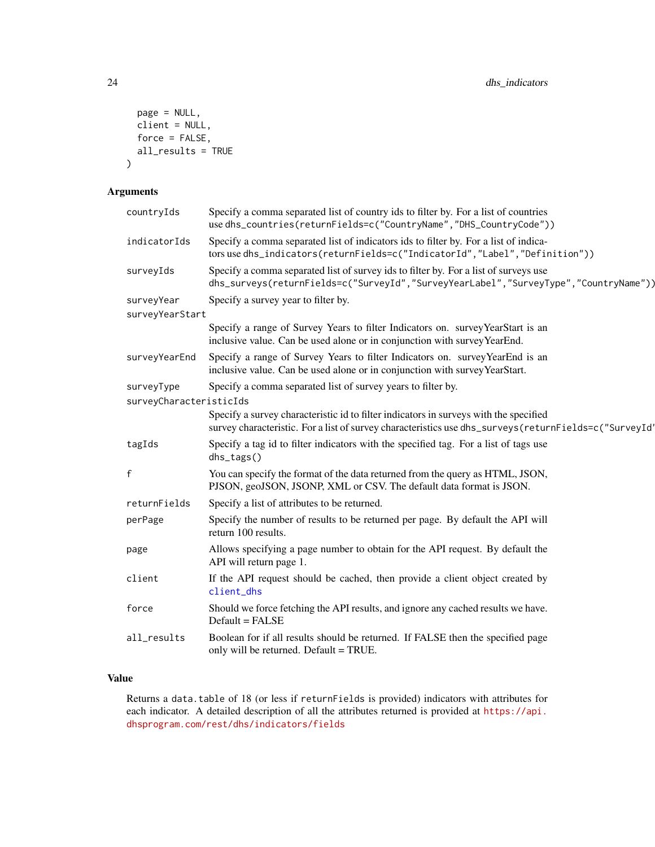```
page = NULL,
 client = NULL,
 force = FALSE,
 all_results = TRUE
)
```
# Arguments

| countryIds                            | Specify a comma separated list of country ids to filter by. For a list of countries<br>use dhs_countries(returnFields=c("CountryName","DHS_CountryCode"))                                      |
|---------------------------------------|------------------------------------------------------------------------------------------------------------------------------------------------------------------------------------------------|
| indicatorIds                          | Specify a comma separated list of indicators ids to filter by. For a list of indica-<br>tors use dhs_indicators(returnFields=c("IndicatorId","Label","Definition"))                            |
| surveyIds                             | Specify a comma separated list of survey ids to filter by. For a list of surveys use<br>dhs_surveys(returnFields=c("SurveyId","SurveyYearLabel","SurveyType","CountryName"))                   |
| surveyYear<br>surveyYearStart         | Specify a survey year to filter by.                                                                                                                                                            |
|                                       | Specify a range of Survey Years to filter Indicators on. survey YearStart is an<br>inclusive value. Can be used alone or in conjunction with survey YearEnd.                                   |
| surveyYearEnd                         | Specify a range of Survey Years to filter Indicators on. survey YearEnd is an<br>inclusive value. Can be used alone or in conjunction with survey YearStart.                                   |
| surveyType<br>surveyCharacteristicIds | Specify a comma separated list of survey years to filter by.                                                                                                                                   |
|                                       | Specify a survey characteristic id to filter indicators in surveys with the specified<br>survey characteristic. For a list of survey characteristics use dhs_surveys(returnFields=c("SurveyId' |
| tagIds                                | Specify a tag id to filter indicators with the specified tag. For a list of tags use<br>dhs_tags()                                                                                             |
| $\mathsf{f}$                          | You can specify the format of the data returned from the query as HTML, JSON,<br>PJSON, geoJSON, JSONP, XML or CSV. The default data format is JSON.                                           |
| returnFields                          | Specify a list of attributes to be returned.                                                                                                                                                   |
| perPage                               | Specify the number of results to be returned per page. By default the API will<br>return 100 results.                                                                                          |
| page                                  | Allows specifying a page number to obtain for the API request. By default the<br>API will return page 1.                                                                                       |
| client                                | If the API request should be cached, then provide a client object created by<br>client_dhs                                                                                                     |
| force                                 | Should we force fetching the API results, and ignore any cached results we have.<br>Default = FALSE                                                                                            |
| all_results                           | Boolean for if all results should be returned. If FALSE then the specified page<br>only will be returned. Default = TRUE.                                                                      |
|                                       |                                                                                                                                                                                                |

# Value

Returns a data.table of 18 (or less if returnFields is provided) indicators with attributes for each indicator. A detailed description of all the attributes returned is provided at [https://api.](https://api.dhsprogram.com/rest/dhs/indicators/fields) [dhsprogram.com/rest/dhs/indicators/fields](https://api.dhsprogram.com/rest/dhs/indicators/fields)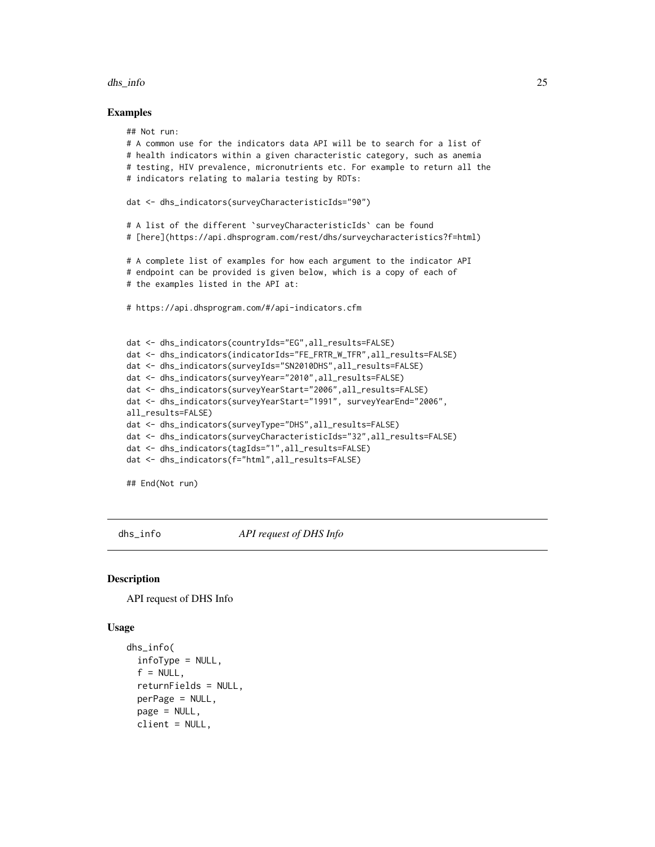#### <span id="page-24-0"></span>dhs\_info 25

#### Examples

```
## Not run:
# A common use for the indicators data API will be to search for a list of
# health indicators within a given characteristic category, such as anemia
# testing, HIV prevalence, micronutrients etc. For example to return all the
# indicators relating to malaria testing by RDTs:
dat <- dhs_indicators(surveyCharacteristicIds="90")
# A list of the different `surveyCharacteristicIds` can be found
# [here](https://api.dhsprogram.com/rest/dhs/surveycharacteristics?f=html)
# A complete list of examples for how each argument to the indicator API
# endpoint can be provided is given below, which is a copy of each of
# the examples listed in the API at:
# https://api.dhsprogram.com/#/api-indicators.cfm
dat <- dhs_indicators(countryIds="EG",all_results=FALSE)
dat <- dhs_indicators(indicatorIds="FE_FRTR_W_TFR",all_results=FALSE)
dat <- dhs_indicators(surveyIds="SN2010DHS",all_results=FALSE)
dat <- dhs_indicators(surveyYear="2010",all_results=FALSE)
dat <- dhs_indicators(surveyYearStart="2006",all_results=FALSE)
dat <- dhs_indicators(surveyYearStart="1991", surveyYearEnd="2006",
all_results=FALSE)
dat <- dhs_indicators(surveyType="DHS",all_results=FALSE)
dat <- dhs_indicators(surveyCharacteristicIds="32",all_results=FALSE)
dat <- dhs_indicators(tagIds="1",all_results=FALSE)
dat <- dhs_indicators(f="html",all_results=FALSE)
## End(Not run)
```
dhs\_info *API request of DHS Info*

#### **Description**

API request of DHS Info

#### Usage

```
dhs_info(
  infoType = NULL,
  f = NULL.
  returnFields = NULL,
  perPage = NULL,
  page = NULL,
  client = NULL,
```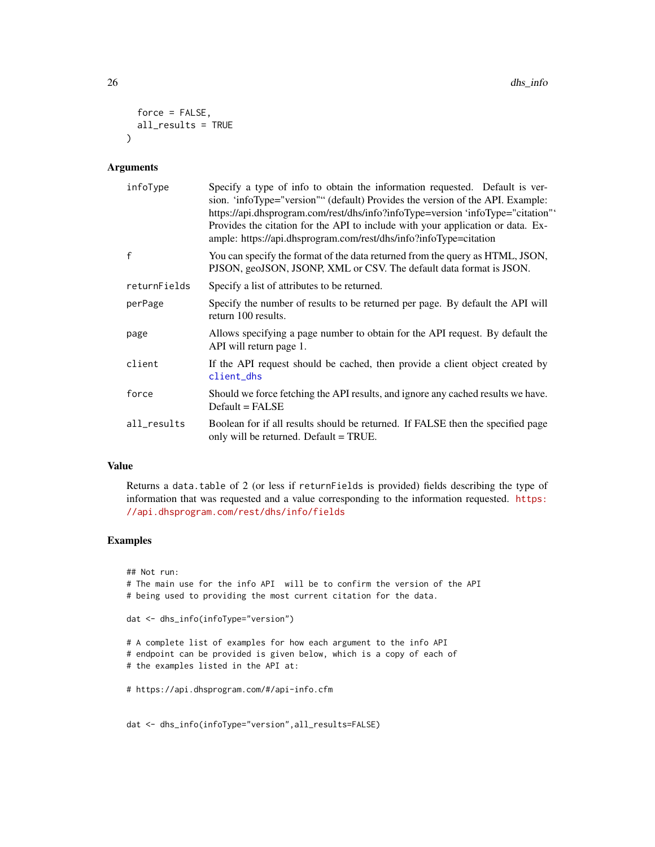```
force = FALSE,
  all_results = TRUE
\lambda
```
# Arguments

| infoType     | Specify a type of info to obtain the information requested. Default is ver-<br>sion. 'infoType="version"" (default) Provides the version of the API. Example:<br>https://api.dhsprogram.com/rest/dhs/info?infoType=version 'infoType="citation"'<br>Provides the citation for the API to include with your application or data. Ex-<br>ample: https://api.dhsprogram.com/rest/dhs/info?infoType=citation |
|--------------|----------------------------------------------------------------------------------------------------------------------------------------------------------------------------------------------------------------------------------------------------------------------------------------------------------------------------------------------------------------------------------------------------------|
| $\mathsf{f}$ | You can specify the format of the data returned from the query as HTML, JSON,<br>PJSON, geoJSON, JSONP, XML or CSV. The default data format is JSON.                                                                                                                                                                                                                                                     |
| returnFields | Specify a list of attributes to be returned.                                                                                                                                                                                                                                                                                                                                                             |
| perPage      | Specify the number of results to be returned per page. By default the API will<br>return 100 results.                                                                                                                                                                                                                                                                                                    |
| page         | Allows specifying a page number to obtain for the API request. By default the<br>API will return page 1.                                                                                                                                                                                                                                                                                                 |
| client       | If the API request should be cached, then provide a client object created by<br>client_dhs                                                                                                                                                                                                                                                                                                               |
| force        | Should we force fetching the API results, and ignore any cached results we have.<br>$Default = FALSE$                                                                                                                                                                                                                                                                                                    |
| all_results  | Boolean for if all results should be returned. If FALSE then the specified page<br>only will be returned. Default = TRUE.                                                                                                                                                                                                                                                                                |

# Value

Returns a data.table of 2 (or less if returnFields is provided) fields describing the type of information that was requested and a value corresponding to the information requested. [https:](https://api.dhsprogram.com/rest/dhs/info/fields) [//api.dhsprogram.com/rest/dhs/info/fields](https://api.dhsprogram.com/rest/dhs/info/fields)

# Examples

## Not run: # The main use for the info API will be to confirm the version of the API # being used to providing the most current citation for the data. dat <- dhs\_info(infoType="version") # A complete list of examples for how each argument to the info API # endpoint can be provided is given below, which is a copy of each of # the examples listed in the API at: # https://api.dhsprogram.com/#/api-info.cfm

dat <- dhs\_info(infoType="version",all\_results=FALSE)

<span id="page-25-0"></span>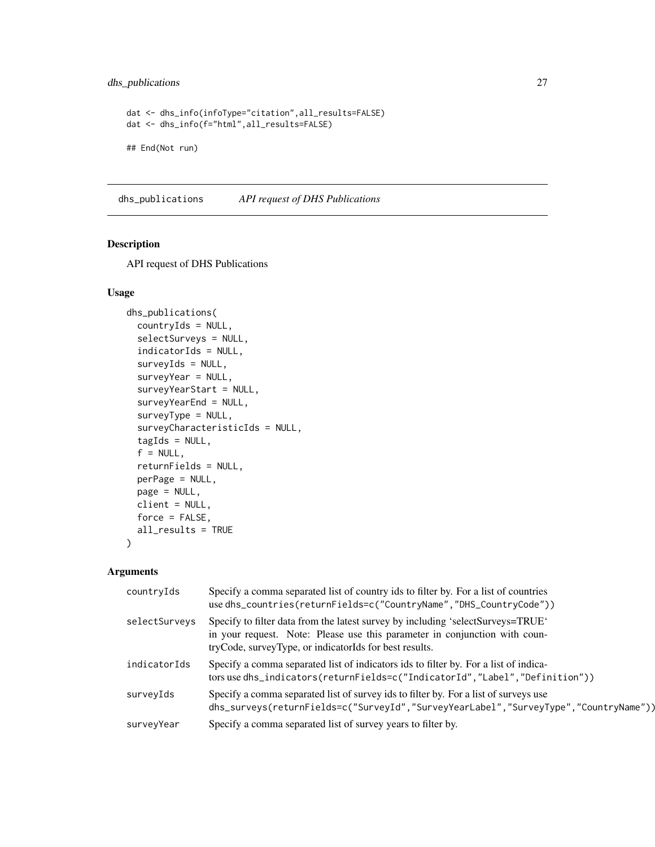# <span id="page-26-0"></span>dhs\_publications 27

```
dat <- dhs_info(infoType="citation",all_results=FALSE)
dat <- dhs_info(f="html",all_results=FALSE)
## End(Not run)
```
dhs\_publications *API request of DHS Publications*

#### Description

API request of DHS Publications

#### Usage

```
dhs_publications(
  countryIds = NULL,
  selectSurveys = NULL,
  indicatorIds = NULL,
  surveyIds = NULL,
  surveyYear = NULL,
  surveyYearStart = NULL,
  surveyYearEnd = NULL,
  surveyType = NULL,
  surveyCharacteristicIds = NULL,
  tagIds = NULL,f = NULL,returnFields = NULL,
  perPage = NULL,
 page = NULL,
  client = NULL,
  force = FALSE,
  all_results = TRUE
)
```
# Arguments

| countryIds    | Specify a comma separated list of country ids to filter by. For a list of countries<br>use dhs_countries(returnFields=c("CountryName","DHS_CountryCode"))                                                               |
|---------------|-------------------------------------------------------------------------------------------------------------------------------------------------------------------------------------------------------------------------|
| selectSurveys | Specify to filter data from the latest survey by including 'selectSurveys=TRUE'<br>in your request. Note: Please use this parameter in conjunction with coun-<br>tryCode, surveyType, or indicatorIds for best results. |
| indicatorIds  | Specify a comma separated list of indicators ids to filter by. For a list of indica-<br>tors use dhs_indicators(returnFields=c("IndicatorId","Label","Definition"))                                                     |
| surveyIds     | Specify a comma separated list of survey ids to filter by. For a list of surveys use<br>dhs_surveys(returnFields=c("SurveyId","SurveyYearLabel","SurveyType","CountryName"))                                            |
| surveyYear    | Specify a comma separated list of survey years to filter by.                                                                                                                                                            |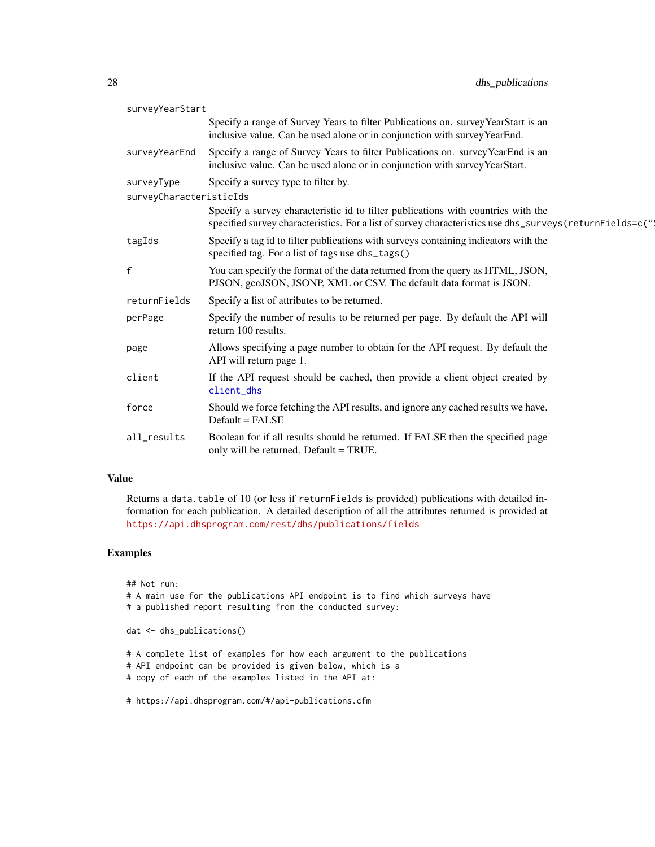<span id="page-27-0"></span>

| surveyYearStart         |                                                                                                                                                                                                |
|-------------------------|------------------------------------------------------------------------------------------------------------------------------------------------------------------------------------------------|
|                         | Specify a range of Survey Years to filter Publications on. survey YearStart is an<br>inclusive value. Can be used alone or in conjunction with survey YearEnd.                                 |
| surveyYearEnd           | Specify a range of Survey Years to filter Publications on. survey YearEnd is an<br>inclusive value. Can be used alone or in conjunction with survey YearStart.                                 |
| surveyType              | Specify a survey type to filter by.                                                                                                                                                            |
| surveyCharacteristicIds |                                                                                                                                                                                                |
|                         | Specify a survey characteristic id to filter publications with countries with the<br>specified survey characteristics. For a list of survey characteristics use dhs_surveys (returnFields=c(") |
| tagIds                  | Specify a tag id to filter publications with surveys containing indicators with the<br>specified tag. For a list of tags use dhs_tags()                                                        |
| $\mathsf{f}$            | You can specify the format of the data returned from the query as HTML, JSON,<br>PJSON, geoJSON, JSONP, XML or CSV. The default data format is JSON.                                           |
| returnFields            | Specify a list of attributes to be returned.                                                                                                                                                   |
| perPage                 | Specify the number of results to be returned per page. By default the API will<br>return 100 results.                                                                                          |
| page                    | Allows specifying a page number to obtain for the API request. By default the<br>API will return page 1.                                                                                       |
| client                  | If the API request should be cached, then provide a client object created by<br>client_dhs                                                                                                     |
| force                   | Should we force fetching the API results, and ignore any cached results we have.<br>$Default = FALSE$                                                                                          |
| all_results             | Boolean for if all results should be returned. If FALSE then the specified page<br>only will be returned. Default = TRUE.                                                                      |

#### Value

Returns a data.table of 10 (or less if returnFields is provided) publications with detailed information for each publication. A detailed description of all the attributes returned is provided at <https://api.dhsprogram.com/rest/dhs/publications/fields>

# Examples

## Not run: # A main use for the publications API endpoint is to find which surveys have # a published report resulting from the conducted survey: dat <- dhs\_publications() # A complete list of examples for how each argument to the publications

# API endpoint can be provided is given below, which is a

# copy of each of the examples listed in the API at:

# https://api.dhsprogram.com/#/api-publications.cfm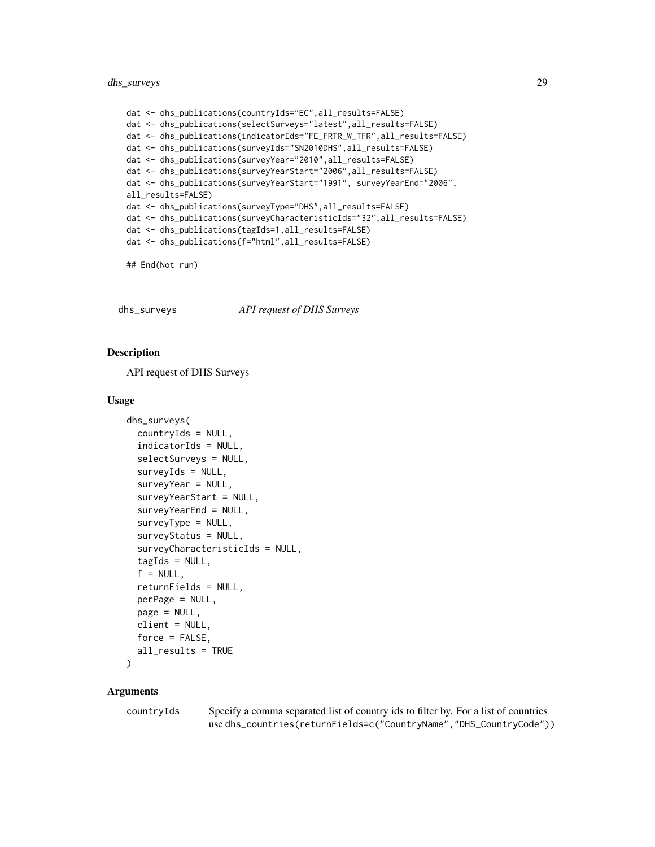# <span id="page-28-0"></span>dhs\_surveys 29

```
dat <- dhs_publications(countryIds="EG",all_results=FALSE)
dat <- dhs_publications(selectSurveys="latest",all_results=FALSE)
dat <- dhs_publications(indicatorIds="FE_FRTR_W_TFR",all_results=FALSE)
dat <- dhs_publications(surveyIds="SN2010DHS",all_results=FALSE)
dat <- dhs_publications(surveyYear="2010",all_results=FALSE)
dat <- dhs_publications(surveyYearStart="2006",all_results=FALSE)
dat <- dhs_publications(surveyYearStart="1991", surveyYearEnd="2006",
all_results=FALSE)
dat <- dhs_publications(surveyType="DHS",all_results=FALSE)
dat <- dhs_publications(surveyCharacteristicIds="32",all_results=FALSE)
dat <- dhs_publications(tagIds=1,all_results=FALSE)
dat <- dhs_publications(f="html",all_results=FALSE)
```
## End(Not run)

<span id="page-28-1"></span>dhs\_surveys *API request of DHS Surveys*

#### Description

API request of DHS Surveys

#### Usage

```
dhs_surveys(
  countryIds = NULL,
  indicatorIds = NULL,
  selectSurveys = NULL,
  surveyIds = NULL,
  surveyYear = NULL,
  surveyYearStart = NULL,
  surveyYearEnd = NULL,
  surveyType = NULL,
  surveyStatus = NULL,
  surveyCharacteristicIds = NULL,
  tagIds = NULL,f = NULL,returnFields = NULL,
  perPage = NULL,
 page = NULL,
 client = NULL,
  force = FALSE,
  all_results = TRUE
\lambda
```
#### Arguments

countryIds Specify a comma separated list of country ids to filter by. For a list of countries use dhs\_countries(returnFields=c("CountryName","DHS\_CountryCode"))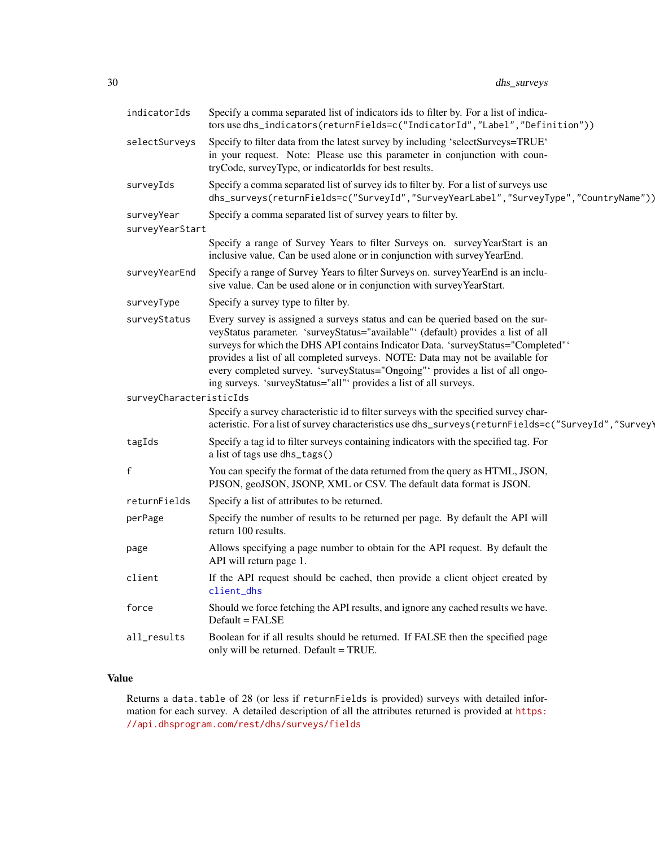<span id="page-29-0"></span>

| indicatorIds                  | Specify a comma separated list of indicators ids to filter by. For a list of indica-<br>tors use dhs_indicators(returnFields=c("IndicatorId","Label","Definition"))                                                                                                                                                                                                                                                                                                                           |
|-------------------------------|-----------------------------------------------------------------------------------------------------------------------------------------------------------------------------------------------------------------------------------------------------------------------------------------------------------------------------------------------------------------------------------------------------------------------------------------------------------------------------------------------|
| selectSurveys                 | Specify to filter data from the latest survey by including 'selectSurveys=TRUE'<br>in your request. Note: Please use this parameter in conjunction with coun-<br>tryCode, surveyType, or indicatorIds for best results.                                                                                                                                                                                                                                                                       |
| surveyIds                     | Specify a comma separated list of survey ids to filter by. For a list of surveys use<br>dhs_surveys(returnFields=c("SurveyId","SurveyYearLabel","SurveyType","CountryName"))                                                                                                                                                                                                                                                                                                                  |
| surveyYear<br>surveyYearStart | Specify a comma separated list of survey years to filter by.                                                                                                                                                                                                                                                                                                                                                                                                                                  |
|                               | Specify a range of Survey Years to filter Surveys on. survey YearStart is an<br>inclusive value. Can be used alone or in conjunction with survey YearEnd.                                                                                                                                                                                                                                                                                                                                     |
| surveyYearEnd                 | Specify a range of Survey Years to filter Surveys on. survey YearEnd is an inclu-<br>sive value. Can be used alone or in conjunction with survey YearStart.                                                                                                                                                                                                                                                                                                                                   |
| surveyType                    | Specify a survey type to filter by.                                                                                                                                                                                                                                                                                                                                                                                                                                                           |
| surveyStatus                  | Every survey is assigned a surveys status and can be queried based on the sur-<br>veyStatus parameter. 'surveyStatus="available" (default) provides a list of all<br>surveys for which the DHS API contains Indicator Data. 'surveyStatus="Completed"'<br>provides a list of all completed surveys. NOTE: Data may not be available for<br>every completed survey. 'surveyStatus="Ongoing"' provides a list of all ongo-<br>ing surveys. 'surveyStatus="all"' provides a list of all surveys. |
| surveyCharacteristicIds       |                                                                                                                                                                                                                                                                                                                                                                                                                                                                                               |
|                               | Specify a survey characteristic id to filter surveys with the specified survey char-<br>acteristic. For a list of survey characteristics use dhs_surveys (returnFields=c("SurveyId", "Survey)                                                                                                                                                                                                                                                                                                 |
| tagIds                        | Specify a tag id to filter surveys containing indicators with the specified tag. For<br>a list of tags use dhs_tags()                                                                                                                                                                                                                                                                                                                                                                         |
| $\mathsf f$                   | You can specify the format of the data returned from the query as HTML, JSON,<br>PJSON, geoJSON, JSONP, XML or CSV. The default data format is JSON.                                                                                                                                                                                                                                                                                                                                          |
| returnFields                  | Specify a list of attributes to be returned.                                                                                                                                                                                                                                                                                                                                                                                                                                                  |
| perPage                       | Specify the number of results to be returned per page. By default the API will<br>return 100 results.                                                                                                                                                                                                                                                                                                                                                                                         |
| page                          | Allows specifying a page number to obtain for the API request. By default the<br>API will return page 1.                                                                                                                                                                                                                                                                                                                                                                                      |
| client                        | If the API request should be cached, then provide a client object created by<br>client_dhs                                                                                                                                                                                                                                                                                                                                                                                                    |
| force                         | Should we force fetching the API results, and ignore any cached results we have.<br>Default = FALSE                                                                                                                                                                                                                                                                                                                                                                                           |
| all_results                   | Boolean for if all results should be returned. If FALSE then the specified page<br>only will be returned. Default = TRUE.                                                                                                                                                                                                                                                                                                                                                                     |

# Value

Returns a data.table of 28 (or less if returnFields is provided) surveys with detailed information for each survey. A detailed description of all the attributes returned is provided at [https:](https://api.dhsprogram.com/rest/dhs/surveys/fields) [//api.dhsprogram.com/rest/dhs/surveys/fields](https://api.dhsprogram.com/rest/dhs/surveys/fields)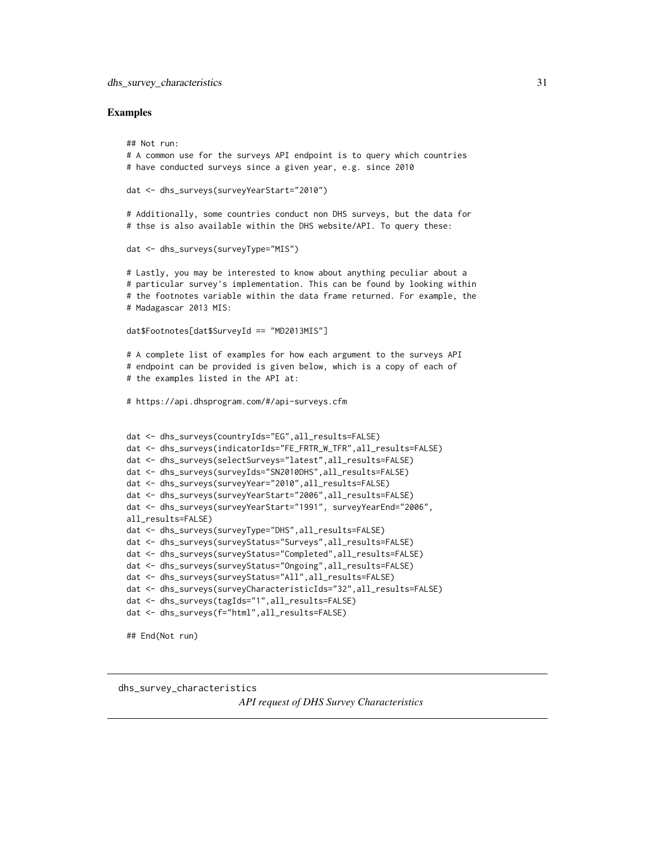#### <span id="page-30-0"></span>Examples

```
## Not run:
# A common use for the surveys API endpoint is to query which countries
# have conducted surveys since a given year, e.g. since 2010
dat <- dhs_surveys(surveyYearStart="2010")
# Additionally, some countries conduct non DHS surveys, but the data for
# thse is also available within the DHS website/API. To query these:
dat <- dhs_surveys(surveyType="MIS")
# Lastly, you may be interested to know about anything peculiar about a
# particular survey's implementation. This can be found by looking within
# the footnotes variable within the data frame returned. For example, the
# Madagascar 2013 MIS:
dat$Footnotes[dat$SurveyId == "MD2013MIS"]
# A complete list of examples for how each argument to the surveys API
# endpoint can be provided is given below, which is a copy of each of
# the examples listed in the API at:
# https://api.dhsprogram.com/#/api-surveys.cfm
dat <- dhs_surveys(countryIds="EG",all_results=FALSE)
dat <- dhs_surveys(indicatorIds="FE_FRTR_W_TFR",all_results=FALSE)
dat <- dhs_surveys(selectSurveys="latest",all_results=FALSE)
dat <- dhs_surveys(surveyIds="SN2010DHS",all_results=FALSE)
dat <- dhs_surveys(surveyYear="2010",all_results=FALSE)
dat <- dhs_surveys(surveyYearStart="2006",all_results=FALSE)
dat <- dhs_surveys(surveyYearStart="1991", surveyYearEnd="2006",
all_results=FALSE)
dat <- dhs_surveys(surveyType="DHS",all_results=FALSE)
dat <- dhs_surveys(surveyStatus="Surveys",all_results=FALSE)
dat <- dhs_surveys(surveyStatus="Completed",all_results=FALSE)
dat <- dhs_surveys(surveyStatus="Ongoing",all_results=FALSE)
dat <- dhs_surveys(surveyStatus="All",all_results=FALSE)
dat <- dhs_surveys(surveyCharacteristicIds="32",all_results=FALSE)
dat <- dhs_surveys(tagIds="1",all_results=FALSE)
dat <- dhs_surveys(f="html",all_results=FALSE)
## End(Not run)
```
dhs\_survey\_characteristics

*API request of DHS Survey Characteristics*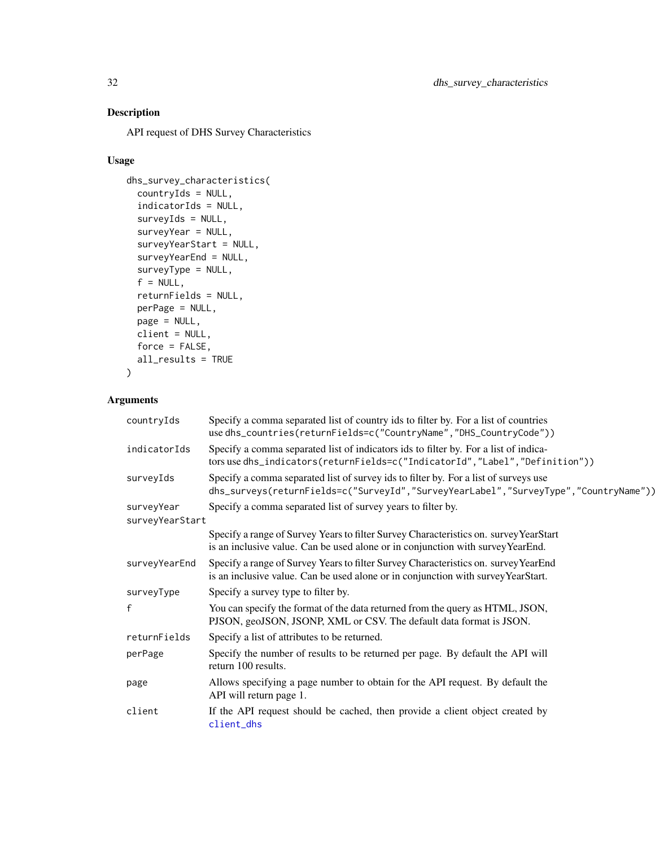# <span id="page-31-0"></span>Description

API request of DHS Survey Characteristics

# Usage

```
dhs_survey_characteristics(
  countryIds = NULL,
  indicatorIds = NULL,
  surveyIds = NULL,
  surveyYear = NULL,
  surveyYearStart = NULL,
  surveyYearEnd = NULL,
  surveyType = NULL,
  f = NULL,returnFields = NULL,
 perPage = NULL,
 page = NULL,
 client = NULL,
 force = FALSE,
 all_results = TRUE
\lambda
```
# Arguments

| countryIds      | Specify a comma separated list of country ids to filter by. For a list of countries<br>use dhs_countries(returnFields=c("CountryName","DHS_CountryCode"))                    |
|-----------------|------------------------------------------------------------------------------------------------------------------------------------------------------------------------------|
| indicatorIds    | Specify a comma separated list of indicators ids to filter by. For a list of indica-<br>tors use dhs_indicators(returnFields=c("IndicatorId","Label","Definition"))          |
| surveyIds       | Specify a comma separated list of survey ids to filter by. For a list of surveys use<br>dhs_surveys(returnFields=c("SurveyId","SurveyYearLabel","SurveyType","CountryName")) |
| surveyYear      | Specify a comma separated list of survey years to filter by.                                                                                                                 |
| surveyYearStart |                                                                                                                                                                              |
|                 | Specify a range of Survey Years to filter Survey Characteristics on. survey YearStart<br>is an inclusive value. Can be used alone or in conjunction with survey YearEnd.     |
| surveyYearEnd   | Specify a range of Survey Years to filter Survey Characteristics on. survey YearEnd<br>is an inclusive value. Can be used alone or in conjunction with survey YearStart.     |
| surveyType      | Specify a survey type to filter by.                                                                                                                                          |
| f               | You can specify the format of the data returned from the query as HTML, JSON,<br>PJSON, geoJSON, JSONP, XML or CSV. The default data format is JSON.                         |
| returnFields    | Specify a list of attributes to be returned.                                                                                                                                 |
| perPage         | Specify the number of results to be returned per page. By default the API will<br>return 100 results.                                                                        |
| page            | Allows specifying a page number to obtain for the API request. By default the<br>API will return page 1.                                                                     |
| client          | If the API request should be cached, then provide a client object created by<br>client_dhs                                                                                   |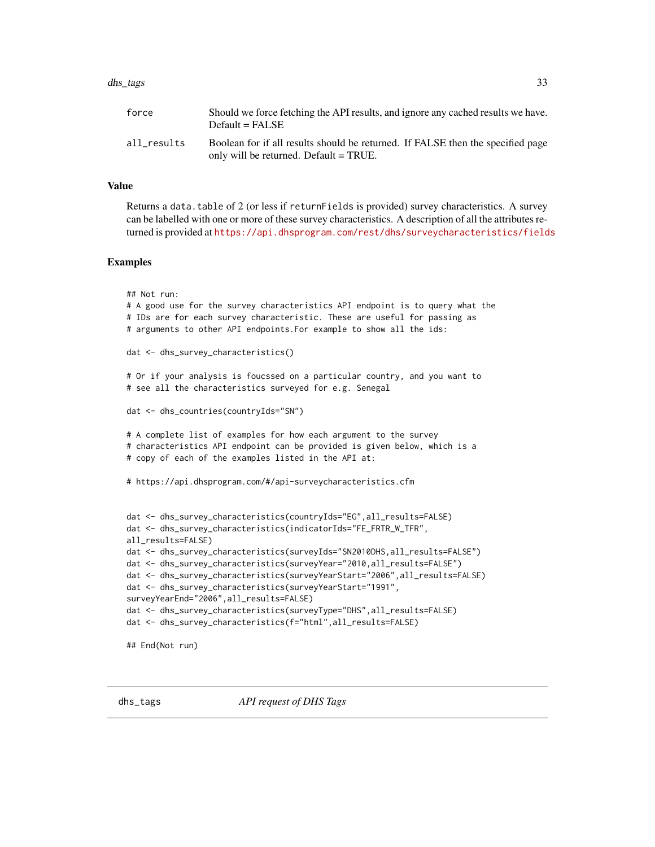#### <span id="page-32-0"></span>dhs\_tags 33

| force       | Should we force fetching the API results, and ignore any cached results we have.<br>$Default = FALSE$                     |
|-------------|---------------------------------------------------------------------------------------------------------------------------|
| all results | Boolean for if all results should be returned. If FALSE then the specified page<br>only will be returned. Default = TRUE. |

#### Value

Returns a data.table of 2 (or less if returnFields is provided) survey characteristics. A survey can be labelled with one or more of these survey characteristics. A description of all the attributes returned is provided at <https://api.dhsprogram.com/rest/dhs/surveycharacteristics/fields>

#### Examples

```
## Not run:
# A good use for the survey characteristics API endpoint is to query what the
# IDs are for each survey characteristic. These are useful for passing as
# arguments to other API endpoints.For example to show all the ids:
dat <- dhs_survey_characteristics()
# Or if your analysis is foucssed on a particular country, and you want to
# see all the characteristics surveyed for e.g. Senegal
dat <- dhs_countries(countryIds="SN")
# A complete list of examples for how each argument to the survey
# characteristics API endpoint can be provided is given below, which is a
# copy of each of the examples listed in the API at:
# https://api.dhsprogram.com/#/api-surveycharacteristics.cfm
dat <- dhs_survey_characteristics(countryIds="EG",all_results=FALSE)
dat <- dhs_survey_characteristics(indicatorIds="FE_FRTR_W_TFR",
all_results=FALSE)
dat <- dhs_survey_characteristics(surveyIds="SN2010DHS,all_results=FALSE")
dat <- dhs_survey_characteristics(surveyYear="2010,all_results=FALSE")
dat <- dhs_survey_characteristics(surveyYearStart="2006",all_results=FALSE)
dat <- dhs_survey_characteristics(surveyYearStart="1991",
surveyYearEnd="2006",all_results=FALSE)
dat <- dhs_survey_characteristics(surveyType="DHS",all_results=FALSE)
```

```
dat <- dhs_survey_characteristics(f="html",all_results=FALSE)
```

```
## End(Not run)
```
dhs\_tags *API request of DHS Tags*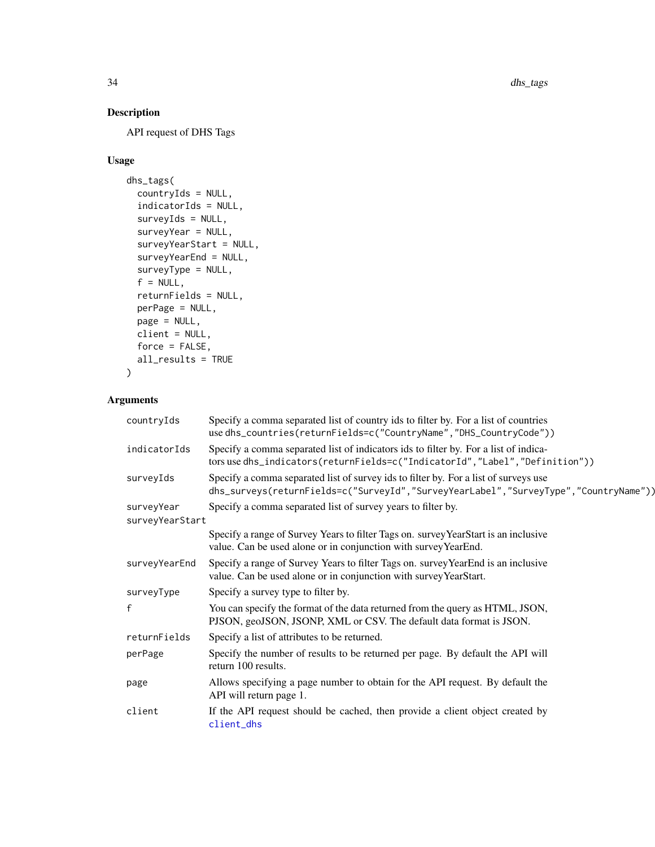# <span id="page-33-0"></span>Description

API request of DHS Tags

# Usage

```
dhs_tags(
 countryIds = NULL,
  indicatorIds = NULL,
  surveyIds = NULL,
  surveyYear = NULL,
  surveyYearStart = NULL,
  surveyYearEnd = NULL,
  surveyType = NULL,
  f = NULL,returnFields = NULL,
 perPage = NULL,
 page = NULL,
 client = NULL,
 force = FALSE,
 all_results = TRUE
\mathcal{L}
```
# Arguments

| countryIds      | Specify a comma separated list of country ids to filter by. For a list of countries<br>use dhs_countries(returnFields=c("CountryName","DHS_CountryCode"))                    |
|-----------------|------------------------------------------------------------------------------------------------------------------------------------------------------------------------------|
| indicatorIds    | Specify a comma separated list of indicators ids to filter by. For a list of indica-<br>tors use dhs_indicators(returnFields=c("IndicatorId","Label","Definition"))          |
| surveyIds       | Specify a comma separated list of survey ids to filter by. For a list of surveys use<br>dhs_surveys(returnFields=c("SurveyId","SurveyYearLabel","SurveyType","CountryName")) |
| surveyYear      | Specify a comma separated list of survey years to filter by.                                                                                                                 |
| surveyYearStart |                                                                                                                                                                              |
|                 | Specify a range of Survey Years to filter Tags on. survey YearStart is an inclusive<br>value. Can be used alone or in conjunction with survey YearEnd.                       |
| surveyYearEnd   | Specify a range of Survey Years to filter Tags on. survey YearEnd is an inclusive<br>value. Can be used alone or in conjunction with survey YearStart.                       |
| surveyType      | Specify a survey type to filter by.                                                                                                                                          |
| $\mathsf{f}$    | You can specify the format of the data returned from the query as HTML, JSON,<br>PJSON, geoJSON, JSONP, XML or CSV. The default data format is JSON.                         |
| returnFields    | Specify a list of attributes to be returned.                                                                                                                                 |
| perPage         | Specify the number of results to be returned per page. By default the API will<br>return 100 results.                                                                        |
| page            | Allows specifying a page number to obtain for the API request. By default the<br>API will return page 1.                                                                     |
| client          | If the API request should be cached, then provide a client object created by<br>client_dhs                                                                                   |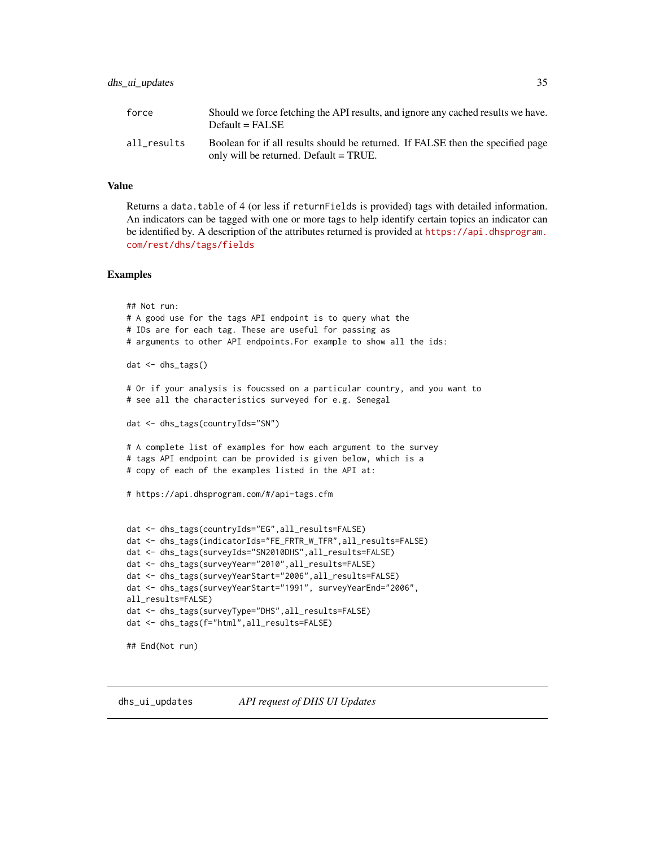#### <span id="page-34-0"></span>dhs\_ui\_updates 35

#### Value

Returns a data.table of 4 (or less if returnFields is provided) tags with detailed information. An indicators can be tagged with one or more tags to help identify certain topics an indicator can be identified by. A description of the attributes returned is provided at [https://api.dhsprogram.](https://api.dhsprogram.com/rest/dhs/tags/fields) [com/rest/dhs/tags/fields](https://api.dhsprogram.com/rest/dhs/tags/fields)

```
## Not run:
# A good use for the tags API endpoint is to query what the
# IDs are for each tag. These are useful for passing as
# arguments to other API endpoints.For example to show all the ids:
dat <- dhs_tags()
# Or if your analysis is foucssed on a particular country, and you want to
# see all the characteristics surveyed for e.g. Senegal
dat <- dhs_tags(countryIds="SN")
# A complete list of examples for how each argument to the survey
# tags API endpoint can be provided is given below, which is a
# copy of each of the examples listed in the API at:
# https://api.dhsprogram.com/#/api-tags.cfm
dat <- dhs_tags(countryIds="EG",all_results=FALSE)
dat <- dhs_tags(indicatorIds="FE_FRTR_W_TFR",all_results=FALSE)
dat <- dhs_tags(surveyIds="SN2010DHS",all_results=FALSE)
dat <- dhs_tags(surveyYear="2010",all_results=FALSE)
dat <- dhs_tags(surveyYearStart="2006",all_results=FALSE)
dat <- dhs_tags(surveyYearStart="1991", surveyYearEnd="2006",
all_results=FALSE)
dat <- dhs_tags(surveyType="DHS",all_results=FALSE)
dat <- dhs_tags(f="html",all_results=FALSE)
## End(Not run)
```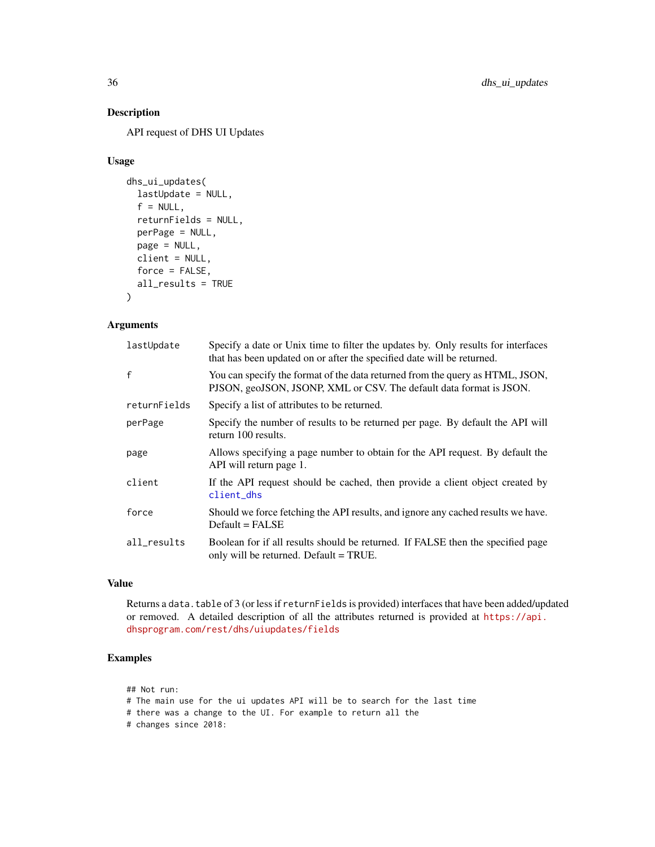# Description

API request of DHS UI Updates

#### Usage

```
dhs_ui_updates(
  lastUpdate = NULL,
  f = NULL,
  returnFields = NULL,
  perPage = NULL,
 page = NULL,
 client = NULL,
  force = FALSE,
  all_results = TRUE
\mathcal{L}
```
# Arguments

| lastUpdate   | Specify a date or Unix time to filter the updates by. Only results for interfaces<br>that has been updated on or after the specified date will be returned. |
|--------------|-------------------------------------------------------------------------------------------------------------------------------------------------------------|
| $\mathbf{f}$ | You can specify the format of the data returned from the query as HTML, JSON,<br>PJSON, geoJSON, JSONP, XML or CSV. The default data format is JSON.        |
| returnFields | Specify a list of attributes to be returned.                                                                                                                |
| perPage      | Specify the number of results to be returned per page. By default the API will<br>return 100 results.                                                       |
| page         | Allows specifying a page number to obtain for the API request. By default the<br>API will return page 1.                                                    |
| client       | If the API request should be cached, then provide a client object created by<br>client_dhs                                                                  |
| force        | Should we force fetching the API results, and ignore any cached results we have.<br>$Default = FALSE$                                                       |
| all_results  | Boolean for if all results should be returned. If FALSE then the specified page<br>only will be returned. Default = TRUE.                                   |

# Value

Returns a data.table of 3 (or less if returnFields is provided) interfaces that have been added/updated or removed. A detailed description of all the attributes returned is provided at [https://api.](https://api.dhsprogram.com/rest/dhs/uiupdates/fields) [dhsprogram.com/rest/dhs/uiupdates/fields](https://api.dhsprogram.com/rest/dhs/uiupdates/fields)

# Examples

## Not run:

- # The main use for the ui updates API will be to search for the last time
- # there was a change to the UI. For example to return all the
- # changes since 2018:

<span id="page-35-0"></span>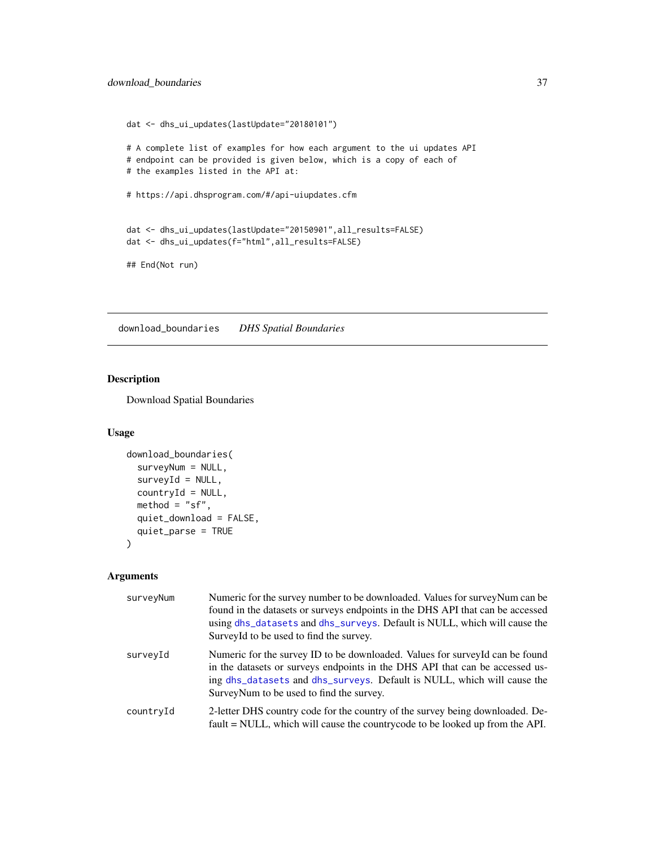# <span id="page-36-0"></span>download\_boundaries 37

```
dat <- dhs_ui_updates(lastUpdate="20180101")
# A complete list of examples for how each argument to the ui updates API
# endpoint can be provided is given below, which is a copy of each of
# the examples listed in the API at:
# https://api.dhsprogram.com/#/api-uiupdates.cfm
dat <- dhs_ui_updates(lastUpdate="20150901",all_results=FALSE)
dat <- dhs_ui_updates(f="html",all_results=FALSE)
## End(Not run)
```
download\_boundaries *DHS Spatial Boundaries*

# Description

Download Spatial Boundaries

#### Usage

```
download_boundaries(
 surveyNum = NULL,
 surveyId = NULL,countryId = NULL,
 method = "sf,
 quiet_download = FALSE,
 quiet_parse = TRUE
)
```
# Arguments

| surveyNum | Numeric for the survey number to be downloaded. Values for survey Num can be<br>found in the datasets or surveys endpoints in the DHS API that can be accessed<br>using dhs_datasets and dhs_surveys. Default is NULL, which will cause the<br>Survey Id to be used to find the survey. |
|-----------|-----------------------------------------------------------------------------------------------------------------------------------------------------------------------------------------------------------------------------------------------------------------------------------------|
| surveyId  | Numeric for the survey ID to be downloaded. Values for survey Id can be found<br>in the datasets or surveys endpoints in the DHS API that can be accessed us-<br>ing dhs_datasets and dhs_surveys. Default is NULL, which will cause the<br>Survey Num to be used to find the survey.   |
| countryId | 2-letter DHS country code for the country of the survey being downloaded. De-<br>fault = NULL, which will cause the countrycode to be looked up from the API.                                                                                                                           |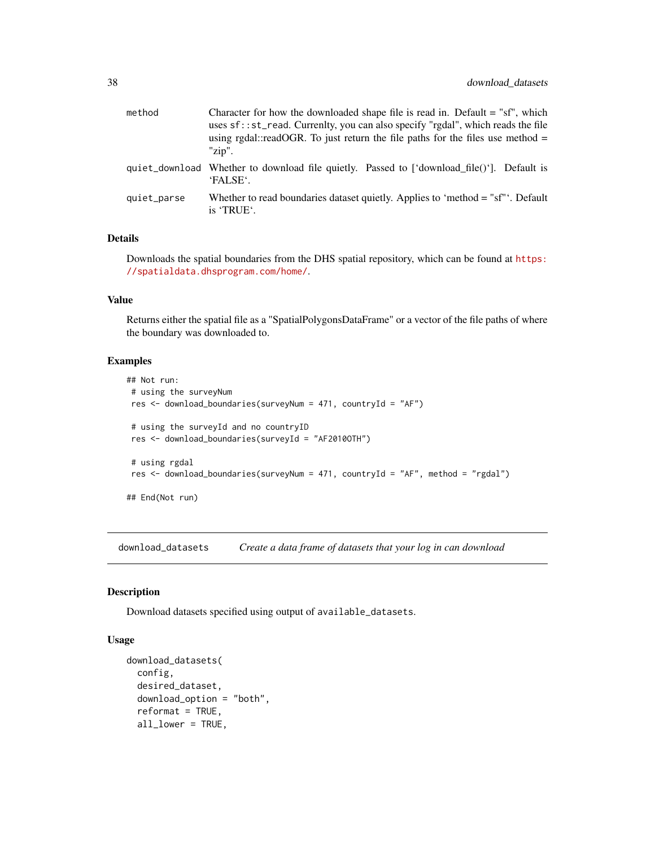<span id="page-37-0"></span>

| method      | Character for how the downloaded shape file is read in. Default = "sf", which<br>uses sf::st_read. Currenlty, you can also specify "rgdal", which reads the file<br>using rgdal::readOGR. To just return the file paths for the files use method $=$<br>"zip". |
|-------------|----------------------------------------------------------------------------------------------------------------------------------------------------------------------------------------------------------------------------------------------------------------|
|             | quiet_download Whether to download file quietly. Passed to ['download_file()']. Default is<br>'FALSE'.                                                                                                                                                         |
| quiet parse | Whether to read boundaries dataset quietly. Applies to 'method = "sf"'. Default<br>is 'TRUE'.                                                                                                                                                                  |

# Details

Downloads the spatial boundaries from the DHS spatial repository, which can be found at [https:](https://spatialdata.dhsprogram.com/home/) [//spatialdata.dhsprogram.com/home/](https://spatialdata.dhsprogram.com/home/).

# Value

Returns either the spatial file as a "SpatialPolygonsDataFrame" or a vector of the file paths of where the boundary was downloaded to.

#### Examples

```
## Not run:
# using the surveyNum
res <- download_boundaries(surveyNum = 471, countryId = "AF")
# using the surveyId and no countryID
res <- download_boundaries(surveyId = "AF2010OTH")
# using rgdal
res <- download_boundaries(surveyNum = 471, countryId = "AF", method = "rgdal")
## End(Not run)
```
<span id="page-37-1"></span>download\_datasets *Create a data frame of datasets that your log in can download*

#### Description

Download datasets specified using output of available\_datasets.

# Usage

```
download_datasets(
 config,
 desired_dataset,
 download_option = "both",
  reformat = TRUE,all_lower = TRUE,
```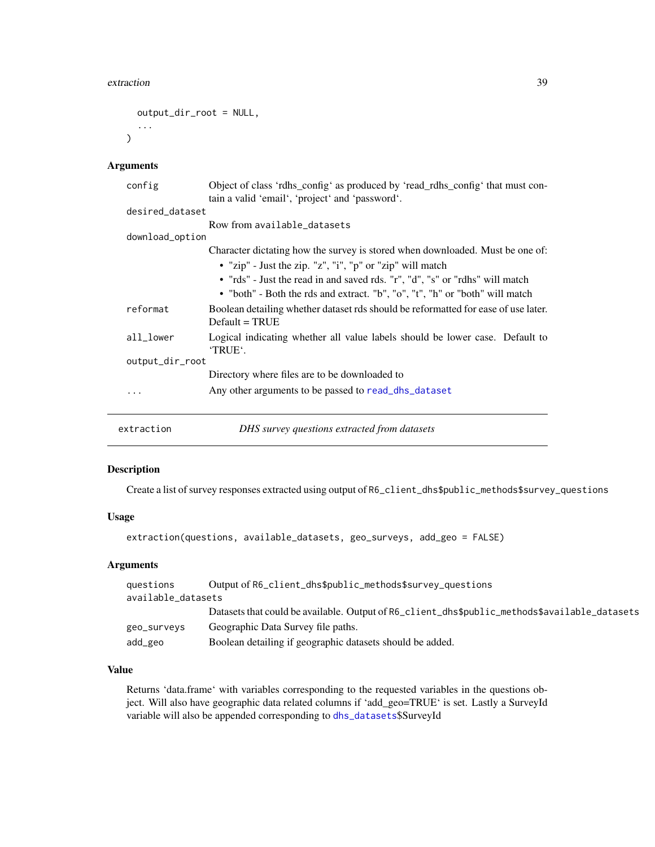#### <span id="page-38-0"></span>extraction 39

```
output_dir_root = NULL,
...
```
# Arguments

 $\mathcal{L}$ 

| config          | Object of class 'rdhs_config' as produced by 'read_rdhs_config' that must con-<br>tain a valid 'email', 'project' and 'password'. |
|-----------------|-----------------------------------------------------------------------------------------------------------------------------------|
| desired_dataset |                                                                                                                                   |
|                 | Row from available_datasets                                                                                                       |
| download_option |                                                                                                                                   |
|                 | Character dictating how the survey is stored when downloaded. Must be one of:                                                     |
|                 | • "zip" - Just the zip. "z", "i", "p" or "zip" will match                                                                         |
|                 | • "rds" - Just the read in and saved rds. "r", "d", "s" or "rdhs" will match                                                      |
|                 | • "both" - Both the rds and extract. "b", "o", "t", "h" or "both" will match                                                      |
| reformat        | Boolean detailing whether dataset rds should be reformatted for ease of use later.<br>$Default = TRUE$                            |
| all_lower       | Logical indicating whether all value labels should be lower case. Default to<br>'TRUE'.                                           |
| output_dir_root |                                                                                                                                   |
|                 | Directory where files are to be downloaded to                                                                                     |
| .               | Any other arguments to be passed to read_dhs_dataset                                                                              |
| extraction      | DHS survey questions extracted from datasets                                                                                      |

# Description

Create a list of survey responses extracted using output of R6\_client\_dhs\$public\_methods\$survey\_questions

# Usage

```
extraction(questions, available_datasets, geo_surveys, add_geo = FALSE)
```
# Arguments

| questions          | Output of R6_client_dhs\$public_methods\$survey_questions                                     |
|--------------------|-----------------------------------------------------------------------------------------------|
| available datasets |                                                                                               |
|                    | Datasets that could be available. Output of R6_client_dhs\$public_methods\$available_datasets |
| geo_surveys        | Geographic Data Survey file paths.                                                            |
| add_geo            | Boolean detailing if geographic datasets should be added.                                     |

# Value

Returns 'data.frame' with variables corresponding to the requested variables in the questions object. Will also have geographic data related columns if 'add\_geo=TRUE' is set. Lastly a SurveyId variable will also be appended corresponding to [dhs\\_datasets](#page-16-1)\$SurveyId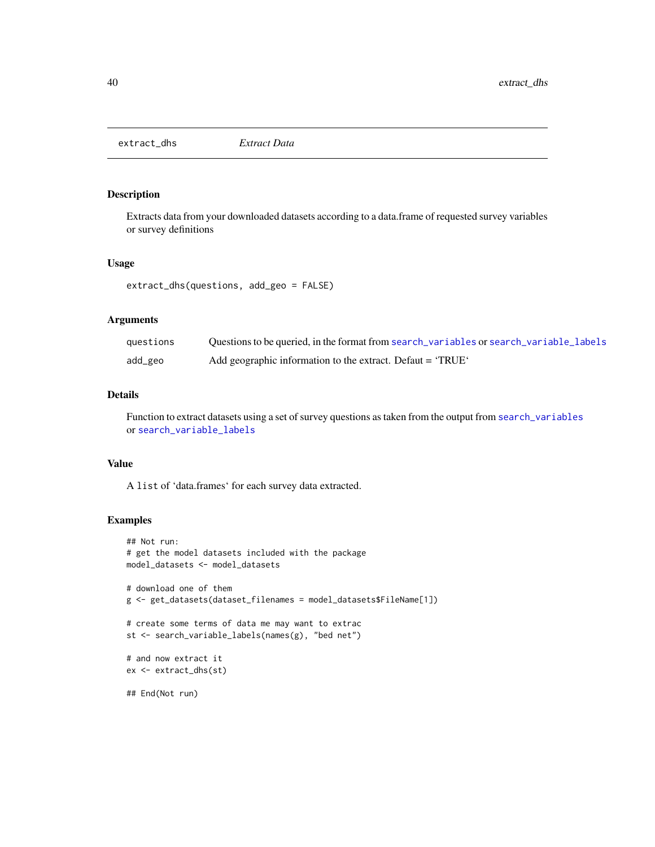<span id="page-39-1"></span><span id="page-39-0"></span>extract\_dhs *Extract Data*

# Description

Extracts data from your downloaded datasets according to a data.frame of requested survey variables or survey definitions

#### Usage

extract\_dhs(questions, add\_geo = FALSE)

# Arguments

| questions | Ouestions to be queried, in the format from search_variables or search_variable_labels |
|-----------|----------------------------------------------------------------------------------------|
| add_geo   | Add geographic information to the extract. Defaut = 'TRUE'                             |

# Details

Function to extract datasets using a set of survey questions as taken from the output from [search\\_variables](#page-56-1) or [search\\_variable\\_labels](#page-58-1)

# Value

A list of 'data.frames' for each survey data extracted.

```
## Not run:
# get the model datasets included with the package
model_datasets <- model_datasets
# download one of them
g <- get_datasets(dataset_filenames = model_datasets$FileName[1])
# create some terms of data me may want to extrac
st <- search_variable_labels(names(g), "bed net")
# and now extract it
ex <- extract_dhs(st)
## End(Not run)
```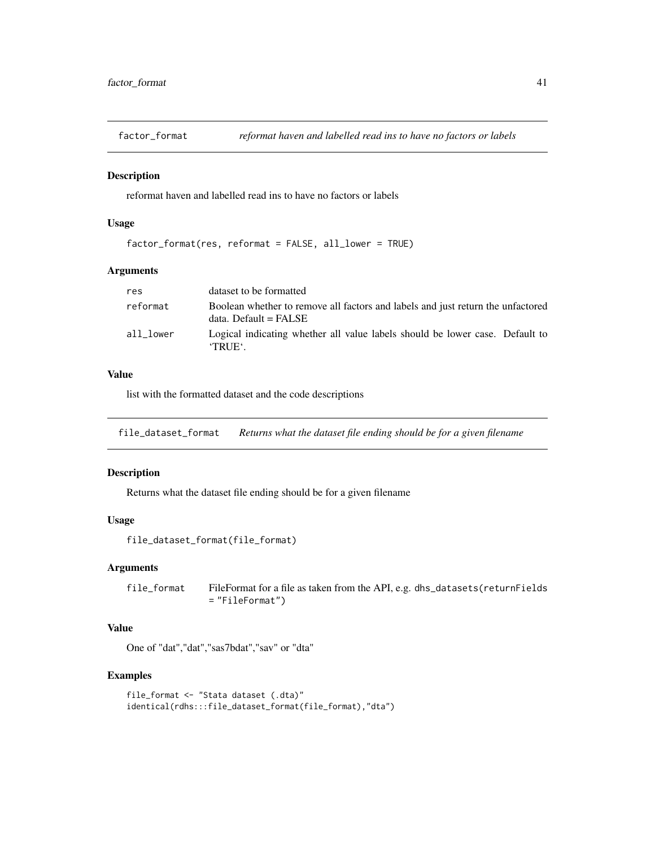<span id="page-40-0"></span>

# Description

reformat haven and labelled read ins to have no factors or labels

# Usage

```
factor_format(res, reformat = FALSE, all_lower = TRUE)
```
# Arguments

| res       | dataset to be formatted                                                                                    |
|-----------|------------------------------------------------------------------------------------------------------------|
| reformat  | Boolean whether to remove all factors and labels and just return the unfactored<br>$data.$ Default = FALSE |
| all lower | Logical indicating whether all value labels should be lower case. Default to<br><b>TRUE</b> .              |

# Value

list with the formatted dataset and the code descriptions

file\_dataset\_format *Returns what the dataset file ending should be for a given filename*

#### Description

Returns what the dataset file ending should be for a given filename

#### Usage

```
file_dataset_format(file_format)
```
#### Arguments

file\_format FileFormat for a file as taken from the API, e.g. dhs\_datasets(returnFields = "FileFormat")

# Value

One of "dat","dat","sas7bdat","sav" or "dta"

```
file_format <- "Stata dataset (.dta)"
identical(rdhs:::file_dataset_format(file_format),"dta")
```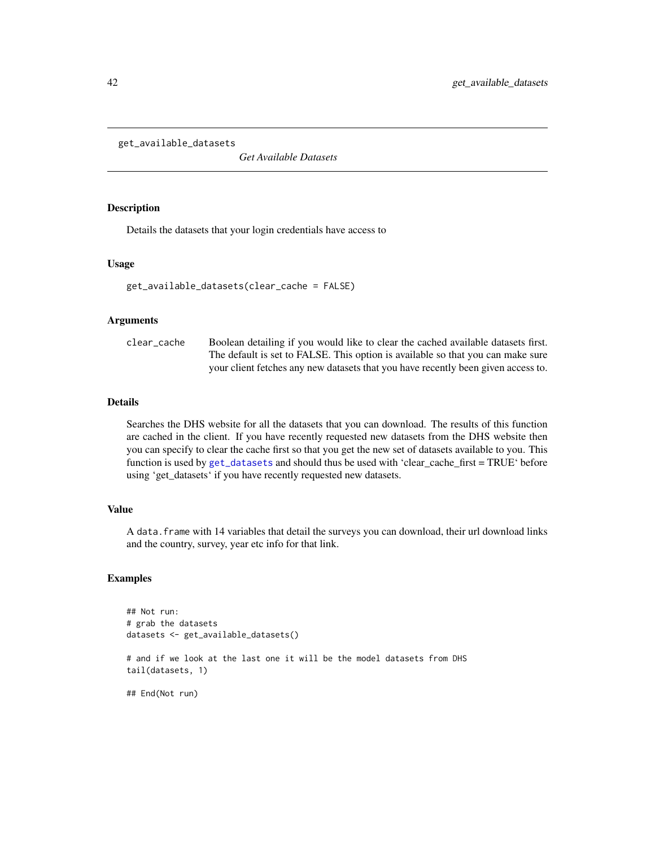<span id="page-41-0"></span>get\_available\_datasets

*Get Available Datasets*

# Description

Details the datasets that your login credentials have access to

# Usage

```
get_available_datasets(clear_cache = FALSE)
```
#### Arguments

clear\_cache Boolean detailing if you would like to clear the cached available datasets first. The default is set to FALSE. This option is available so that you can make sure your client fetches any new datasets that you have recently been given access to.

#### Details

Searches the DHS website for all the datasets that you can download. The results of this function are cached in the client. If you have recently requested new datasets from the DHS website then you can specify to clear the cache first so that you get the new set of datasets available to you. This function is used by [get\\_datasets](#page-42-1) and should thus be used with 'clear\_cache\_first = TRUE' before using 'get\_datasets' if you have recently requested new datasets.

# Value

A data.frame with 14 variables that detail the surveys you can download, their url download links and the country, survey, year etc info for that link.

```
## Not run:
# grab the datasets
datasets <- get_available_datasets()
# and if we look at the last one it will be the model datasets from DHS
tail(datasets, 1)
## End(Not run)
```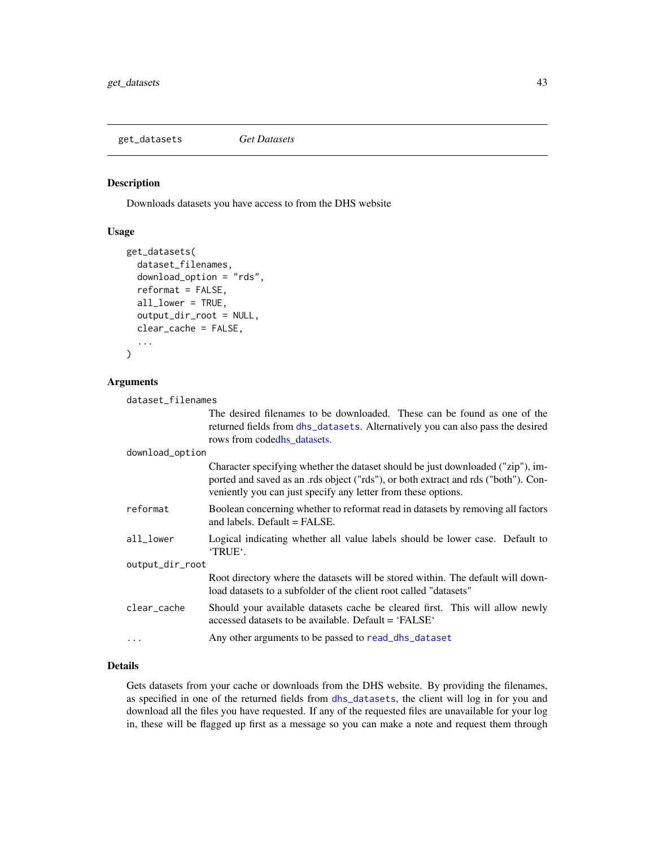<span id="page-42-1"></span><span id="page-42-0"></span>get\_datasets *Get Datasets*

#### Description

Downloads datasets you have access to from the DHS website

#### Usage

```
get_datasets(
  dataset_filenames,
  download_option = "rds",
  reformat = FALSE,all_lower = TRUE,
  output_dir_root = NULL,
  clear_cache = FALSE,
  ...
\mathcal{L}
```
# Arguments

dataset\_filenames

The desired filenames to be downloaded. These can be found as one of the returned fields from [dhs\\_datasets](#page-16-1). Alternatively you can also pass the desired rows from cod[edhs\\_datasets.](#page-16-1)

#### download\_option

|                 | Character specifying whether the dataset should be just downloaded ("zip"), im-<br>ported and saved as an .rds object ("rds"), or both extract and rds ("both"). Con-<br>veniently you can just specify any letter from these options. |
|-----------------|----------------------------------------------------------------------------------------------------------------------------------------------------------------------------------------------------------------------------------------|
| reformat        | Boolean concerning whether to reformat read in datasets by removing all factors<br>and labels. Default $=$ FALSE.                                                                                                                      |
| all_lower       | Logical indicating whether all value labels should be lower case. Default to<br>'TRUE'.                                                                                                                                                |
| output_dir_root |                                                                                                                                                                                                                                        |
|                 | Root directory where the datasets will be stored within. The default will down-<br>load datasets to a subfolder of the client root called "datasets"                                                                                   |
| clear_cache     | Should your available datasets cache be cleared first. This will allow newly<br>accessed datasets to be available. Default = 'FALSE'                                                                                                   |
| $\cdots$        | Any other arguments to be passed to read_dhs_dataset                                                                                                                                                                                   |
|                 |                                                                                                                                                                                                                                        |

#### Details

Gets datasets from your cache or downloads from the DHS website. By providing the filenames, as specified in one of the returned fields from [dhs\\_datasets](#page-16-1), the client will log in for you and download all the files you have requested. If any of the requested files are unavailable for your log in, these will be flagged up first as a message so you can make a note and request them through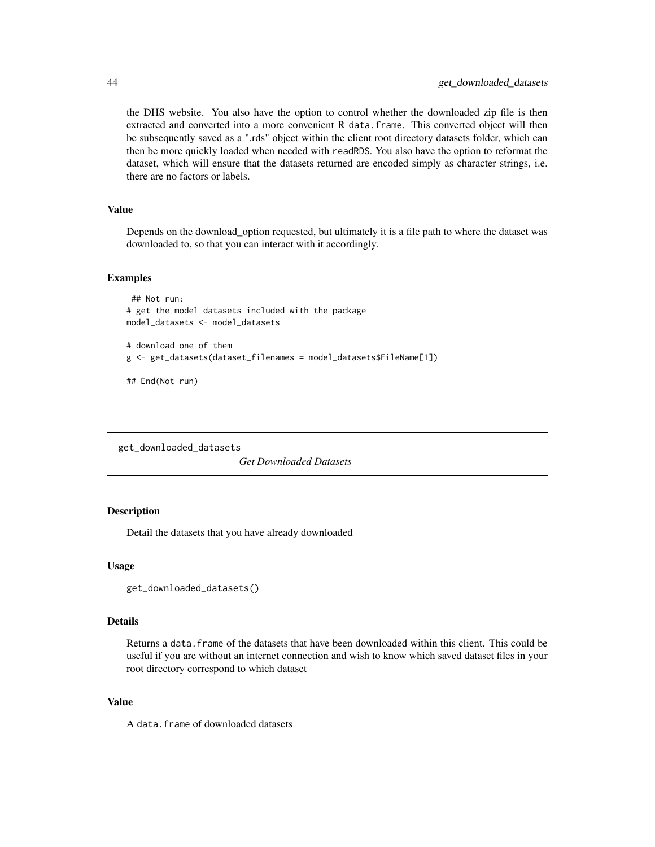<span id="page-43-0"></span>the DHS website. You also have the option to control whether the downloaded zip file is then extracted and converted into a more convenient R data.frame. This converted object will then be subsequently saved as a ".rds" object within the client root directory datasets folder, which can then be more quickly loaded when needed with readRDS. You also have the option to reformat the dataset, which will ensure that the datasets returned are encoded simply as character strings, i.e. there are no factors or labels.

# Value

Depends on the download\_option requested, but ultimately it is a file path to where the dataset was downloaded to, so that you can interact with it accordingly.

#### Examples

```
## Not run:
# get the model datasets included with the package
model_datasets <- model_datasets
# download one of them
g <- get_datasets(dataset_filenames = model_datasets$FileName[1])
## End(Not run)
```
get\_downloaded\_datasets

*Get Downloaded Datasets*

#### Description

Detail the datasets that you have already downloaded

#### Usage

```
get_downloaded_datasets()
```
#### Details

Returns a data.frame of the datasets that have been downloaded within this client. This could be useful if you are without an internet connection and wish to know which saved dataset files in your root directory correspond to which dataset

#### Value

A data.frame of downloaded datasets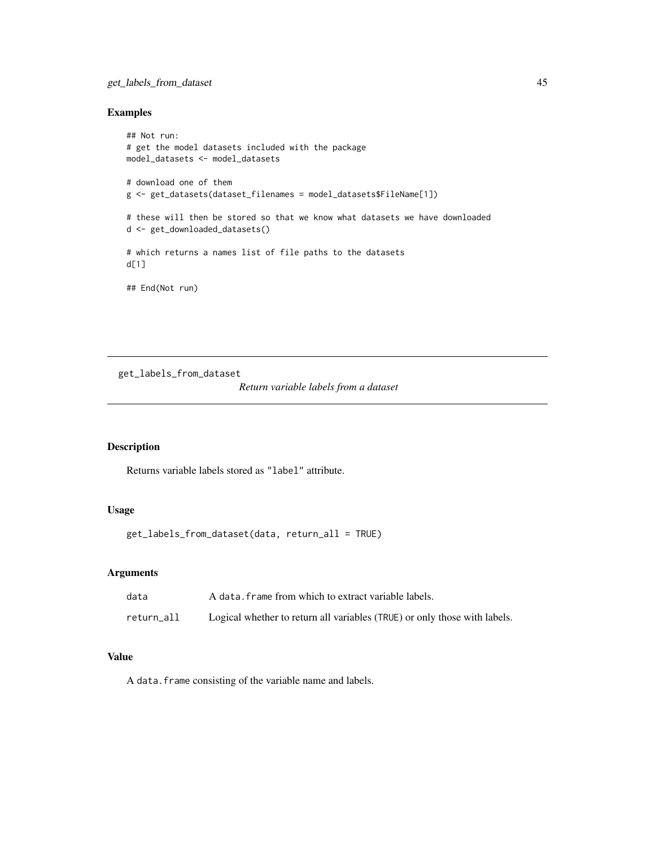# <span id="page-44-0"></span>get\_labels\_from\_dataset 45

# Examples

```
## Not run:
# get the model datasets included with the package
model_datasets <- model_datasets
# download one of them
g <- get_datasets(dataset_filenames = model_datasets$FileName[1])
# these will then be stored so that we know what datasets we have downloaded
d <- get_downloaded_datasets()
# which returns a names list of file paths to the datasets
d[1]
## End(Not run)
```
get\_labels\_from\_dataset

*Return variable labels from a dataset*

# Description

Returns variable labels stored as "label" attribute.

#### Usage

get\_labels\_from\_dataset(data, return\_all = TRUE)

#### Arguments

| data       | A data, frame from which to extract variable labels.                      |
|------------|---------------------------------------------------------------------------|
| return all | Logical whether to return all variables (TRUE) or only those with labels. |

# Value

A data.frame consisting of the variable name and labels.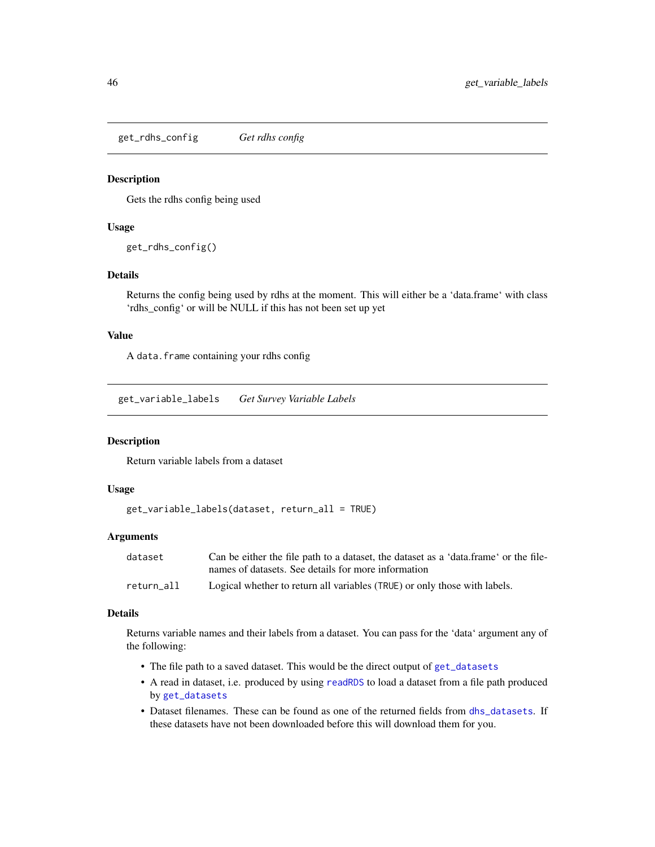<span id="page-45-0"></span>get\_rdhs\_config *Get rdhs config*

#### Description

Gets the rdhs config being used

#### Usage

get\_rdhs\_config()

# Details

Returns the config being used by rdhs at the moment. This will either be a 'data.frame' with class 'rdhs\_config' or will be NULL if this has not been set up yet

#### Value

A data.frame containing your rdhs config

get\_variable\_labels *Get Survey Variable Labels*

# Description

Return variable labels from a dataset

# Usage

```
get_variable_labels(dataset, return_all = TRUE)
```
#### Arguments

| dataset    | Can be either the file path to a dataset, the dataset as a 'data.frame' or the file- |
|------------|--------------------------------------------------------------------------------------|
|            | names of datasets. See details for more information                                  |
| return all | Logical whether to return all variables (TRUE) or only those with labels.            |

#### Details

Returns variable names and their labels from a dataset. You can pass for the 'data' argument any of the following:

- The file path to a saved dataset. This would be the direct output of [get\\_datasets](#page-42-1)
- A read in dataset, i.e. produced by using [readRDS](#page-0-0) to load a dataset from a file path produced by [get\\_datasets](#page-42-1)
- Dataset filenames. These can be found as one of the returned fields from [dhs\\_datasets](#page-16-1). If these datasets have not been downloaded before this will download them for you.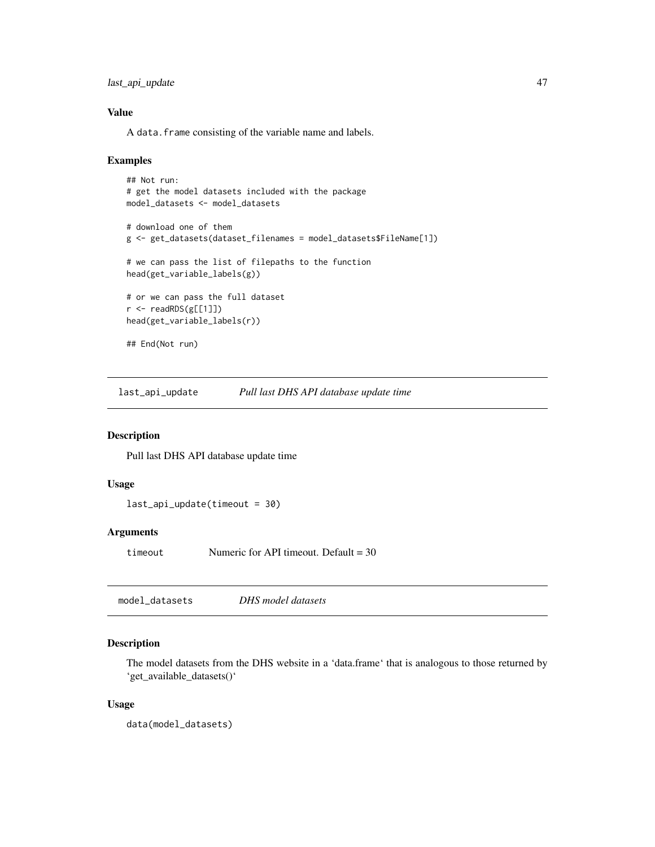<span id="page-46-0"></span>last\_api\_update 47

# Value

A data.frame consisting of the variable name and labels.

#### Examples

```
## Not run:
# get the model datasets included with the package
model_datasets <- model_datasets
# download one of them
g <- get_datasets(dataset_filenames = model_datasets$FileName[1])
# we can pass the list of filepaths to the function
head(get_variable_labels(g))
# or we can pass the full dataset
r <- readRDS(g[[1]])
head(get_variable_labels(r))
## End(Not run)
```
last\_api\_update *Pull last DHS API database update time*

# Description

Pull last DHS API database update time

# Usage

```
last_api_update(timeout = 30)
```
#### Arguments

timeout Numeric for API timeout. Default = 30

model\_datasets *DHS model datasets*

# Description

The model datasets from the DHS website in a 'data.frame' that is analogous to those returned by 'get\_available\_datasets()'

#### Usage

data(model\_datasets)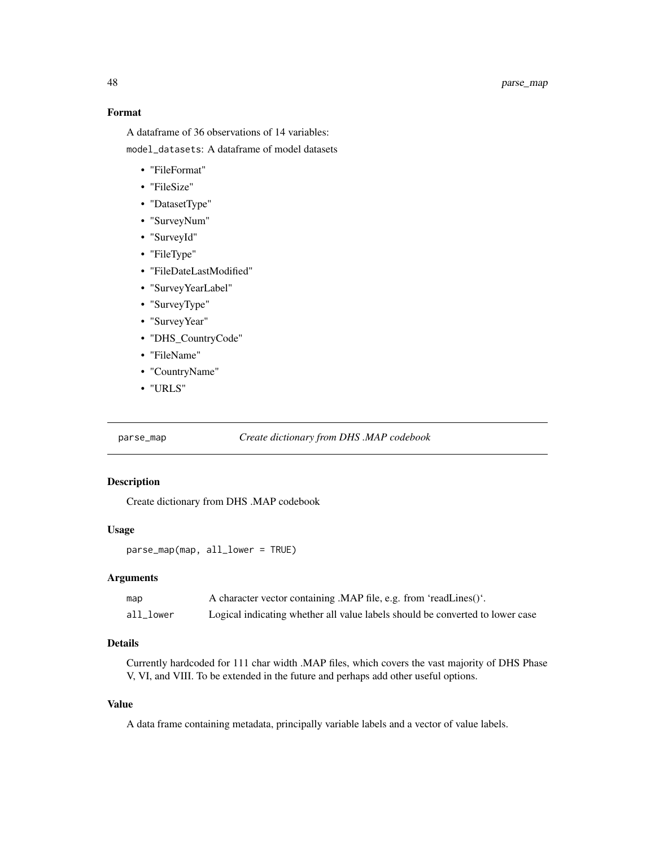# <span id="page-47-0"></span>Format

A dataframe of 36 observations of 14 variables: model\_datasets: A dataframe of model datasets

- "FileFormat"
- "FileSize"
- "DatasetType"
- "SurveyNum"
- "SurveyId"
- "FileType"
- "FileDateLastModified"
- "SurveyYearLabel"
- "SurveyType"
- "SurveyYear"
- "DHS\_CountryCode"
- "FileName"
- "CountryName"
- "URLS"

parse\_map *Create dictionary from DHS .MAP codebook*

# Description

Create dictionary from DHS .MAP codebook

# Usage

parse\_map(map, all\_lower = TRUE)

#### Arguments

| map          | A character vector containing .MAP file, e.g. from 'readLines()'.             |
|--------------|-------------------------------------------------------------------------------|
| $all\_lower$ | Logical indicating whether all value labels should be converted to lower case |

# Details

Currently hardcoded for 111 char width .MAP files, which covers the vast majority of DHS Phase V, VI, and VIII. To be extended in the future and perhaps add other useful options.

#### Value

A data frame containing metadata, principally variable labels and a vector of value labels.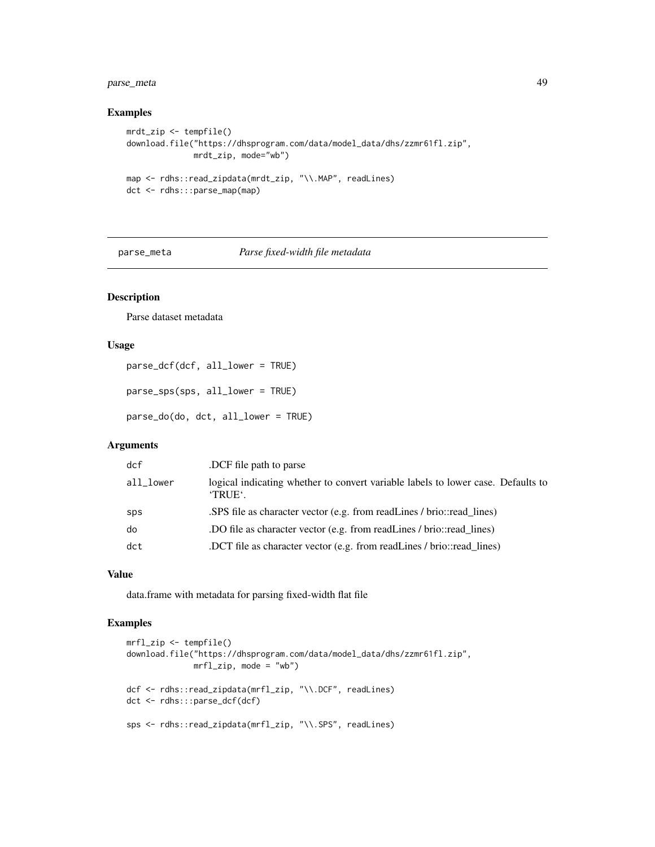# <span id="page-48-0"></span>parse\_meta 49

# Examples

```
mrdt_zip <- tempfile()
download.file("https://dhsprogram.com/data/model_data/dhs/zzmr61fl.zip",
              mrdt_zip, mode="wb")
map <- rdhs::read_zipdata(mrdt_zip, "\\.MAP", readLines)
dct <- rdhs:::parse_map(map)
```
# parse\_meta *Parse fixed-width file metadata*

# Description

Parse dataset metadata

#### Usage

```
parse_dcf(dcf, all_lower = TRUE)
```

```
parse_sps(sps, all_lower = TRUE)
```
parse\_do(do, dct, all\_lower = TRUE)

# Arguments

| dcf       | DCF file path to parse.                                                                           |
|-----------|---------------------------------------------------------------------------------------------------|
| all_lower | logical indicating whether to convert variable labels to lower case. Defaults to<br><b>TRUE</b> . |
| sps       | SPS file as character vector (e.g. from readLines / brio::read_lines)                             |
| do        | DO file as character vector (e.g. from readLines / brio::read lines)                              |
| dct       | DCT file as character vector (e.g. from readLines / brio::read_lines)                             |

# Value

data.frame with metadata for parsing fixed-width flat file

```
mrfl_zip <- tempfile()
download.file("https://dhsprogram.com/data/model_data/dhs/zzmr61fl.zip",
              mrf1_zip, mode = "wb")
dcf <- rdhs::read_zipdata(mrfl_zip, "\\.DCF", readLines)
dct <- rdhs:::parse_dcf(dcf)
sps <- rdhs::read_zipdata(mrfl_zip, "\\.SPS", readLines)
```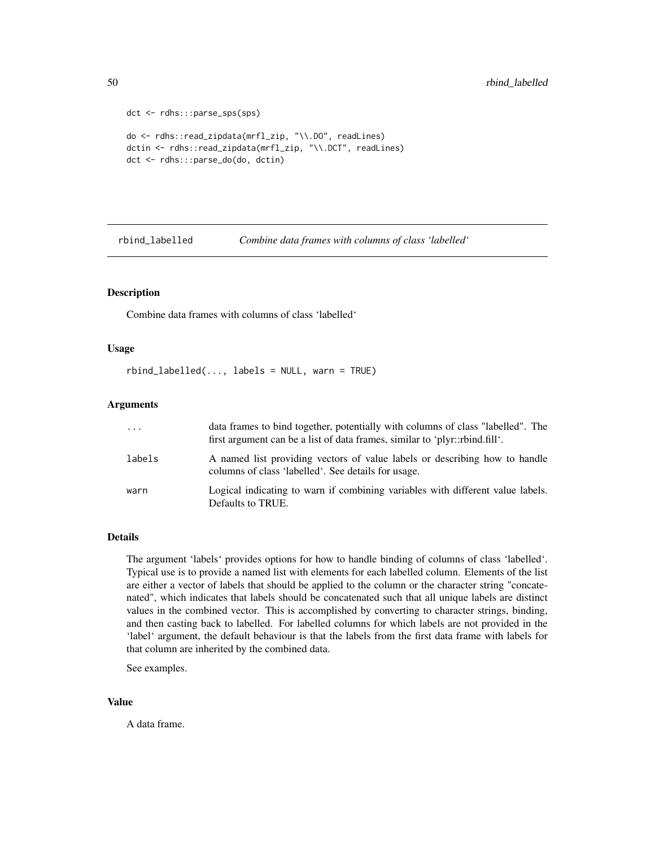```
dct <- rdhs:::parse_sps(sps)
do <- rdhs::read_zipdata(mrfl_zip, "\\.DO", readLines)
dctin <- rdhs::read_zipdata(mrfl_zip, "\\.DCT", readLines)
dct <- rdhs:::parse_do(do, dctin)
```
rbind\_labelled *Combine data frames with columns of class 'labelled'*

#### Description

Combine data frames with columns of class 'labelled'

# Usage

```
rbind\_labelled(..., labels = NULL, warn = TRUE)
```
# Arguments

| $\cdots$ | data frames to bind together, potentially with columns of class "labelled". The<br>first argument can be a list of data frames, similar to 'plyr::rbind.fill'. |
|----------|----------------------------------------------------------------------------------------------------------------------------------------------------------------|
| labels   | A named list providing vectors of value labels or describing how to handle<br>columns of class 'labelled'. See details for usage.                              |
| warn     | Logical indicating to warn if combining variables with different value labels.<br>Defaults to TRUE.                                                            |

# Details

The argument 'labels' provides options for how to handle binding of columns of class 'labelled'. Typical use is to provide a named list with elements for each labelled column. Elements of the list are either a vector of labels that should be applied to the column or the character string "concatenated", which indicates that labels should be concatenated such that all unique labels are distinct values in the combined vector. This is accomplished by converting to character strings, binding, and then casting back to labelled. For labelled columns for which labels are not provided in the 'label' argument, the default behaviour is that the labels from the first data frame with labels for that column are inherited by the combined data.

See examples.

#### Value

A data frame.

<span id="page-49-0"></span>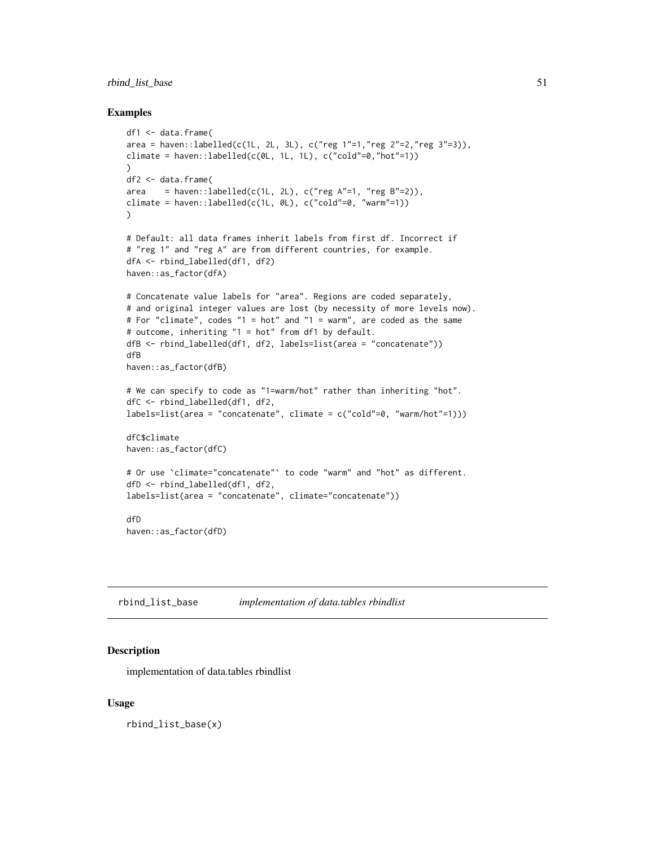# <span id="page-50-0"></span>rbind\_list\_base 51

#### Examples

```
df1 <- data.frame(
area = haven::labelled(c(1L, 2L, 3L), c("reg 1"=1,"reg 2"=2,"reg 3"=3)),climate = haven::labelled(c(\emptyset L, 1L, 1L), c("cold"—0,"hot"—1))
)
df2 <- data.frame(
area = haven::labelled(c(1L, 2L), c("reg A" = 1, "reg B" = 2)),climate = haven::labelled(c(1L, 0L), c("cold"=0, "warm"=1))\lambda# Default: all data frames inherit labels from first df. Incorrect if
# "reg 1" and "reg A" are from different countries, for example.
dfA <- rbind_labelled(df1, df2)
haven::as_factor(dfA)
# Concatenate value labels for "area". Regions are coded separately,
# and original integer values are lost (by necessity of more levels now).
# For "climate", codes "1 = hot" and "1 = warm", are coded as the same
# outcome, inheriting "1 = hot" from df1 by default.
dfB <- rbind_labelled(df1, df2, labels=list(area = "concatenate"))
dfB
haven::as_factor(dfB)
# We can specify to code as "1=warm/hot" rather than inheriting "hot".
dfC <- rbind_labelled(df1, df2,
labels=list(area = "concatenate", climate = c("cold"=0, "warm/hot"=1)))
dfC$climate
haven::as_factor(dfC)
# Or use `climate="concatenate"` to code "warm" and "hot" as different.
dfD <- rbind_labelled(df1, df2,
labels=list(area = "concatenate", climate="concatenate"))
dfD
haven::as_factor(dfD)
```
rbind\_list\_base *implementation of data.tables rbindlist*

#### Description

implementation of data.tables rbindlist

#### Usage

rbind\_list\_base(x)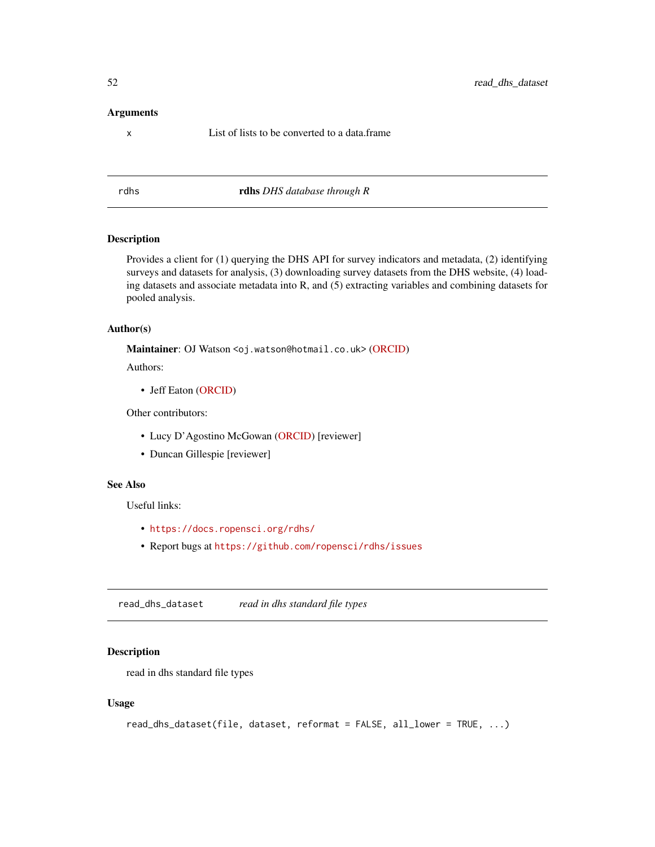#### <span id="page-51-0"></span>Arguments

x List of lists to be converted to a data.frame

rdhs rdhs *DHS database through R*

# Description

Provides a client for (1) querying the DHS API for survey indicators and metadata, (2) identifying surveys and datasets for analysis, (3) downloading survey datasets from the DHS website, (4) loading datasets and associate metadata into R, and (5) extracting variables and combining datasets for pooled analysis.

# Author(s)

Maintainer: OJ Watson <oj.watson@hotmail.co.uk> [\(ORCID\)](https://orcid.org/0000-0003-2374-0741)

Authors:

• Jeff Eaton [\(ORCID\)](https://orcid.org/0000-0001-7728-728X)

Other contributors:

- Lucy D'Agostino McGowan [\(ORCID\)](https://orcid.org/0000-0001-7297-9359) [reviewer]
- Duncan Gillespie [reviewer]

# See Also

Useful links:

- <https://docs.ropensci.org/rdhs/>
- Report bugs at <https://github.com/ropensci/rdhs/issues>

<span id="page-51-1"></span>read\_dhs\_dataset *read in dhs standard file types*

# Description

read in dhs standard file types

#### Usage

```
read_dhs_dataset(file, dataset, reformat = FALSE, all_lower = TRUE, ...)
```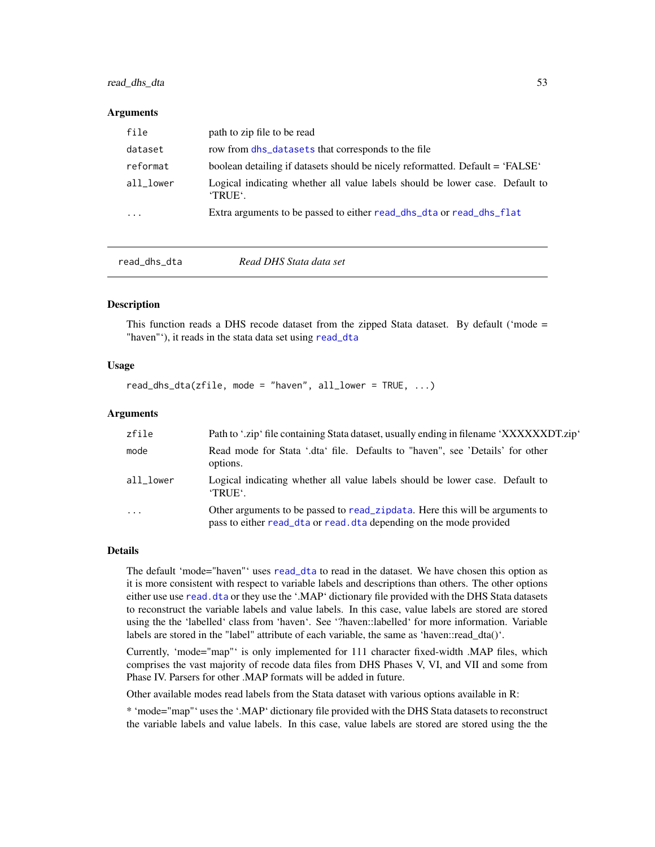# <span id="page-52-0"></span>read\_dhs\_dta 53

#### **Arguments**

| file      | path to zip file to be read                                                             |
|-----------|-----------------------------------------------------------------------------------------|
| dataset   | row from dhs_datasets that corresponds to the file                                      |
| reformat  | boolean detailing if datasets should be nicely reformatted. Default = 'FALSE'           |
| all lower | Logical indicating whether all value labels should be lower case. Default to<br>'TRUE'. |
| .         | Extra arguments to be passed to either read_dhs_dta or read_dhs_flat                    |
|           |                                                                                         |

<span id="page-52-1"></span>

read\_dhs\_dta *Read DHS Stata data set*

#### Description

This function reads a DHS recode dataset from the zipped Stata dataset. By default ('mode = "haven"'), it reads in the stata data set using [read\\_dta](#page-0-0)

#### Usage

read\_dhs\_dta(zfile, mode = "haven", all\_lower =  $TRUE$ , ...)

#### Arguments

| zfile     | Path to '.zip' file containing Stata dataset, usually ending in filename 'XXXXXXDT.zip'                                                            |
|-----------|----------------------------------------------------------------------------------------------------------------------------------------------------|
| mode      | Read mode for Stata '.dta' file. Defaults to "haven", see 'Details' for other<br>options.                                                          |
| all lower | Logical indicating whether all value labels should be lower case. Default to<br>'TRUE'.                                                            |
| $\cdot$   | Other arguments to be passed to read_zipdata. Here this will be arguments to<br>pass to either read_dta or read.dta depending on the mode provided |

#### Details

The default 'mode="haven"' uses [read\\_dta](#page-0-0) to read in the dataset. We have chosen this option as it is more consistent with respect to variable labels and descriptions than others. The other options either use use read. dta or they use the '.MAP' dictionary file provided with the DHS Stata datasets to reconstruct the variable labels and value labels. In this case, value labels are stored are stored using the the 'labelled' class from 'haven'. See '?haven::labelled' for more information. Variable labels are stored in the "label" attribute of each variable, the same as 'haven::read\_dta()'.

Currently, 'mode="map"' is only implemented for 111 character fixed-width .MAP files, which comprises the vast majority of recode data files from DHS Phases V, VI, and VII and some from Phase IV. Parsers for other .MAP formats will be added in future.

Other available modes read labels from the Stata dataset with various options available in R:

\* 'mode="map"' uses the '.MAP' dictionary file provided with the DHS Stata datasets to reconstruct the variable labels and value labels. In this case, value labels are stored are stored using the the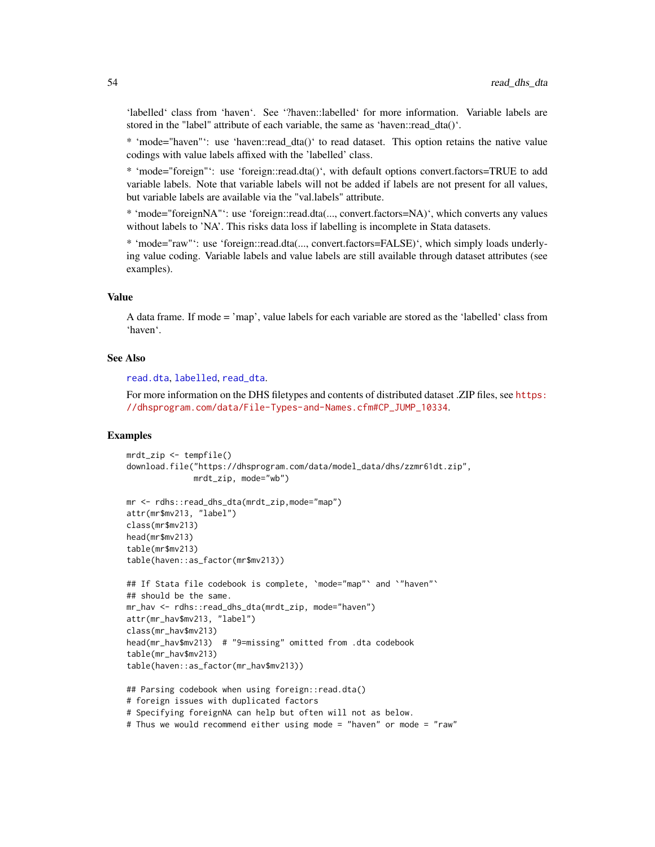'labelled' class from 'haven'. See '?haven::labelled' for more information. Variable labels are stored in the "label" attribute of each variable, the same as 'haven::read dta()'.

\* 'mode="haven"': use 'haven::read\_dta()' to read dataset. This option retains the native value codings with value labels affixed with the 'labelled' class.

\* 'mode="foreign"': use 'foreign::read.dta()', with default options convert.factors=TRUE to add variable labels. Note that variable labels will not be added if labels are not present for all values, but variable labels are available via the "val.labels" attribute.

\* 'mode="foreignNA"': use 'foreign::read.dta(..., convert.factors=NA)', which converts any values without labels to 'NA'. This risks data loss if labelling is incomplete in Stata datasets.

\* 'mode="raw"': use 'foreign::read.dta(..., convert.factors=FALSE)', which simply loads underlying value coding. Variable labels and value labels are still available through dataset attributes (see examples).

#### Value

A data frame. If mode = 'map', value labels for each variable are stored as the 'labelled' class from 'haven'.

#### See Also

[read.dta](#page-0-0), [labelled](#page-0-0), [read\\_dta](#page-0-0).

For more information on the DHS filetypes and contents of distributed dataset .ZIP files, see [https:](https://dhsprogram.com/data/File-Types-and-Names.cfm#CP_JUMP_10334) [//dhsprogram.com/data/File-Types-and-Names.cfm#CP\\_JUMP\\_10334](https://dhsprogram.com/data/File-Types-and-Names.cfm#CP_JUMP_10334).

```
mrdt zip \leq tempfile()
download.file("https://dhsprogram.com/data/model_data/dhs/zzmr61dt.zip",
              mrdt_zip, mode="wb")
```

```
mr <- rdhs::read_dhs_dta(mrdt_zip,mode="map")
attr(mr$mv213, "label")
class(mr$mv213)
head(mr$mv213)
table(mr$mv213)
table(haven::as_factor(mr$mv213))
```

```
## If Stata file codebook is complete, 'mode="map"' and '"haven"'
## should be the same.
mr_hav <- rdhs::read_dhs_dta(mrdt_zip, mode="haven")
attr(mr_hav$mv213, "label")
class(mr_hav$mv213)
head(mr_hav$mv213) # "9=missing" omitted from .dta codebook
table(mr_hav$mv213)
table(haven::as_factor(mr_hav$mv213))
```

```
## Parsing codebook when using foreign::read.dta()
# foreign issues with duplicated factors
# Specifying foreignNA can help but often will not as below.
# Thus we would recommend either using mode = "haven" or mode = "raw"
```
<span id="page-53-0"></span>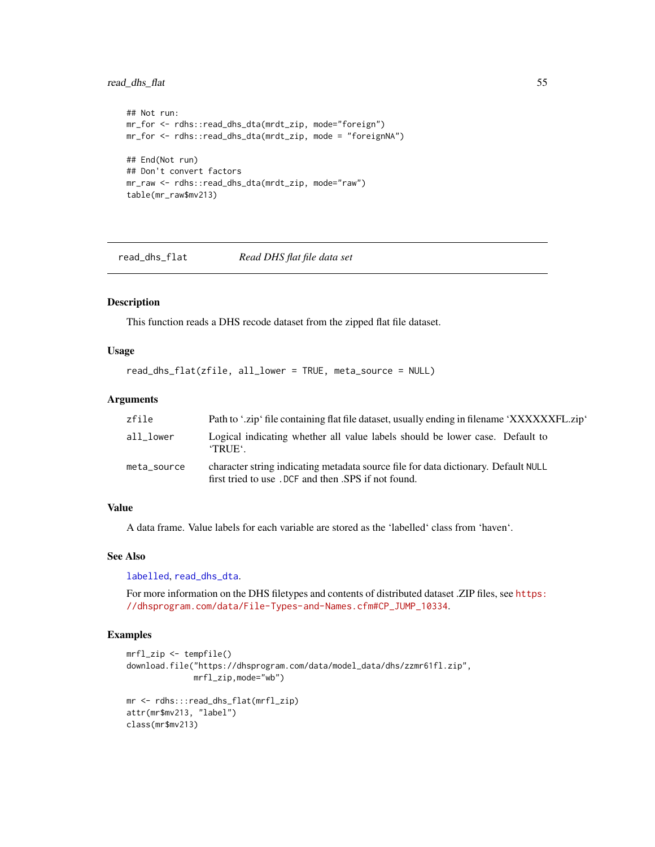# <span id="page-54-0"></span>read\_dhs\_flat 55

```
## Not run:
mr_for <- rdhs::read_dhs_dta(mrdt_zip, mode="foreign")
mr_for <- rdhs::read_dhs_dta(mrdt_zip, mode = "foreignNA")
## End(Not run)
## Don't convert factors
mr_raw <- rdhs::read_dhs_dta(mrdt_zip, mode="raw")
table(mr_raw$mv213)
```
<span id="page-54-1"></span>read\_dhs\_flat *Read DHS flat file data set*

#### Description

This function reads a DHS recode dataset from the zipped flat file dataset.

#### Usage

```
read_dhs_flat(zfile, all_lower = TRUE, meta_source = NULL)
```
#### Arguments

| zfile       | Path to '.zip' file containing flat file dataset, usually ending in filename 'XXXXXXXFL.zip'                                               |
|-------------|--------------------------------------------------------------------------------------------------------------------------------------------|
| all lower   | Logical indicating whether all value labels should be lower case. Default to<br><b>TRUE</b>                                                |
| meta_source | character string indicating metadata source file for data dictionary. Default NULL<br>first tried to use . DCF and then .SPS if not found. |

#### Value

A data frame. Value labels for each variable are stored as the 'labelled' class from 'haven'.

#### See Also

[labelled](#page-0-0), [read\\_dhs\\_dta](#page-52-1).

For more information on the DHS filetypes and contents of distributed dataset .ZIP files, see [https:](https://dhsprogram.com/data/File-Types-and-Names.cfm#CP_JUMP_10334) [//dhsprogram.com/data/File-Types-and-Names.cfm#CP\\_JUMP\\_10334](https://dhsprogram.com/data/File-Types-and-Names.cfm#CP_JUMP_10334).

```
mrfl_zip <- tempfile()
download.file("https://dhsprogram.com/data/model_data/dhs/zzmr61fl.zip",
              mrfl_zip,mode="wb")
mr <- rdhs:::read_dhs_flat(mrfl_zip)
attr(mr$mv213, "label")
class(mr$mv213)
```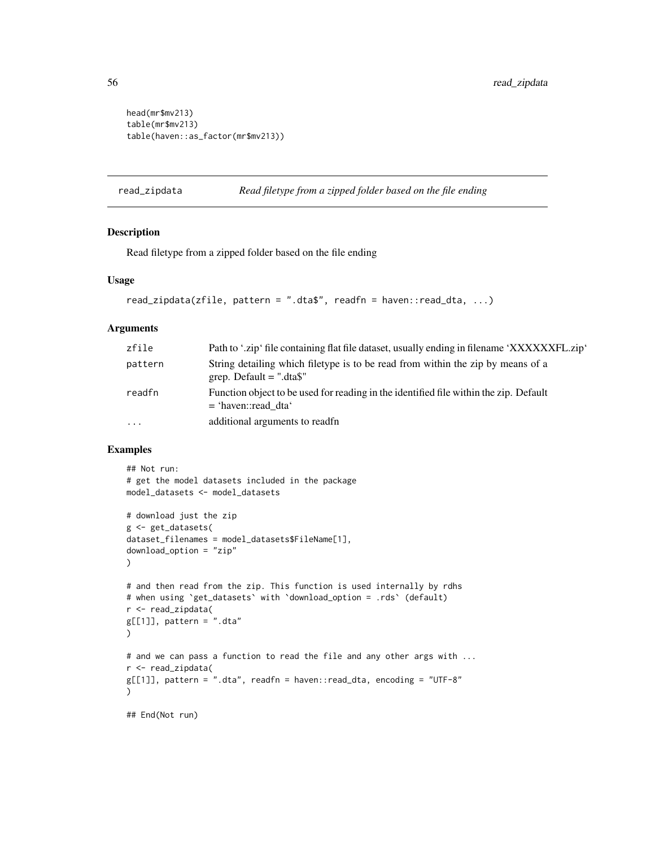```
head(mr$mv213)
table(mr$mv213)
table(haven::as_factor(mr$mv213))
```
<span id="page-55-1"></span>read\_zipdata *Read filetype from a zipped folder based on the file ending*

# Description

Read filetype from a zipped folder based on the file ending

#### Usage

```
read_zipdata(zfile, pattern = ".dta$", readfn = haven::read_dta, ...)
```
#### **Arguments**

| zfile    | Path to '.zip' file containing flat file dataset, usually ending in filename 'XXXXXXFL.zip'                    |
|----------|----------------------------------------------------------------------------------------------------------------|
| pattern  | String detailing which filetype is to be read from within the zip by means of a<br>grep. Default $=$ ".dta\$"  |
| readfn   | Function object to be used for reading in the identified file within the zip. Default<br>$=$ 'haven::read dta' |
| $\cdots$ | additional arguments to readfn                                                                                 |

```
## Not run:
# get the model datasets included in the package
model_datasets <- model_datasets
# download just the zip
g <- get_datasets(
dataset_filenames = model_datasets$FileName[1],
download_option = "zip"
)
# and then read from the zip. This function is used internally by rdhs
# when using `get_datasets` with `download_option = .rds` (default)
r <- read_zipdata(
g[[1]], pattern = ".dta"
)
# and we can pass a function to read the file and any other args with ...
r <- read_zipdata(
g[[1]], pattern = ".dta", readfn = haven::read_dta, encoding = "UTF-8"
)
## End(Not run)
```
<span id="page-55-0"></span>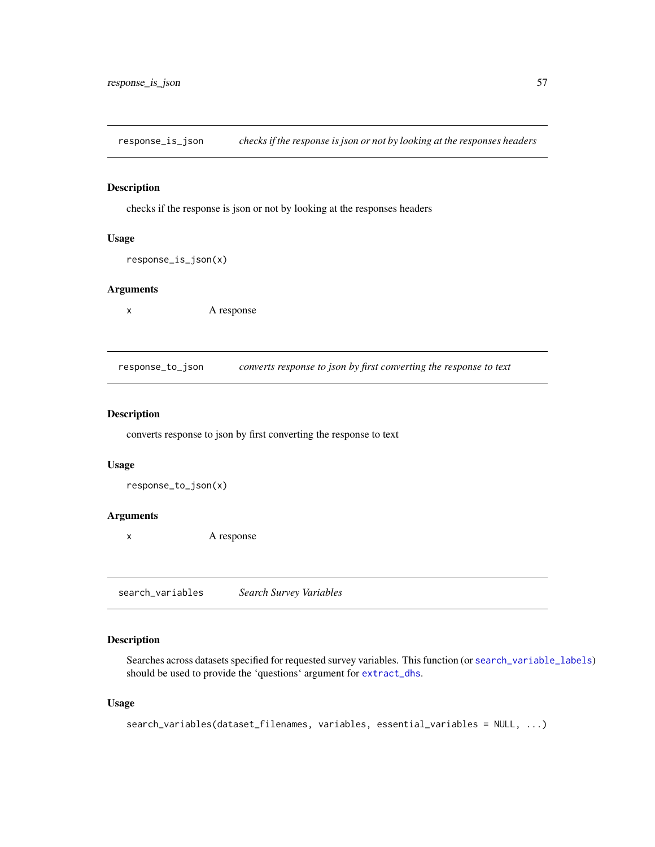<span id="page-56-0"></span>response\_is\_json *checks if the response is json or not by looking at the responses headers*

# **Description**

checks if the response is json or not by looking at the responses headers

#### Usage

response\_is\_json(x)

# Arguments

x A response

response\_to\_json *converts response to json by first converting the response to text*

#### Description

converts response to json by first converting the response to text

#### Usage

response\_to\_json(x)

#### Arguments

x A response

<span id="page-56-1"></span>search\_variables *Search Survey Variables*

# Description

Searches across datasets specified for requested survey variables. This function (or [search\\_variable\\_labels](#page-58-1)) should be used to provide the 'questions' argument for [extract\\_dhs](#page-39-1).

#### Usage

```
search_variables(dataset_filenames, variables, essential_variables = NULL, ...)
```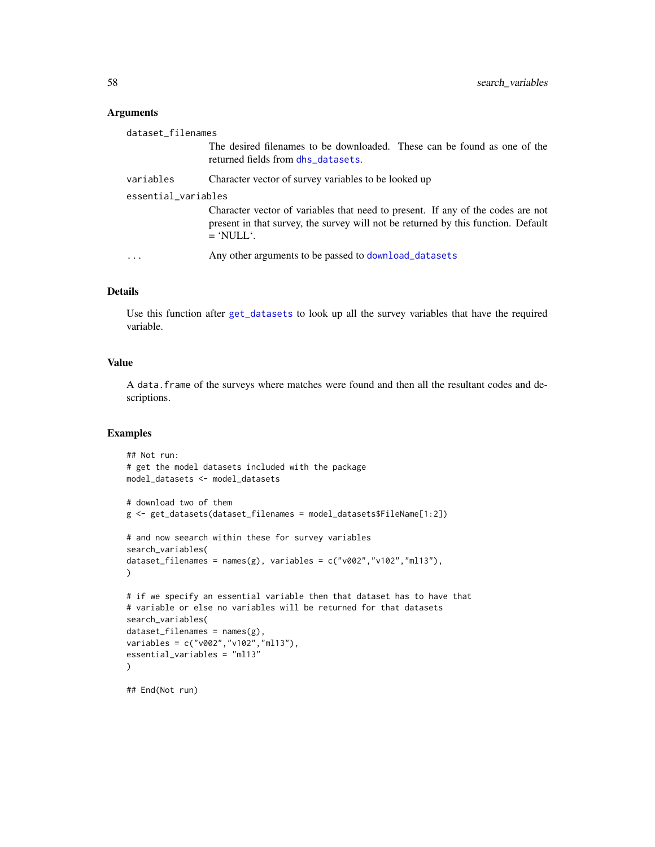#### <span id="page-57-0"></span>Arguments

| dataset_filenames   |                                                                                                                                                                                     |  |
|---------------------|-------------------------------------------------------------------------------------------------------------------------------------------------------------------------------------|--|
|                     | The desired filenames to be downloaded. These can be found as one of the<br>returned fields from dhs_datasets.                                                                      |  |
| variables           | Character vector of survey variables to be looked up                                                                                                                                |  |
| essential_variables |                                                                                                                                                                                     |  |
|                     | Character vector of variables that need to present. If any of the codes are not<br>present in that survey, the survey will not be returned by this function. Default<br>$=$ 'NULL'. |  |
|                     | Any other arguments to be passed to download_datasets                                                                                                                               |  |

# Details

Use this function after [get\\_datasets](#page-42-1) to look up all the survey variables that have the required variable.

# Value

A data.frame of the surveys where matches were found and then all the resultant codes and descriptions.

```
## Not run:
# get the model datasets included with the package
model_datasets <- model_datasets
# download two of them
g <- get_datasets(dataset_filenames = model_datasets$FileName[1:2])
# and now seearch within these for survey variables
search_variables(
dataset_filenames = names(g), variables = c("v002", "v102", "m113"),\lambda# if we specify an essential variable then that dataset has to have that
# variable or else no variables will be returned for that datasets
search_variables(
dataset_filenames = names(g),variables = c("v002","v102","ml13"),
essential_variables = "ml13"
)
## End(Not run)
```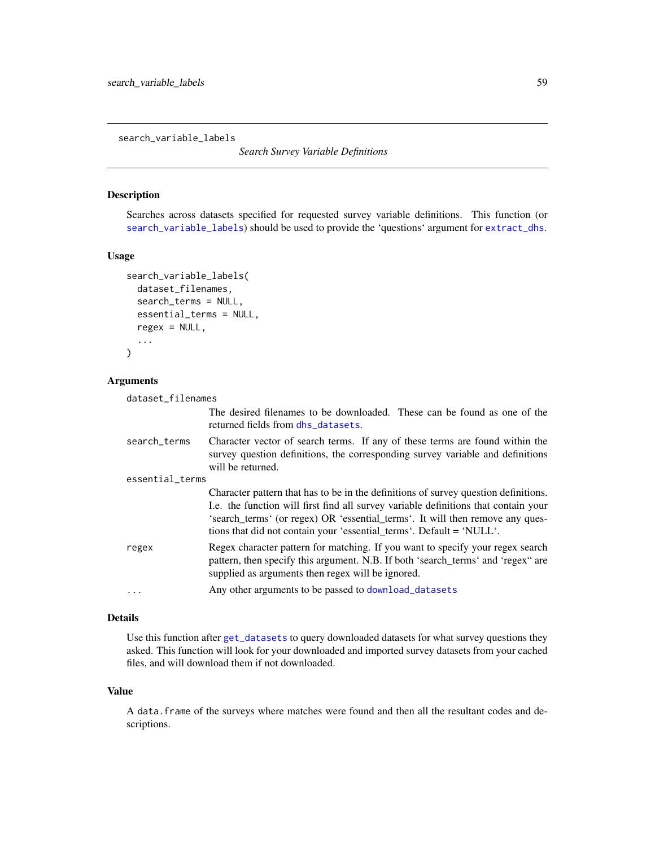<span id="page-58-1"></span><span id="page-58-0"></span>search\_variable\_labels

*Search Survey Variable Definitions*

# Description

Searches across datasets specified for requested survey variable definitions. This function (or [search\\_variable\\_labels](#page-58-1)) should be used to provide the 'questions' argument for [extract\\_dhs](#page-39-1).

#### Usage

```
search_variable_labels(
  dataset_filenames,
  search_terms = NULL,
 essential_terms = NULL,
  regex = NULL,...
)
```
#### Arguments

|                 | dataset filenames |                                                                                                                                                                                                                                                                                                                                     |
|-----------------|-------------------|-------------------------------------------------------------------------------------------------------------------------------------------------------------------------------------------------------------------------------------------------------------------------------------------------------------------------------------|
|                 |                   | The desired filenames to be downloaded. These can be found as one of the<br>returned fields from dhs_datasets.                                                                                                                                                                                                                      |
|                 | search_terms      | Character vector of search terms. If any of these terms are found within the<br>survey question definitions, the corresponding survey variable and definitions<br>will be returned.                                                                                                                                                 |
| essential_terms |                   |                                                                                                                                                                                                                                                                                                                                     |
|                 |                   | Character pattern that has to be in the definitions of survey question definitions.<br>I.e. the function will first find all survey variable definitions that contain your<br>'search_terms' (or regex) OR 'essential_terms'. It will then remove any ques-<br>tions that did not contain your 'essential_terms'. Default = 'NULL'. |
|                 | regex             | Regex character pattern for matching. If you want to specify your regex search<br>pattern, then specify this argument. N.B. If both 'search_terms' and 'regex" are<br>supplied as arguments then regex will be ignored.                                                                                                             |
|                 | .                 | Any other arguments to be passed to download_datasets                                                                                                                                                                                                                                                                               |

# Details

Use this function after [get\\_datasets](#page-42-1) to query downloaded datasets for what survey questions they asked. This function will look for your downloaded and imported survey datasets from your cached files, and will download them if not downloaded.

#### Value

A data.frame of the surveys where matches were found and then all the resultant codes and descriptions.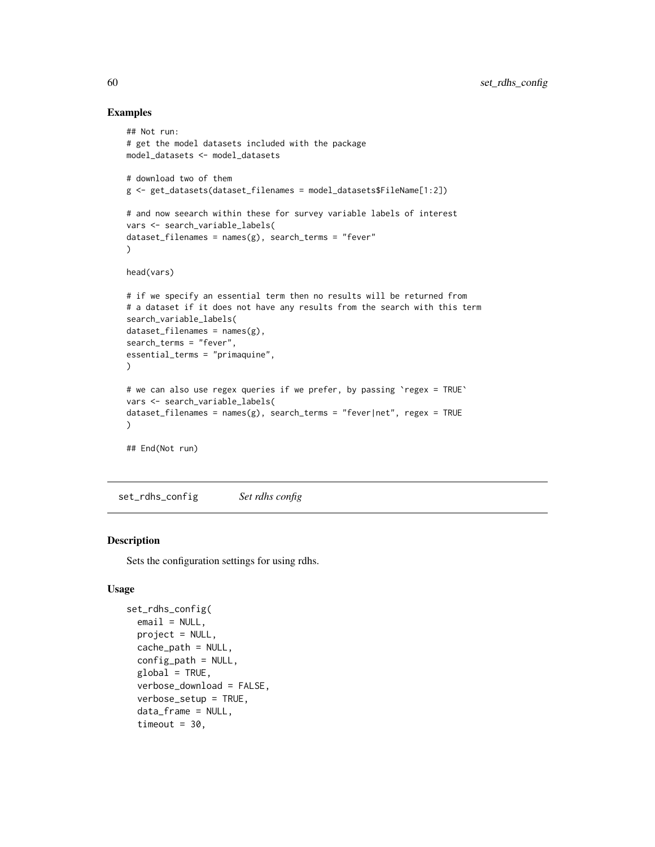#### Examples

```
## Not run:
# get the model datasets included with the package
model_datasets <- model_datasets
# download two of them
g <- get_datasets(dataset_filenames = model_datasets$FileName[1:2])
# and now seearch within these for survey variable labels of interest
vars <- search_variable_labels(
dataset_filenames = names(g), search_terns = "fever"\lambdahead(vars)
# if we specify an essential term then no results will be returned from
# a dataset if it does not have any results from the search with this term
search_variable_labels(
dataset_filenames = names(g),search_terms = "fever",
essential_terms = "primaquine",
)
# we can also use regex queries if we prefer, by passing `regex = TRUE`
vars <- search_variable_labels(
dataset_filenames = names(g), search_terms = "fever|net", regex = TRUE
\lambda## End(Not run)
```
set\_rdhs\_config *Set rdhs config*

#### Description

Sets the configuration settings for using rdhs.

#### Usage

```
set_rdhs_config(
  email = NULL,project = NULL,
 cache_path = NULL,
  config<sub>-path</sub> = NULL,
  global = TRUE,verbose_download = FALSE,
  verbose_setup = TRUE,
  data_frame = NULL,
  timeout = 30,
```
<span id="page-59-0"></span>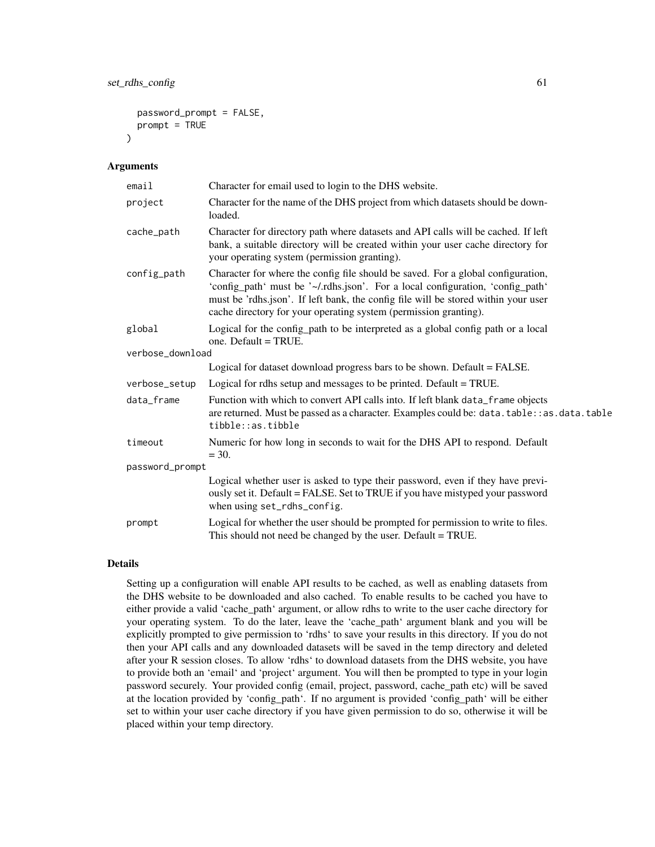```
password_prompt = FALSE,
prompt = TRUE
```
#### Arguments

 $\lambda$ 

| email            | Character for email used to login to the DHS website.                                                                                                                                                                                                                                                                        |
|------------------|------------------------------------------------------------------------------------------------------------------------------------------------------------------------------------------------------------------------------------------------------------------------------------------------------------------------------|
| project          | Character for the name of the DHS project from which datasets should be down-<br>loaded.                                                                                                                                                                                                                                     |
| cache_path       | Character for directory path where datasets and API calls will be cached. If left<br>bank, a suitable directory will be created within your user cache directory for<br>your operating system (permission granting).                                                                                                         |
| config_path      | Character for where the config file should be saved. For a global configuration,<br>'config_path' must be '~/.rdhs.json'. For a local configuration, 'config_path'<br>must be 'rdhs.json'. If left bank, the config file will be stored within your user<br>cache directory for your operating system (permission granting). |
| global           | Logical for the config_path to be interpreted as a global config path or a local<br>one. Default = TRUE.                                                                                                                                                                                                                     |
| verbose_download |                                                                                                                                                                                                                                                                                                                              |
|                  | Logical for dataset download progress bars to be shown. Default = FALSE.                                                                                                                                                                                                                                                     |
| verbose_setup    | Logical for rdhs setup and messages to be printed. Default = TRUE.                                                                                                                                                                                                                                                           |
| data_frame       | Function with which to convert API calls into. If left blank data_frame objects<br>are returned. Must be passed as a character. Examples could be: data.table:: as.data.table<br>tibble::as.tibble                                                                                                                           |
| timeout          | Numeric for how long in seconds to wait for the DHS API to respond. Default<br>$= 30.$                                                                                                                                                                                                                                       |
| password_prompt  |                                                                                                                                                                                                                                                                                                                              |
|                  | Logical whether user is asked to type their password, even if they have previ-<br>ously set it. Default = FALSE. Set to TRUE if you have mistyped your password<br>when using set_rdhs_config.                                                                                                                               |
| prompt           | Logical for whether the user should be prompted for permission to write to files.<br>This should not need be changed by the user. Default = TRUE.                                                                                                                                                                            |

#### Details

Setting up a configuration will enable API results to be cached, as well as enabling datasets from the DHS website to be downloaded and also cached. To enable results to be cached you have to either provide a valid 'cache\_path' argument, or allow rdhs to write to the user cache directory for your operating system. To do the later, leave the 'cache\_path' argument blank and you will be explicitly prompted to give permission to 'rdhs' to save your results in this directory. If you do not then your API calls and any downloaded datasets will be saved in the temp directory and deleted after your R session closes. To allow 'rdhs' to download datasets from the DHS website, you have to provide both an 'email' and 'project' argument. You will then be prompted to type in your login password securely. Your provided config (email, project, password, cache\_path etc) will be saved at the location provided by 'config\_path'. If no argument is provided 'config\_path' will be either set to within your user cache directory if you have given permission to do so, otherwise it will be placed within your temp directory.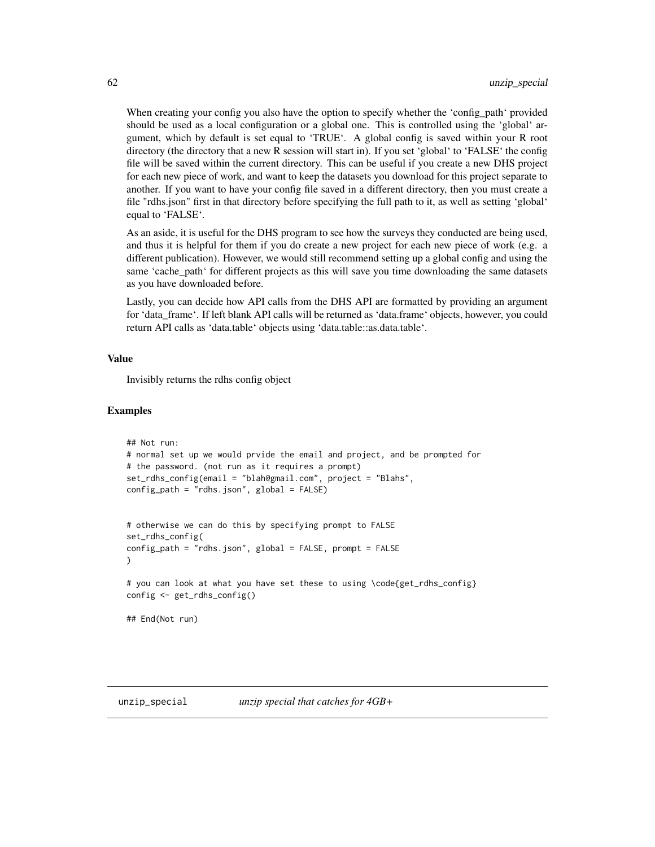When creating your config you also have the option to specify whether the 'config\_path' provided should be used as a local configuration or a global one. This is controlled using the 'global' argument, which by default is set equal to 'TRUE'. A global config is saved within your R root directory (the directory that a new R session will start in). If you set 'global' to 'FALSE' the config file will be saved within the current directory. This can be useful if you create a new DHS project for each new piece of work, and want to keep the datasets you download for this project separate to another. If you want to have your config file saved in a different directory, then you must create a file "rdhs.json" first in that directory before specifying the full path to it, as well as setting 'global' equal to 'FALSE'.

As an aside, it is useful for the DHS program to see how the surveys they conducted are being used, and thus it is helpful for them if you do create a new project for each new piece of work (e.g. a different publication). However, we would still recommend setting up a global config and using the same 'cache\_path' for different projects as this will save you time downloading the same datasets as you have downloaded before.

Lastly, you can decide how API calls from the DHS API are formatted by providing an argument for 'data\_frame'. If left blank API calls will be returned as 'data.frame' objects, however, you could return API calls as 'data.table' objects using 'data.table::as.data.table'.

# Value

Invisibly returns the rdhs config object

```
## Not run:
# normal set up we would prvide the email and project, and be prompted for
# the password. (not run as it requires a prompt)
set_rdhs_config(email = "blah@gmail.com", project = "Blahs",
config_path = "rdhs.json", global = FALSE)
# otherwise we can do this by specifying prompt to FALSE
set_rdhs_config(
config_path = "rdhs.json", global = FALSE, prompt = FALSE
)
# you can look at what you have set these to using \code{get_rdhs_config}
config <- get_rdhs_config()
## End(Not run)
```
<span id="page-61-0"></span>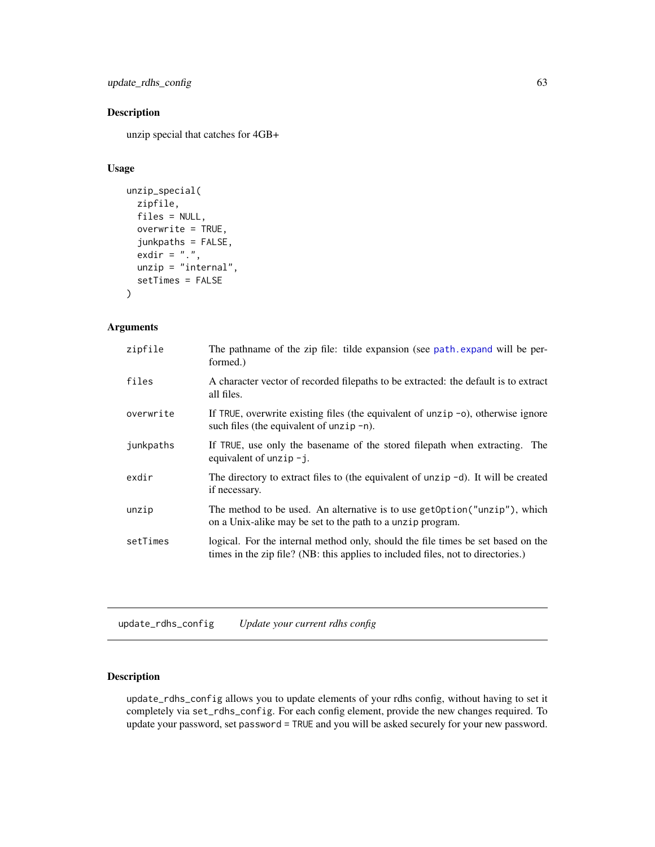<span id="page-62-0"></span>update\_rdhs\_config 63

# Description

unzip special that catches for 4GB+

#### Usage

```
unzip_special(
 zipfile,
 files = NULL,
 overwrite = TRUE,
  junkpaths = FALSE,
  exdir = ".".unzip = "internal",
  setTimes = FALSE
)
```
# Arguments

| zipfile   | The pathname of the zip file: tilde expansion (see path.expand will be per-<br>formed.)                                                                              |
|-----------|----------------------------------------------------------------------------------------------------------------------------------------------------------------------|
| files     | A character vector of recorded filepaths to be extracted: the default is to extract<br>all files.                                                                    |
| overwrite | If TRUE, overwrite existing files (the equivalent of unzip $-o$ ), otherwise ignore<br>such files (the equivalent of unzip $-n$ ).                                   |
| junkpaths | If TRUE, use only the basename of the stored filepath when extracting. The<br>equivalent of unzip $-j$ .                                                             |
| exdir     | The directory to extract files to (the equivalent of unzip $-d$ ). It will be created<br>if necessary.                                                               |
| unzip     | The method to be used. An alternative is to use getOption("unzip"), which<br>on a Unix-alike may be set to the path to a unzip program.                              |
| setTimes  | logical. For the internal method only, should the file times be set based on the<br>times in the zip file? (NB: this applies to included files, not to directories.) |
|           |                                                                                                                                                                      |

update\_rdhs\_config *Update your current rdhs config*

# Description

update\_rdhs\_config allows you to update elements of your rdhs config, without having to set it completely via set\_rdhs\_config. For each config element, provide the new changes required. To update your password, set password = TRUE and you will be asked securely for your new password.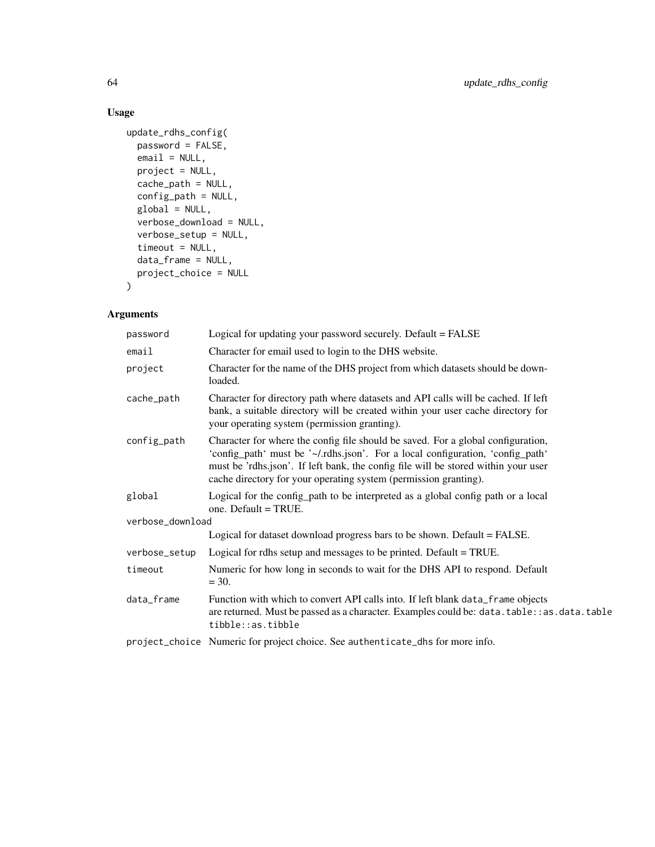# Usage

```
update_rdhs_config(
  password = FALSE,
  email = NULL,project = NULL,
  cache_path = NULL,
  config_path = NULL,
  global = NULL,verbose_download = NULL,
  verbose_setup = NULL,
  timeout = NULL,
  data_frame = NULL,
  project_choice = NULL
\mathcal{L}
```
# Arguments

| password         | Logical for updating your password securely. Default = FALSE                                                                                                                                                                                                                                                                 |
|------------------|------------------------------------------------------------------------------------------------------------------------------------------------------------------------------------------------------------------------------------------------------------------------------------------------------------------------------|
| email            | Character for email used to login to the DHS website.                                                                                                                                                                                                                                                                        |
| project          | Character for the name of the DHS project from which datasets should be down-<br>loaded.                                                                                                                                                                                                                                     |
| cache_path       | Character for directory path where datasets and API calls will be cached. If left<br>bank, a suitable directory will be created within your user cache directory for<br>your operating system (permission granting).                                                                                                         |
| config_path      | Character for where the config file should be saved. For a global configuration,<br>'config_path' must be '~/.rdhs.json'. For a local configuration, 'config_path'<br>must be 'rdhs.json'. If left bank, the config file will be stored within your user<br>cache directory for your operating system (permission granting). |
| global           | Logical for the config_path to be interpreted as a global config path or a local<br>one. Default = TRUE.                                                                                                                                                                                                                     |
| verbose_download |                                                                                                                                                                                                                                                                                                                              |
|                  | Logical for dataset download progress bars to be shown. Default = FALSE.                                                                                                                                                                                                                                                     |
| verbose_setup    | Logical for rdhs setup and messages to be printed. Default = TRUE.                                                                                                                                                                                                                                                           |
| timeout          | Numeric for how long in seconds to wait for the DHS API to respond. Default<br>$= 30.$                                                                                                                                                                                                                                       |
| data_frame       | Function with which to convert API calls into. If left blank data_frame objects<br>are returned. Must be passed as a character. Examples could be: data.table: : as.data.table<br>tibble::as.tibble                                                                                                                          |
|                  | project_choice Numeric for project choice. See authenticate_dhs for more info.                                                                                                                                                                                                                                               |